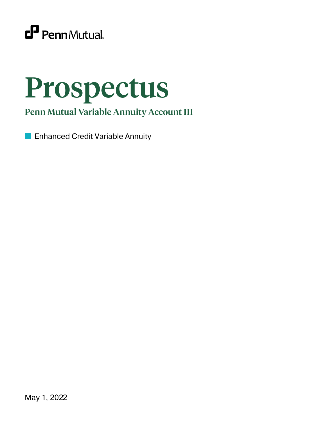

# Prospectus

Penn Mutual Variable Annuity Account III

**Enhanced Credit Variable Annuity**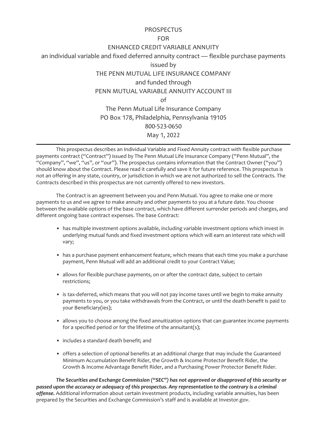# **PROSPECTUS**

# FOR

# ENHANCED CREDIT VARIABLE ANNUITY

an individual variable and fixed deferred annuity contract — flexible purchase payments

issued by

THE PENN MUTUAL LIFE INSURANCE COMPANY

and funded through

PENN MUTUAL VARIABLE ANNUITY ACCOUNT III

 $\cap$ f

The Penn Mutual Life Insurance Company PO Box 178, Philadelphia, Pennsylvania 19105 800-523-0650 May 1, 2022

This prospectus describes an Individual Variable and Fixed Annuity contract with flexible purchase payments contract ("Contract") issued by The Penn Mutual Life Insurance Company ("Penn Mutual", the "Company", "we", "us", or "our"). The prospectus contains information that the Contract Owner ("you") should know about the Contract. Please read it carefully and save it for future reference. This prospectus is not an offering in any state, country, or jurisdiction in which we are not authorized to sell the Contracts. The Contracts described in this prospectus are not currently offered to new investors.

The Contract is an agreement between you and Penn Mutual. You agree to make one or more payments to us and we agree to make annuity and other payments to you at a future date. You choose between the available options of the base contract, which have different surrender periods and charges, and different ongoing base contract expenses. The base Contract:

- has multiple investment options available, including variable investment options which invest in underlying mutual funds and fixed investment options which will earn an interest rate which will vary;
- has a purchase payment enhancement feature, which means that each time you make a purchase payment, Penn Mutual will add an additional credit to your Contract Value;
- allows for flexible purchase payments, on or after the contract date, subject to certain restrictions;
- is tax-deferred, which means that you will not pay income taxes until we begin to make annuity payments to you, or you take withdrawals from the Contract, or until the death benefit is paid to your Beneficiary(ies);
- allows you to choose among the fixed annuitization options that can guarantee income payments for a specified period or for the lifetime of the annuitant(s);
- includes a standard death benefit; and
- offers a selection of optional benefits at an additional charge that may include the Guaranteed Minimum Accumulation Benefit Rider, the Growth & Income Protector Benefit Rider, the Growth & Income Advantage Benefit Rider, and a Purchasing Power Protector Benefit Rider.

*The Securities and Exchange Commission ("SEC") has not approved or disapproved of this security or passed upon the accuracy or adequacy of this prospectus. Any representation to the contrary is a criminal offense.* Additional information about certain investment products, including variable annuities, has been prepared by the Securities and Exchange Commission's staff and is available at Investor.gov.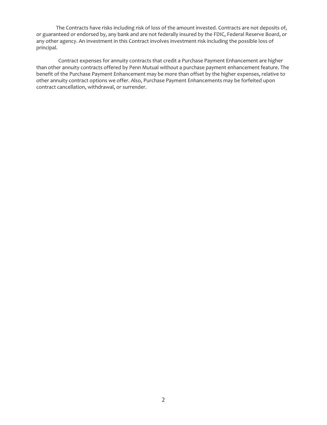The Contracts have risks including risk of loss of the amount invested. Contracts are not deposits of, or guaranteed or endorsed by, any bank and are not federally insured by the FDIC, Federal Reserve Board, or any other agency. An investment in this Contract involves investment risk including the possible loss of principal.

Contract expenses for annuity contracts that credit a Purchase Payment Enhancement are higher than other annuity contracts offered by Penn Mutual without a purchase payment enhancement feature. The benefit of the Purchase Payment Enhancement may be more than offset by the higher expenses, relative to other annuity contract options we offer. Also, Purchase Payment Enhancements may be forfeited upon contract cancellation, withdrawal, or surrender.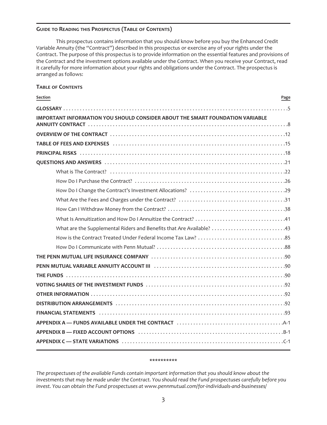## **GUIDE TO READING THIS PROSPECTUS (TABLE OF CONTENTS)**

This prospectus contains information that you should know before you buy the Enhanced Credit Variable Annuity (the "Contract") described in this prospectus or exercise any of your rights under the Contract. The purpose of this prospectus is to provide information on the essential features and provisions of the Contract and the investment options available under the Contract. When you receive your Contract, read it carefully for more information about your rights and obligations under the Contract. The prospectus is arranged as follows:

## **TABLE OF CONTENTS**

| Section<br>Page                                                                   |
|-----------------------------------------------------------------------------------|
|                                                                                   |
| IMPORTANT INFORMATION YOU SHOULD CONSIDER ABOUT THE SMART FOUNDATION VARIABLE     |
|                                                                                   |
|                                                                                   |
|                                                                                   |
|                                                                                   |
|                                                                                   |
|                                                                                   |
|                                                                                   |
|                                                                                   |
|                                                                                   |
|                                                                                   |
| What are the Supplemental Riders and Benefits that Are Available? 43              |
|                                                                                   |
|                                                                                   |
|                                                                                   |
|                                                                                   |
|                                                                                   |
|                                                                                   |
|                                                                                   |
|                                                                                   |
|                                                                                   |
|                                                                                   |
| APPENDIX B — FIXED ACCOUNT OPTIONS (and the contract of the contract of the B-1). |
|                                                                                   |

#### **\*\*\*\*\*\*\*\*\*\***

*The prospectuses of the available Funds contain important information that you should know about the investments that may be made under the Contract. You should read the Fund prospectuses carefully before you invest. You can obtain the Fund prospectuses at www.pennmutual.com/for-individuals-and-businesses/*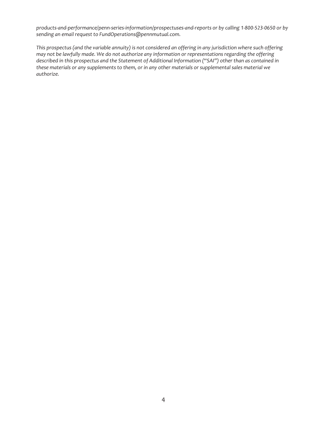*products-and-performance/penn-series-information/prospectuses-and-reports or by calling 1-800-523-0650 or by sending an email request to FundOperations@pennmutual.com.*

*This prospectus (and the variable annuity) is not considered an offering in any jurisdiction where such offering may not be lawfully made. We do not authorize any information or representations regarding the offering described in this prospectus and the Statement of Additional Information ("SAI") other than as contained in these materials or any supplements to them, or in any other materials or supplemental sales material we authorize.*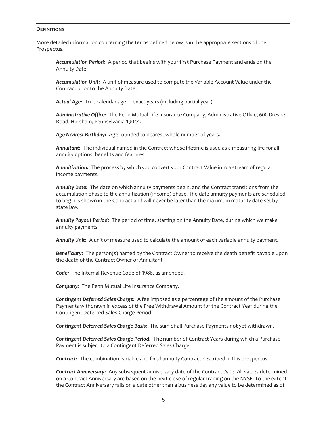#### <span id="page-5-0"></span>**DEFINITIONS**

More detailed information concerning the terms defined below is in the appropriate sections of the Prospectus.

*Accumulation Period:* A period that begins with your first Purchase Payment and ends on the Annuity Date.

*Accumulation Unit:* A unit of measure used to compute the Variable Account Value under the Contract prior to the Annuity Date.

*Actual Age:* True calendar age in exact years (including partial year).

*Administrative Office:* The Penn Mutual Life Insurance Company, Administrative Office, 600 Dresher Road, Horsham, Pennsylvania 19044.

*Age Nearest Birthday:* Age rounded to nearest whole number of years.

*Annuitant:* The individual named in the Contract whose lifetime is used as a measuring life for all annuity options, benefits and features.

*Annuitization:* The process by which you convert your Contract Value into a stream of regular income payments.

*Annuity Date:* The date on which annuity payments begin, and the Contract transitions from the accumulation phase to the annuitization (income) phase. The date annuity payments are scheduled to begin is shown in the Contract and will never be later than the maximum maturity date set by state law.

*Annuity Payout Period:* The period of time, starting on the Annuity Date, during which we make annuity payments.

*Annuity Unit:* A unit of measure used to calculate the amount of each variable annuity payment.

*Beneficiary:* The person(s) named by the Contract Owner to receive the death benefit payable upon the death of the Contract Owner or Annuitant.

*Code:* The Internal Revenue Code of 1986, as amended.

*Company:* The Penn Mutual Life Insurance Company.

*Contingent Deferred Sales Charge:* A fee imposed as a percentage of the amount of the Purchase Payments withdrawn in excess of the Free Withdrawal Amount for the Contract Year during the Contingent Deferred Sales Charge Period.

*Contingent Deferred Sales Charge Basis:* The sum of all Purchase Payments not yet withdrawn.

*Contingent Deferred Sales Charge Period:* The number of Contract Years during which a Purchase Payment is subject to a Contingent Deferred Sales Charge.

*Contract:* The combination variable and fixed annuity Contract described in this prospectus.

*Contract Anniversary:* Any subsequent anniversary date of the Contract Date. All values determined on a Contract Anniversary are based on the next close of regular trading on the NYSE. To the extent the Contract Anniversary falls on a date other than a business day any value to be determined as of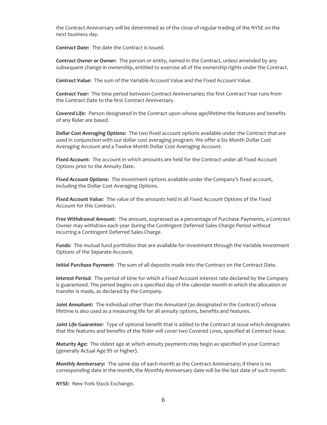the Contract Anniversary will be determined as of the close of regular trading of the NYSE on the next business day.

*Contract Date:* The date the Contract is issued.

*Contract Owner or Owner:* The person or entity, named in the Contract, unless amended by any subsequent change in ownership, entitled to exercise all of the ownership rights under the Contract.

*Contract Value:* The sum of the Variable Account Value and the Fixed Account Value.

*Contract Year:* The time period between Contract Anniversaries; the first Contract Year runs from the Contract Date to the first Contract Anniversary.

*Covered Life:* Person designated in the Contract upon whose age/lifetime the features and benefits of any Rider are based.

*Dollar Cost Averaging Options:* The two fixed account options available under the Contract that are used in conjunction with our dollar cost averaging program. We offer a Six Month Dollar Cost Averaging Account and a Twelve Month Dollar Cost Averaging Account.

*Fixed Account:* The account in which amounts are held for the Contract under all Fixed Account Options prior to the Annuity Date.

*Fixed Account Options:* The investment options available under the Company's fixed account, including the Dollar Cost Averaging Options.

*Fixed Account Value:* The value of the amounts held in all Fixed Account Options of the Fixed Account for this Contract.

*Free Withdrawal Amount:* The amount, expressed as a percentage of Purchase Payments, a Contract Owner may withdraw each year during the Contingent Deferred Sales Charge Period without incurring a Contingent Deferred Sales Charge.

*Funds:* The mutual fund portfolios that are available for investment through the Variable Investment Options of the Separate Account.

*Initial Purchase Payment:* The sum of all deposits made into the Contract on the Contract Date.

*Interest Period:* The period of time for which a Fixed Account interest rate declared by the Company is guaranteed. The period begins on a specified day of the calendar month in which the allocation or transfer is made, as declared by the Company.

*Joint Annuitant:* The individual other than the Annuitant (as designated in the Contract) whose lifetime is also used as a measuring life for all annuity options, benefits and features.

*Joint Life Guarantee:* Type of optional benefit that is added to the Contract at issue which designates that the features and benefits of the Rider will cover two Covered Lives, specified at Contract Issue.

*Maturity Age:* The oldest age at which annuity payments may begin as specified in your Contract (generally Actual Age 95 or higher).

*Monthly Anniversary:* The same day of each month as the Contract Anniversary; if there is no corresponding date in the month, the Monthly Anniversary date will be the last date of such month.

*NYSE:* New York Stock Exchange.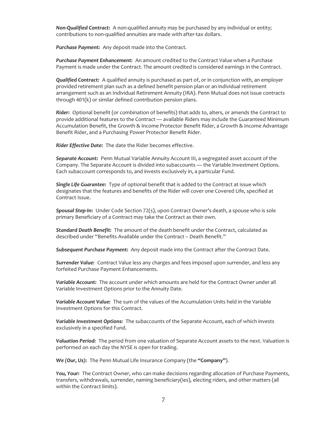*Non-Qualified Contract:* A non-qualified annuity may be purchased by any individual or entity; contributions to non-qualified annuities are made with after-tax dollars.

*Purchase Payment:* Any deposit made into the Contract.

*Purchase Payment Enhancement:* An amount credited to the Contract Value when a Purchase Payment is made under the Contract. The amount credited is considered earnings in the Contract.

*Qualified Contract:* A qualified annuity is purchased as part of, or in conjunction with, an employer provided retirement plan such as a defined benefit pension plan or an individual retirement arrangement such as an Individual Retirement Annuity (IRA). Penn Mutual does not issue contracts through 401(k) or similar defined contribution pension plans.

*Rider:* Optional benefit (or combination of benefits) that adds to, alters, or amends the Contract to provide additional features to the Contract — available Riders may include the Guaranteed Minimum Accumulation Benefit, the Growth & Income Protector Benefit Rider, a Growth & Income Advantage Benefit Rider, and a Purchasing Power Protector Benefit Rider.

*Rider Effective Date:* The date the Rider becomes effective.

*Separate Account:* Penn Mutual Variable Annuity Account III, a segregated asset account of the Company. The Separate Account is divided into subaccounts — the Variable Investment Options. Each subaccount corresponds to, and invests exclusively in, a particular Fund.

*Single Life Guarantee:* Type of optional benefit that is added to the Contract at issue which designates that the features and benefits of the Rider will cover one Covered Life, specified at Contract Issue.

*Spousal Step-In:* Under Code Section 72(s), upon Contract Owner's death, a spouse who is sole primary Beneficiary of a Contract may take the Contract as their own.

*Standard Death Benefit:* The amount of the death benefit under the Contract, calculated as described under "Benefits Available under the Contract – Death Benefit."

*Subsequent Purchase Payment:* Any deposit made into the Contract after the Contract Date.

*Surrender Value:* Contract Value less any charges and fees imposed upon surrender, and less any forfeited Purchase Payment Enhancements.

*Variable Account:* The account under which amounts are held for the Contract Owner under all Variable Investment Options prior to the Annuity Date.

*Variable Account Value:* The sum of the values of the Accumulation Units held in the Variable Investment Options for this Contract.

*Variable Investment Options:* The subaccounts of the Separate Account, each of which invests exclusively in a specified Fund.

*Valuation Period:* The period from one valuation of Separate Account assets to the next. Valuation is performed on each day the NYSE is open for trading.

*We (Our, Us):* The Penn Mutual Life Insurance Company (the **"Company"**).

*You, Your:* The Contract Owner, who can make decisions regarding allocation of Purchase Payments, transfers, withdrawals, surrender, naming beneficiary(ies), electing riders, and other matters (all within the Contract limits).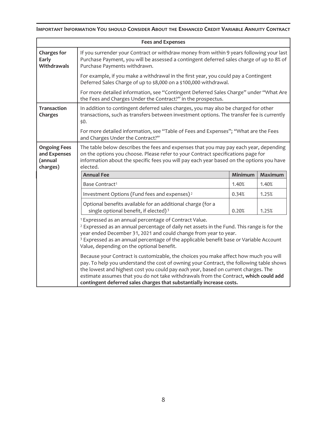# <span id="page-8-0"></span>**IMPORTANT INFORMATION YOU SHOULD CONSIDER ABOUT THE ENHANCED CREDIT VARIABLE ANNUITY CONTRACT**

| <b>Fees and Expenses</b>                                                                                                                                                                                                                                                                                                                                                                                                              |                                                                                                                                                                                                                                                                                                                                                                                                  |         |         |  |  |
|---------------------------------------------------------------------------------------------------------------------------------------------------------------------------------------------------------------------------------------------------------------------------------------------------------------------------------------------------------------------------------------------------------------------------------------|--------------------------------------------------------------------------------------------------------------------------------------------------------------------------------------------------------------------------------------------------------------------------------------------------------------------------------------------------------------------------------------------------|---------|---------|--|--|
| <b>Charges for</b><br>Early<br>Withdrawals                                                                                                                                                                                                                                                                                                                                                                                            | If you surrender your Contract or withdraw money from within 9 years following your last<br>Purchase Payment, you will be assessed a contingent deferred sales charge of up to 8% of<br>Purchase Payments withdrawn.                                                                                                                                                                             |         |         |  |  |
|                                                                                                                                                                                                                                                                                                                                                                                                                                       | For example, if you make a withdrawal in the first year, you could pay a Contingent<br>Deferred Sales Charge of up to \$8,000 on a \$100,000 withdrawal.                                                                                                                                                                                                                                         |         |         |  |  |
|                                                                                                                                                                                                                                                                                                                                                                                                                                       | For more detailed information, see "Contingent Deferred Sales Charge" under "What Are<br>the Fees and Charges Under the Contract?" in the prospectus.                                                                                                                                                                                                                                            |         |         |  |  |
| <b>Transaction</b><br>Charges                                                                                                                                                                                                                                                                                                                                                                                                         | In addition to contingent deferred sales charges, you may also be charged for other<br>transactions, such as transfers between investment options. The transfer fee is currently<br>\$0.                                                                                                                                                                                                         |         |         |  |  |
|                                                                                                                                                                                                                                                                                                                                                                                                                                       | For more detailed information, see "Table of Fees and Expenses"; "What are the Fees<br>and Charges Under the Contract?"                                                                                                                                                                                                                                                                          |         |         |  |  |
| <b>Ongoing Fees</b><br>and Expenses<br>(annual<br>charges)                                                                                                                                                                                                                                                                                                                                                                            | The table below describes the fees and expenses that you may pay each year, depending<br>on the options you choose. Please refer to your Contract specifications page for<br>information about the specific fees you will pay each year based on the options you have<br>elected.                                                                                                                |         |         |  |  |
|                                                                                                                                                                                                                                                                                                                                                                                                                                       | <b>Annual Fee</b>                                                                                                                                                                                                                                                                                                                                                                                | Minimum | Maximum |  |  |
|                                                                                                                                                                                                                                                                                                                                                                                                                                       | Base Contract <sup>1</sup>                                                                                                                                                                                                                                                                                                                                                                       | 1.40%   | 1.40%   |  |  |
|                                                                                                                                                                                                                                                                                                                                                                                                                                       | Investment Options (Fund fees and expenses) <sup>2</sup>                                                                                                                                                                                                                                                                                                                                         | 0.34%   | 1.25%   |  |  |
|                                                                                                                                                                                                                                                                                                                                                                                                                                       | Optional benefits available for an additional charge (for a<br>single optional benefit, if elected) <sup>3</sup>                                                                                                                                                                                                                                                                                 | 0.20%   | 1.25%   |  |  |
|                                                                                                                                                                                                                                                                                                                                                                                                                                       | <sup>1</sup> Expressed as an annual percentage of Contract Value.<br><sup>2</sup> Expressed as an annual percentage of daily net assets in the Fund. This range is for the<br>year ended December 31, 2021 and could change from year to year.<br><sup>3</sup> Expressed as an annual percentage of the applicable benefit base or Variable Account<br>Value, depending on the optional benefit. |         |         |  |  |
| Because your Contract is customizable, the choices you make affect how much you will<br>pay. To help you understand the cost of owning your Contract, the following table shows<br>the lowest and highest cost you could pay each year, based on current charges. The<br>estimate assumes that you do not take withdrawals from the Contract, which could add<br>contingent deferred sales charges that substantially increase costs. |                                                                                                                                                                                                                                                                                                                                                                                                  |         |         |  |  |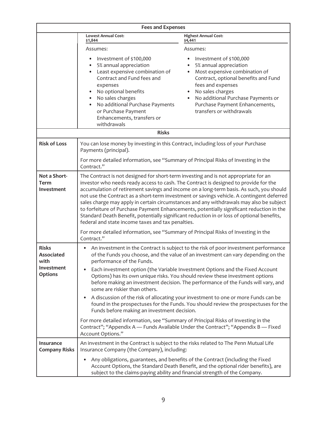| <b>Fees and Expenses</b>                                                  |                                                                                                                                                                                                                                                                                                                                                                                                                                                                                                                                                                                                                                                                                                               |                                                                                                                                                                                                                                                                         |  |  |  |
|---------------------------------------------------------------------------|---------------------------------------------------------------------------------------------------------------------------------------------------------------------------------------------------------------------------------------------------------------------------------------------------------------------------------------------------------------------------------------------------------------------------------------------------------------------------------------------------------------------------------------------------------------------------------------------------------------------------------------------------------------------------------------------------------------|-------------------------------------------------------------------------------------------------------------------------------------------------------------------------------------------------------------------------------------------------------------------------|--|--|--|
|                                                                           | <b>Lowest Annual Cost:</b><br>\$1,844                                                                                                                                                                                                                                                                                                                                                                                                                                                                                                                                                                                                                                                                         | <b>Highest Annual Cost:</b><br>\$4,441                                                                                                                                                                                                                                  |  |  |  |
|                                                                           | Assumes:                                                                                                                                                                                                                                                                                                                                                                                                                                                                                                                                                                                                                                                                                                      | Assumes:                                                                                                                                                                                                                                                                |  |  |  |
|                                                                           | Investment of \$100,000<br>5% annual appreciation<br>Least expensive combination of<br>Contract and Fund fees and<br>expenses<br>No optional benefits<br>No sales charges<br>No additional Purchase Payments<br>or Purchase Payment<br>Enhancements, transfers or<br>withdrawals                                                                                                                                                                                                                                                                                                                                                                                                                              | Investment of \$100,000<br>5% annual appreciation<br>Most expensive combination of<br>Contract, optional benefits and Fund<br>fees and expenses<br>No sales charges<br>No additional Purchase Payments or<br>Purchase Payment Enhancements,<br>transfers or withdrawals |  |  |  |
|                                                                           | <b>Risks</b>                                                                                                                                                                                                                                                                                                                                                                                                                                                                                                                                                                                                                                                                                                  |                                                                                                                                                                                                                                                                         |  |  |  |
| <b>Risk of Loss</b>                                                       | You can lose money by investing in this Contract, including loss of your Purchase<br>Payments (principal).                                                                                                                                                                                                                                                                                                                                                                                                                                                                                                                                                                                                    |                                                                                                                                                                                                                                                                         |  |  |  |
|                                                                           | For more detailed information, see "Summary of Principal Risks of Investing in the<br>Contract."                                                                                                                                                                                                                                                                                                                                                                                                                                                                                                                                                                                                              |                                                                                                                                                                                                                                                                         |  |  |  |
| Not a Short-<br>Term<br>Investment                                        | The Contract is not designed for short-term investing and is not appropriate for an<br>investor who needs ready access to cash. The Contract is designed to provide for the<br>accumulation of retirement savings and income on a long-term basis. As such, you should<br>not use the Contract as a short-term investment or savings vehicle. A contingent deferred<br>sales charge may apply in certain circumstances and any withdrawals may also be subject<br>to forfeiture of Purchase Payment Enhancements, potentially significant reduction in the<br>Standard Death Benefit, potentially significant reduction in or loss of optional benefits,<br>federal and state income taxes and tax penalties. |                                                                                                                                                                                                                                                                         |  |  |  |
|                                                                           | For more detailed information, see "Summary of Principal Risks of Investing in the<br>Contract."                                                                                                                                                                                                                                                                                                                                                                                                                                                                                                                                                                                                              |                                                                                                                                                                                                                                                                         |  |  |  |
| <b>Risks</b><br><b>Associated</b><br>with<br>Investment<br><b>Options</b> | An investment in the Contract is subject to the risk of poor investment performance<br>of the Funds you choose, and the value of an investment can vary depending on the<br>performance of the Funds.<br>Each investment option (the Variable Investment Options and the Fixed Account<br>Options) has its own unique risks. You should review these investment options<br>before making an investment decision. The performance of the Funds will vary, and<br>some are riskier than others.                                                                                                                                                                                                                 |                                                                                                                                                                                                                                                                         |  |  |  |
|                                                                           | A discussion of the risk of allocating your investment to one or more Funds can be<br>٠<br>found in the prospectuses for the Funds. You should review the prospectuses for the<br>Funds before making an investment decision.                                                                                                                                                                                                                                                                                                                                                                                                                                                                                 |                                                                                                                                                                                                                                                                         |  |  |  |
|                                                                           | For more detailed information, see "Summary of Principal Risks of Investing in the<br>Contract"; "Appendix A - Funds Available Under the Contract"; "Appendix B - Fixed<br>Account Options."                                                                                                                                                                                                                                                                                                                                                                                                                                                                                                                  |                                                                                                                                                                                                                                                                         |  |  |  |
| Insurance<br><b>Company Risks</b>                                         | An investment in the Contract is subject to the risks related to The Penn Mutual Life<br>Insurance Company (the Company), including:                                                                                                                                                                                                                                                                                                                                                                                                                                                                                                                                                                          |                                                                                                                                                                                                                                                                         |  |  |  |
|                                                                           | ٠<br>subject to the claims-paying ability and financial strength of the Company.                                                                                                                                                                                                                                                                                                                                                                                                                                                                                                                                                                                                                              | Any obligations, guarantees, and benefits of the Contract (including the Fixed<br>Account Options, the Standard Death Benefit, and the optional rider benefits), are                                                                                                    |  |  |  |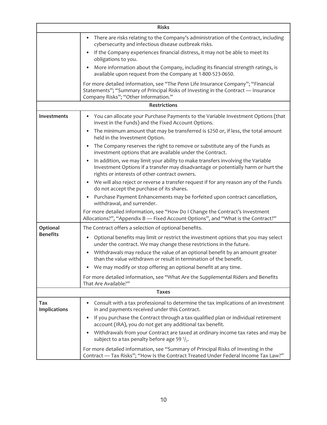| <b>Risks</b>               |                                                                                                                                                                                                                              |  |  |  |
|----------------------------|------------------------------------------------------------------------------------------------------------------------------------------------------------------------------------------------------------------------------|--|--|--|
|                            | There are risks relating to the Company's administration of the Contract, including<br>cybersecurity and infectious disease outbreak risks.<br>If the Company experiences financial distress, it may not be able to meet its |  |  |  |
|                            | obligations to you.                                                                                                                                                                                                          |  |  |  |
|                            | More information about the Company, including its financial strength ratings, is<br>$\bullet$<br>available upon request from the Company at 1-800-523-0650.                                                                  |  |  |  |
|                            | For more detailed information, see "The Penn Life Insurance Company"; "Financial<br>Statements"; "Summary of Principal Risks of Investing in the Contract - Insurance<br>Company Risks"; "Other Information."                |  |  |  |
|                            | <b>Restrictions</b>                                                                                                                                                                                                          |  |  |  |
| <b>Investments</b>         | You can allocate your Purchase Payments to the Variable Investment Options (that<br>invest in the Funds) and the Fixed Account Options.                                                                                      |  |  |  |
|                            | The minimum amount that may be transferred is \$250 or, if less, the total amount<br>held in the Investment Option.                                                                                                          |  |  |  |
|                            | The Company reserves the right to remove or substitute any of the Funds as<br>investment options that are available under the Contract.                                                                                      |  |  |  |
|                            | In addition, we may limit your ability to make transfers involving the Variable<br>Investment Options if a transfer may disadvantage or potentially harm or hurt the<br>rights or interests of other contract owners.        |  |  |  |
|                            | We will also reject or reverse a transfer request if for any reason any of the Funds<br>do not accept the purchase of its shares.                                                                                            |  |  |  |
|                            | Purchase Payment Enhancements may be forfeited upon contract cancellation,<br>$\bullet$<br>withdrawal, and surrender.                                                                                                        |  |  |  |
|                            | For more detailed information, see "How Do I Change the Contract's Investment<br>Allocations?", "Appendix B - Fixed Account Options", and "What is the Contract?"                                                            |  |  |  |
| Optional                   | The Contract offers a selection of optional benefits.                                                                                                                                                                        |  |  |  |
| <b>Benefits</b>            | Optional benefits may limit or restrict the investment options that you may select<br>under the contract. We may change these restrictions in the future.                                                                    |  |  |  |
|                            | Withdrawals may reduce the value of an optional benefit by an amount greater<br>$\bullet$<br>than the value withdrawn or result in termination of the benefit.                                                               |  |  |  |
|                            | We may modify or stop offering an optional benefit at any time.                                                                                                                                                              |  |  |  |
|                            | For more detailed information, see "What Are the Supplemental Riders and Benefits<br>That Are Available?"                                                                                                                    |  |  |  |
| <b>Taxes</b>               |                                                                                                                                                                                                                              |  |  |  |
| Tax<br><b>Implications</b> | Consult with a tax professional to determine the tax implications of an investment<br>$\bullet$<br>in and payments received under this Contract.                                                                             |  |  |  |
|                            | If you purchase the Contract through a tax-qualified plan or individual retirement<br>account (IRA), you do not get any additional tax benefit.                                                                              |  |  |  |
|                            | Withdrawals from your Contract are taxed at ordinary income tax rates and may be<br>$\bullet$<br>subject to a tax penalty before age 59 $\frac{1}{2}$ .                                                                      |  |  |  |
|                            | For more detailed information, see "Summary of Principal Risks of Investing in the<br>Contract - Tax Risks"; "How Is the Contract Treated Under Federal Income Tax Law?"                                                     |  |  |  |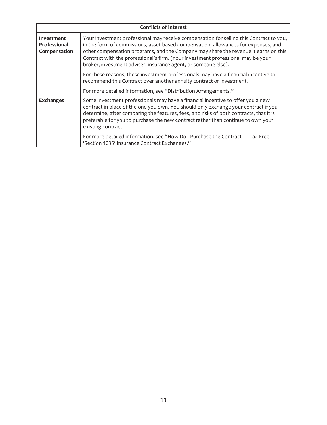| <b>Conflicts of Interest</b>               |                                                                                                                                                                                                                                                                                                                                                                                                                            |  |  |  |
|--------------------------------------------|----------------------------------------------------------------------------------------------------------------------------------------------------------------------------------------------------------------------------------------------------------------------------------------------------------------------------------------------------------------------------------------------------------------------------|--|--|--|
| Investment<br>Professional<br>Compensation | Your investment professional may receive compensation for selling this Contract to you,<br>in the form of commissions, asset-based compensation, allowances for expenses, and<br>other compensation programs, and the Company may share the revenue it earns on this<br>Contract with the professional's firm. (Your investment professional may be your<br>broker, investment adviser, insurance agent, or someone else). |  |  |  |
|                                            | For these reasons, these investment professionals may have a financial incentive to<br>recommend this Contract over another annuity contract or investment.                                                                                                                                                                                                                                                                |  |  |  |
|                                            | For more detailed information, see "Distribution Arrangements."                                                                                                                                                                                                                                                                                                                                                            |  |  |  |
| <b>Exchanges</b>                           | Some investment professionals may have a financial incentive to offer you a new<br>contract in place of the one you own. You should only exchange your contract if you<br>determine, after comparing the features, fees, and risks of both contracts, that it is<br>preferable for you to purchase the new contract rather than continue to own your<br>existing contract.                                                 |  |  |  |
|                                            | For more detailed information, see "How Do I Purchase the Contract - Tax Free<br>'Section 1035' Insurance Contract Exchanges."                                                                                                                                                                                                                                                                                             |  |  |  |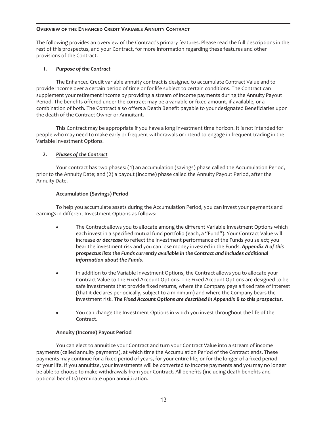# <span id="page-12-0"></span>**OVERVIEW OF THE ENHANCED CREDIT VARIABLE ANNUITY CONTRACT**

The following provides an overview of the Contract's primary features. Please read the full descriptions in the rest of this prospectus, and your Contract, for more information regarding these features and other provisions of the Contract.

# *1. Purpose of the Contract*

The Enhanced Credit variable annuity contract is designed to accumulate Contract Value and to provide income over a certain period of time or for life subject to certain conditions. The Contract can supplement your retirement income by providing a stream of income payments during the Annuity Payout Period. The benefits offered under the contract may be a variable or fixed amount, if available, or a combination of both. The Contract also offers a Death Benefit payable to your designated Beneficiaries upon the death of the Contract Owner or Annuitant.

This Contract may be appropriate if you have a long investment time horizon. It is not intended for people who may need to make early or frequent withdrawals or intend to engage in frequent trading in the Variable Investment Options.

# *2. Phases of the Contract*

Your contract has two phases: (1) an accumulation (savings) phase called the Accumulation Period, prior to the Annuity Date; and (2) a payout (income) phase called the Annuity Payout Period, after the Annuity Date.

# **Accumulation (Savings) Period**

To help you accumulate assets during the Accumulation Period, you can invest your payments and earnings in different Investment Options as follows:

- The Contract allows you to allocate among the different Variable Investment Options which each invest in a specified mutual fund portfolio (each, a "Fund"). Your Contract Value will increase *or decrease* to reflect the investment performance of the Funds you select; you bear the investment risk and you can lose money invested in the Funds. *Appendix A of this prospectus lists the Funds currently available in the Contract and includes additional information about the Funds.*
- In addition to the Variable Investment Options, the Contract allows you to allocate your Contract Value to the Fixed Account Options. The Fixed Account Options are designed to be safe investments that provide fixed returns, where the Company pays a fixed rate of interest (that it declares periodically, subject to a minimum) and where the Company bears the investment risk. *The Fixed Account Options are described in Appendix B to this prospectus.*
- You can change the Investment Options in which you invest throughout the life of the Contract.

# **Annuity (Income) Payout Period**

You can elect to annuitize your Contract and turn your Contract Value into a stream of income payments (called annuity payments), at which time the Accumulation Period of the Contract ends. These payments may continue for a fixed period of years, for your entire life, or for the longer of a fixed period or your life. If you annuitize, your investments will be converted to income payments and you may no longer be able to choose to make withdrawals from your Contract. All benefits (including death benefits and optional benefits) terminate upon annuitization.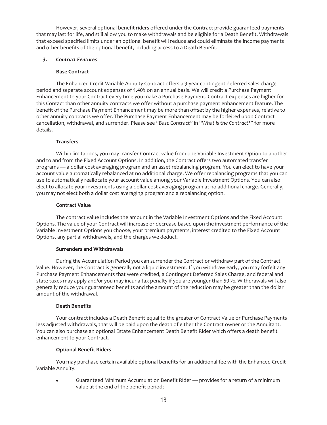However, several optional benefit riders offered under the Contract provide guaranteed payments that may last for life, and still allow you to make withdrawals and be eligible for a Death Benefit. Withdrawals that exceed specified limits under an optional benefit will reduce and could eliminate the income payments and other benefits of the optional benefit, including access to a Death Benefit.

# *3. Contract Features*

# **Base Contract**

The Enhanced Credit Variable Annuity Contract offers a 9-year contingent deferred sales charge period and separate account expenses of 1.40% on an annual basis. We will credit a Purchase Payment Enhancement to your Contract every time you make a Purchase Payment. Contract expenses are higher for this Contact than other annuity contracts we offer without a purchase payment enhancement feature. The benefit of the Purchase Payment Enhancement may be more than offset by the higher expenses, relative to other annuity contracts we offer. The Purchase Payment Enhancement may be forfeited upon Contract cancellation, withdrawal, and surrender. Please see *"Base Contract"* in "*What is the Contract?"* for more details.

# **Transfers**

Within limitations, you may transfer Contract value from one Variable Investment Option to another and to and from the Fixed Account Options. In addition, the Contract offers two automated transfer programs — a dollar cost averaging program and an asset rebalancing program. You can elect to have your account value automatically rebalanced at no additional charge. We offer rebalancing programs that you can use to automatically reallocate your account value among your Variable Investment Options. You can also elect to allocate your investments using a dollar cost averaging program at no additional charge. Generally, you may not elect both a dollar cost averaging program and a rebalancing option.

# **Contract Value**

The contract value includes the amount in the Variable Investment Options and the Fixed Account Options. The value of your Contract will increase or decrease based upon the investment performance of the Variable Investment Options you choose, your premium payments, interest credited to the Fixed Account Options, any partial withdrawals, and the charges we deduct.

## **Surrenders and Withdrawals**

During the Accumulation Period you can surrender the Contract or withdraw part of the Contract Value. However, the Contract is generally not a liquid investment. If you withdraw early, you may forfeit any Purchase Payment Enhancements that were credited, a Contingent Deferred Sales Charge, and federal and state taxes may apply and/or you may incur a tax penalty if you are younger than 591⁄2. Withdrawals will also generally reduce your guaranteed benefits and the amount of the reduction may be greater than the dollar amount of the withdrawal.

## **Death Benefits**

Your contract includes a Death Benefit equal to the greater of Contract Value or Purchase Payments less adjusted withdrawals, that will be paid upon the death of either the Contract owner or the Annuitant. You can also purchase an optional Estate Enhancement Death Benefit Rider which offers a death benefit enhancement to your Contract.

# **Optional Benefit Riders**

You may purchase certain available optional benefits for an additional fee with the Enhanced Credit Variable Annuity:

Guaranteed Minimum Accumulation Benefit Rider — provides for a return of a minimum value at the end of the benefit period;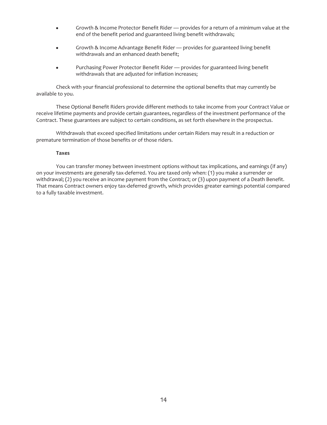- Growth & Income Protector Benefit Rider provides for a return of a minimum value at the end of the benefit period and guaranteed living benefit withdrawals;
- Growth & Income Advantage Benefit Rider provides for guaranteed living benefit withdrawals and an enhanced death benefit;
- Purchasing Power Protector Benefit Rider provides for guaranteed living benefit withdrawals that are adjusted for inflation increases;

Check with your financial professional to determine the optional benefits that may currently be available to you.

These Optional Benefit Riders provide different methods to take income from your Contract Value or receive lifetime payments and provide certain guarantees, regardless of the investment performance of the Contract. These guarantees are subject to certain conditions, as set forth elsewhere in the prospectus.

Withdrawals that exceed specified limitations under certain Riders may result in a reduction or premature termination of those benefits or of those riders.

## **Taxes**

You can transfer money between investment options without tax implications, and earnings (if any) on your investments are generally tax-deferred. You are taxed only when: (1) you make a surrender or withdrawal; (2) you receive an income payment from the Contract; or (3) upon payment of a Death Benefit. That means Contract owners enjoy tax-deferred growth, which provides greater earnings potential compared to a fully taxable investment.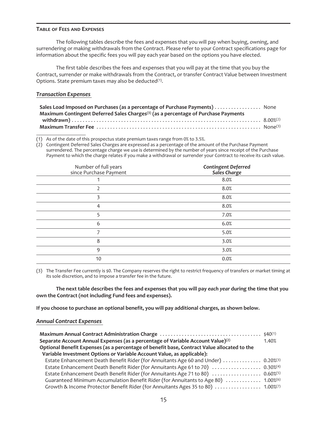#### <span id="page-15-0"></span>**TABLE OF FEES AND EXPENSES**

The following tables describe the fees and expenses that you will pay when buying, owning, and surrendering or making withdrawals from the Contract. Please refer to your Contract specifications page for information about the specific fees you will pay each year based on the options you have elected.

The first table describes the fees and expenses that you will pay at the time that you buy the Contract, surrender or make withdrawals from the Contract, or transfer Contract Value between Investment Options. State premium taxes may also be deducted<sup>(1)</sup>.

# *Transaction Expenses*

| Sales Load Imposed on Purchases (as a percentage of Purchase Payments) None                    |  |
|------------------------------------------------------------------------------------------------|--|
| Maximum Contingent Deferred Sales Charges <sup>(3)</sup> (as a percentage of Purchase Payments |  |
|                                                                                                |  |
|                                                                                                |  |

(1) As of the date of this prospectus state premium taxes range from 0% to 3.5%.

(2) Contingent Deferred Sales Charges are expressed as a percentage of the amount of the Purchase Payment surrendered. The percentage charge we use is determined by the number of years since receipt of the Purchase Payment to which the charge relates if you make a withdrawal or surrender your Contract to receive its cash value.

| Number of full years<br>since Purchase Payment | <b>Contingent Deferred<br/>Sales Charge</b> |
|------------------------------------------------|---------------------------------------------|
|                                                | 8.0%                                        |
|                                                | 8.0%                                        |
| 3                                              | 8.0%                                        |
| 4                                              | 8.0%                                        |
| 5                                              | 7.0%                                        |
| 6                                              | 6.0%                                        |
| 7                                              | 5.0%                                        |
| 8                                              | 3.0%                                        |
| 9                                              | 3.0%                                        |
| 10                                             | 0.0%                                        |

(3) The Transfer Fee currently is \$0. The Company reserves the right to restrict frequency of transfers or market timing at its sole discretion, and to impose a transfer fee in the future.

**The next table describes the fees and expenses that you will pay** *each year* **during the time that you own the Contract (not including Fund fees and expenses).**

**If you choose to purchase an optional benefit, you will pay additional charges, as shown below.**

## *Annual Contract Expenses*

| Separate Account Annual Expenses (as a percentage of Variable Account Value) $(2)$             | 1.40% |
|------------------------------------------------------------------------------------------------|-------|
| Optional Benefit Expenses (as a percentage of benefit base, Contract Value allocated to the    |       |
| Variable Investment Options or Variable Account Value, as applicable):                         |       |
| Estate Enhancement Death Benefit Rider (for Annuitants Age 60 and Under)  0.20% <sup>(3)</sup> |       |
| Estate Enhancement Death Benefit Rider (for Annuitants Age 61 to 70)  0.30%(4)                 |       |
| Estate Enhancement Death Benefit Rider (for Annuitants Age 71 to 80)  0.60% <sup>(5)</sup>     |       |
| Guaranteed Minimum Accumulation Benefit Rider (for Annuitants to Age 80)  1.00% <sup>(6)</sup> |       |
| Growth & Income Protector Benefit Rider (for Annuitants Ages 35 to 80)  1.00% <sup>(7)</sup>   |       |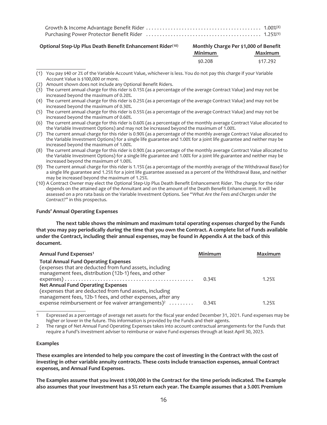#### **Optional Step-Up Plus Death Benefit Enhancement Rider(10)**

| Monthly Charge Per \$1,000 of Benefit |          |  |
|---------------------------------------|----------|--|
| Minimum                               | Maximum  |  |
| \$0.208                               | \$17.292 |  |

<sup>(1)</sup> You pay \$40 or 2% of the Variable Account Value, whichever is less. You do not pay this charge if your Variable Account Value is \$100,000 or more.

- (2) Amount shown does not include any Optional Benefit Riders.
- $(3)$  The current annual charge for this rider is 0.15% (as a percentage of the average Contract Value) and may not be increased beyond the maximum of 0.20%.
- (4) The current annual charge for this rider is 0.25% (as a percentage of the average Contract Value) and may not be increased beyond the maximum of 0.30%.
- (5) The current annual charge for this rider is 0.55% (as a percentage of the average Contract Value) and may not be increased beyond the maximum of 0.60%.
- (6) The current annual charge for this rider is 0.60% (as a percentage of the monthly average Contract Value allocated to the Variable Investment Options) and may not be increased beyond the maximum of 1.00%.
- (7) The current annual charge for this rider is 0.90% (as a percentage of the monthly average Contract Value allocated to the Variable Investment Options) for a single life guarantee and 1.00% for a joint life guarantee and neither may be increased beyond the maximum of 1.00%.
- (8) The current annual charge for this rider is 0.90% (as a percentage of the monthly average Contract Value allocated to the Variable Investment Options) for a single life guarantee and 1.00% for a joint life guarantee and neither may be increased beyond the maximum of 1.00%.
- (9) The current annual charge for this rider is 1.15% (as a percentage of the monthly average of the Withdrawal Base) for a single life guarantee and 1.25% for a joint life guarantee assessed as a percent of the Withdrawal Base, and neither may be increased beyond the maximum of 1.25%.
- (10) A Contract Owner may elect the Optional Step-Up Plus Death Benefit Enhancement Rider. The charge for the rider depends on the attained age of the Annuitant and on the amount of the Death Benefit Enhancement. It will be assessed on a pro rata basis on the Variable Investment Options. See "*What Are the Fees and Charges under the Contract*?" in this prospectus.

#### **Funds' Annual Operating Expenses**

**The next table shows the minimum and maximum total operating expenses charged by the Funds that you may pay periodically during the time that you own the Contract. A complete list of Funds available under the Contract, including their annual expenses, may be found in Appendix A at the back of this document.**

| Annual Fund Expenses <sup>1</sup>                                                                                                                                                       | Minimum | <b>Maximum</b> |
|-----------------------------------------------------------------------------------------------------------------------------------------------------------------------------------------|---------|----------------|
| <b>Total Annual Fund Operating Expenses</b><br>(expenses that are deducted from fund assets, including<br>management fees, distribution (12b-1) fees, and other                         |         |                |
| <b>Net Annual Fund Operating Expenses</b>                                                                                                                                               | 0.34%   | 1.25%          |
| (expenses that are deducted from fund assets, including<br>management fees, 12b-1 fees, and other expenses, after any<br>expense reimbursement or fee waiver arrangements) <sup>2</sup> | 0.34%   | 1.25%          |
|                                                                                                                                                                                         |         |                |

1 Expressed as a percentage of average net assets for the fiscal year ended December 31, 2021. Fund expenses may be higher or lower in the future. This information is provided by the Funds and their agents.

2 The range of Net Annual Fund Operating Expenses takes into account contractual arrangements for the Funds that require a Fund's investment adviser to reimburse or waive Fund expenses through at least April 30, 2023.

#### **Examples**

**These examples are intended to help you compare the cost of investing in the Contract with the cost of investing in other variable annuity contracts. These costs include transaction expenses, annual Contract expenses, and Annual Fund Expenses.**

**The Examples assume that you invest \$100,000 in the Contract for the time periods indicated. The Example also assumes that your investment has a 5% return each year. The Example assumes that a 3.00% Premium**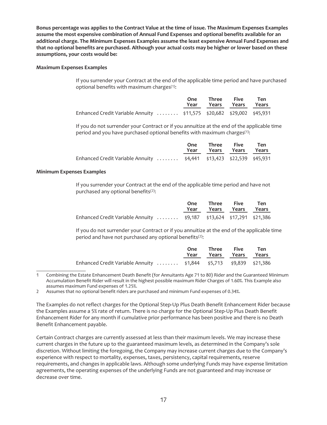**Bonus percentage was applies to the Contract Value at the time of issue. The Maximum Expenses Examples assume the most expensive combination of Annual Fund Expenses and optional benefits available for an additional charge. The Minimum Expenses Examples assume the least expensive Annual Fund Expenses and that no optional benefits are purchased. Although your actual costs may be higher or lower based on these assumptions, your costs would be:**

## **Maximum Expenses Examples**

If you surrender your Contract at the end of the applicable time period and have purchased optional benefits with maximum charges $(1)$ :

|                                                                       | One Three Five<br>Year Years Years Years | Ten |
|-----------------------------------------------------------------------|------------------------------------------|-----|
| Enhanced Credit Variable Annuity  \$11,575 \$20,682 \$29,002 \$45,931 |                                          |     |

If you do not surrender your Contract or if you annuitize at the end of the applicable time period and you have purchased optional benefits with maximum charges<sup>(1)</sup>:

|                                                                      | One Three Five Ten<br>Year Years Years Years |  |
|----------------------------------------------------------------------|----------------------------------------------|--|
| Enhanced Credit Variable Annuity  \$4,441 \$13,423 \$22,539 \$45,931 |                                              |  |

#### **Minimum Expenses Examples**

If you surrender your Contract at the end of the applicable time period and have not purchased any optional benefits(2):

|                                                                      | One Three Five Ten<br>Year Years Years Years |  |
|----------------------------------------------------------------------|----------------------------------------------|--|
| Enhanced Credit Variable Annuity  \$9,187 \$13,624 \$17,291 \$21,386 |                                              |  |

If you do not surrender your Contract or if you annuitize at the end of the applicable time period and have not purchased any optional benefits<sup>(2)</sup>:

|                                                                   | One Three Five Ten<br>Year Years Years Years |  |
|-------------------------------------------------------------------|----------------------------------------------|--|
| Enhanced Credit Variable Annuity \$1,844 \$5,713 \$9,839 \$21,386 |                                              |  |

1 Combining the Estate Enhancement Death Benefit (for Annuitants Age 71 to 80) Rider and the Guaranteed Minimum Accumulation Benefit Rider will result in the highest possible maximum Rider Charges of 1.60%. This Example also assumes maximum Fund expenses of 1.25%.

2 Assumes that no optional benefit riders are purchased and minimum Fund expenses of 0.34%.

The Examples do not reflect charges for the Optional Step-Up Plus Death Benefit Enhancement Rider because the Examples assume a 5% rate of return. There is no charge for the Optional Step-Up Plus Death Benefit Enhancement Rider for any month if cumulative prior performance has been positive and there is no Death Benefit Enhancement payable.

Certain Contract charges are currently assessed at less than their maximum levels. We may increase these current charges in the future up to the guaranteed maximum levels, as determined in the Company's sole discretion. Without limiting the foregoing, the Company may increase current charges due to the Company's experience with respect to mortality, expenses, taxes, persistency, capital requirements, reserve requirements, and changes in applicable laws. Although some underlying Funds may have expense limitation agreements, the operating expenses of the underlying Funds are not guaranteed and may increase or decrease over time.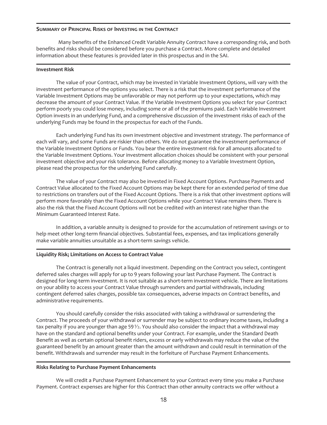## <span id="page-18-0"></span>**SUMMARY OF PRINCIPAL RISKS OF INVESTING IN THE CONTRACT**

Many benefits of the Enhanced Credit Variable Annuity Contract have a corresponding risk, and both benefits and risks should be considered before you purchase a Contract. More complete and detailed information about these features is provided later in this prospectus and in the SAI.

#### **Investment Risk**

The value of your Contract, which may be invested in Variable Investment Options, will vary with the investment performance of the options you select. There is a risk that the investment performance of the Variable Investment Options may be unfavorable or may not perform up to your expectations, which may decrease the amount of your Contract Value. If the Variable Investment Options you select for your Contract perform poorly you could lose money, including some or all of the premiums paid. Each Variable Investment Option invests in an underlying Fund, and a comprehensive discussion of the investment risks of each of the underlying Funds may be found in the prospectus for each of the Funds.

Each underlying Fund has its own investment objective and investment strategy. The performance of each will vary, and some Funds are riskier than others. We do not guarantee the investment performance of the Variable Investment Options or Funds. You bear the entire investment risk for all amounts allocated to the Variable Investment Options. Your investment allocation choices should be consistent with your personal investment objective and your risk tolerance. Before allocating money to a Variable Investment Option, please read the prospectus for the underlying Fund carefully.

The value of your Contract may also be invested in Fixed Account Options. Purchase Payments and Contract Value allocated to the Fixed Account Options may be kept there for an extended period of time due to restrictions on transfers out of the Fixed Account Options. There is a risk that other investment options will perform more favorably than the Fixed Account Options while your Contract Value remains there. There is also the risk that the Fixed Account Options will not be credited with an interest rate higher than the Minimum Guaranteed Interest Rate.

In addition, a variable annuity is designed to provide for the accumulation of retirement savings or to help meet other long-term financial objectives. Substantial fees, expenses, and tax implications generally make variable annuities unsuitable as a short-term savings vehicle.

#### **Liquidity Risk; Limitations on Access to Contract Value**

The Contract is generally not a liquid investment. Depending on the Contract you select, contingent deferred sales charges will apply for up to 9 years following your last Purchase Payment. The Contract is designed for long-term investment. It is not suitable as a short-term investment vehicle. There are limitations on your ability to access your Contract Value through surrenders and partial withdrawals, including contingent deferred sales charges, possible tax consequences, adverse impacts on Contract benefits, and administrative requirements.

You should carefully consider the risks associated with taking a withdrawal or surrendering the Contract. The proceeds of your withdrawal or surrender may be subject to ordinary income taxes, including a tax penalty if you are younger than age 59 $\frac{1}{2}$ . You should also consider the impact that a withdrawal may have on the standard and optional benefits under your Contract. For example, under the Standard Death Benefit as well as certain optional benefit riders, excess or early withdrawals may reduce the value of the guaranteed benefit by an amount greater than the amount withdrawn and could result in termination of the benefit. Withdrawals and surrender may result in the forfeiture of Purchase Payment Enhancements.

#### **Risks Relating to Purchase Payment Enhancements**

We will credit a Purchase Payment Enhancement to your Contract every time you make a Purchase Payment. Contract expenses are higher for this Contract than other annuity contracts we offer without a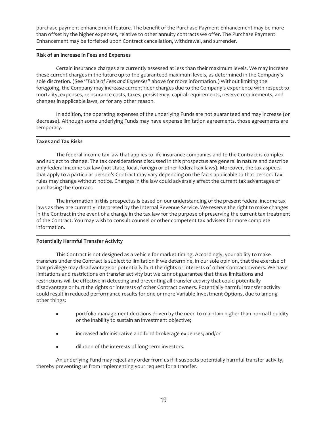purchase payment enhancement feature. The benefit of the Purchase Payment Enhancement may be more than offset by the higher expenses, relative to other annuity contracts we offer. The Purchase Payment Enhancement may be forfeited upon Contract cancellation, withdrawal, and surrender.

## **Risk of an Increase in Fees and Expenses**

Certain insurance charges are currently assessed at less than their maximum levels. We may increase these current charges in the future up to the guaranteed maximum levels, as determined in the Company's sole discretion. (See "*Table of Fees and Expenses*" above for more information.) Without limiting the foregoing, the Company may increase current rider charges due to the Company's experience with respect to mortality, expenses, reinsurance costs, taxes, persistency, capital requirements, reserve requirements, and changes in applicable laws, or for any other reason.

In addition, the operating expenses of the underlying Funds are not guaranteed and may increase (or decrease). Although some underlying Funds may have expense limitation agreements, those agreements are temporary.

# **Taxes and Tax Risks**

The federal income tax law that applies to life insurance companies and to the Contract is complex and subject to change. The tax considerations discussed in this prospectus are general in nature and describe only federal income tax law (not state, local, foreign or other federal tax laws). Moreover, the tax aspects that apply to a particular person's Contract may vary depending on the facts applicable to that person. Tax rules may change without notice. Changes in the law could adversely affect the current tax advantages of purchasing the Contract.

The information in this prospectus is based on our understanding of the present federal income tax laws as they are currently interpreted by the Internal Revenue Service. We reserve the right to make changes in the Contract in the event of a change in the tax law for the purpose of preserving the current tax treatment of the Contract. You may wish to consult counsel or other competent tax advisers for more complete information.

# **Potentially Harmful Transfer Activity**

This Contract is not designed as a vehicle for market timing. Accordingly, your ability to make transfers under the Contract is subject to limitation if we determine, in our sole opinion, that the exercise of that privilege may disadvantage or potentially hurt the rights or interests of other Contract owners. We have limitations and restrictions on transfer activity but we cannot guarantee that these limitations and restrictions will be effective in detecting and preventing all transfer activity that could potentially disadvantage or hurt the rights or interests of other Contract owners. Potentially harmful transfer activity could result in reduced performance results for one or more Variable Investment Options, due to among other things:

- portfolio management decisions driven by the need to maintain higher than normal liquidity or the inability to sustain an investment objective;
- $\bullet$  increased administrative and fund brokerage expenses; and/or
- dilution of the interests of long-term investors.

An underlying Fund may reject any order from us if it suspects potentially harmful transfer activity, thereby preventing us from implementing your request for a transfer.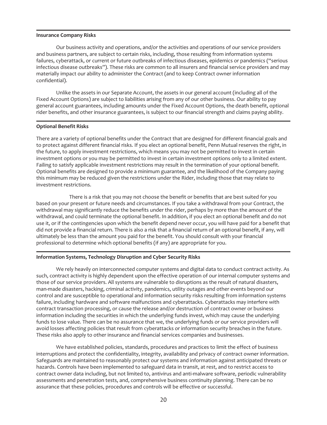## **Insurance Company Risks**

Our business activity and operations, and/or the activities and operations of our service providers and business partners, are subject to certain risks, including, those resulting from information systems failures, cyberattack, or current or future outbreaks of infectious diseases, epidemics or pandemics ("serious infectious disease outbreaks"). These risks are common to all insurers and financial service providers and may materially impact our ability to administer the Contract (and to keep Contract owner information confidential).

Unlike the assets in our Separate Account, the assets in our general account (including all of the Fixed Account Options) are subject to liabilities arising from any of our other business. Our ability to pay general account guarantees, including amounts under the Fixed Account Options, the death benefit, optional rider benefits, and other insurance guarantees, is subject to our financial strength and claims paying ability.

#### **Optional Benefit Risks**

There are a variety of optional benefits under the Contract that are designed for different financial goals and to protect against different financial risks. If you elect an optional benefit, Penn Mutual reserves the right, in the future, to apply investment restrictions, which means you may not be permitted to invest in certain investment options or you may be permitted to invest in certain investment options only to a limited extent. Failing to satisfy applicable investment restrictions may result in the termination of your optional benefit. Optional benefits are designed to provide a minimum guarantee, and the likelihood of the Company paying this minimum may be reduced given the restrictions under the Rider, including those that may relate to investment restrictions.

There is a risk that you may not choose the benefit or benefits that are best suited for you based on your present or future needs and circumstances. If you take a withdrawal from your Contract, the withdrawal may significantly reduce the benefits under the rider, perhaps by more than the amount of the withdrawal, and could terminate the optional benefit. In addition, if you elect an optional benefit and do not use it, or if the contingencies upon which the benefit depend never occur, you will have paid for a benefit that did not provide a financial return. There is also a risk that a financial return of an optional benefit, if any, will ultimately be less than the amount you paid for the benefit. You should consult with your financial professional to determine which optional benefits (if any) are appropriate for you.

## **Information Systems, Technology Disruption and Cyber Security Risks**

We rely heavily on interconnected computer systems and digital data to conduct contract activity. As such, contract activity is highly dependent upon the effective operation of our internal computer systems and those of our service providers. All systems are vulnerable to disruptions as the result of natural disasters, man-made disasters, hacking, criminal activity, pandemics, utility outages and other events beyond our control and are susceptible to operational and information security risks resulting from information systems failure, including hardware and software malfunctions and cyberattacks. Cyberattacks may interfere with contract transaction processing, or cause the release and/or destruction of contract owner or business information including the securities in which the underlying funds invest, which may cause the underlying funds to lose value. There can be no assurance that we, the underlying funds or our service providers will avoid losses affecting policies that result from cyberattacks or information security breaches in the future. These risks also apply to other insurance and financial services companies and businesses.

We have established policies, standards, procedures and practices to limit the effect of business interruptions and protect the confidentiality, integrity, availability and privacy of contract owner information. Safeguards are maintained to reasonably protect our systems and information against anticipated threats or hazards. Controls have been implemented to safeguard data in transit, at rest, and to restrict access to contract owner data including, but not limited to, antivirus and anti-malware software, periodic vulnerability assessments and penetration tests, and, comprehensive business continuity planning. There can be no assurance that these policies, procedures and controls will be effective or successful.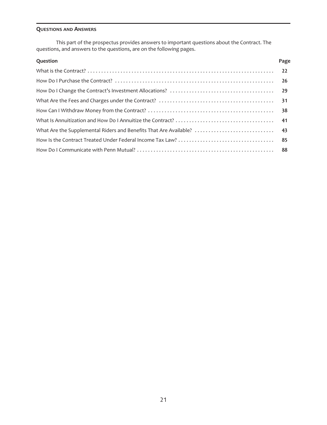# <span id="page-21-0"></span>**QUESTIONS AND ANSWERS**

This part of the prospectus provides answers to important questions about the Contract. The questions, and answers to the questions, are on the following pages.

| Question | Page |
|----------|------|
|          |      |
|          |      |
|          |      |
|          |      |
|          |      |
|          |      |
|          |      |
|          |      |
|          |      |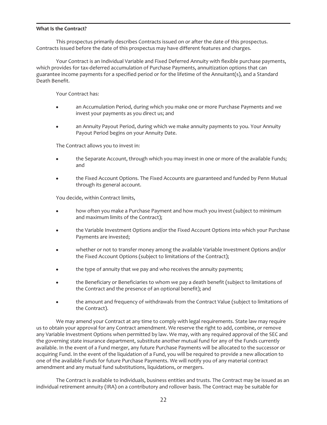#### <span id="page-22-0"></span>**What Is the Contract?**

This prospectus primarily describes Contracts issued on or after the date of this prospectus. Contracts issued before the date of this prospectus may have different features and charges.

Your Contract is an Individual Variable and Fixed Deferred Annuity with flexible purchase payments, which provides for tax-deferred accumulation of Purchase Payments, annuitization options that can guarantee income payments for a specified period or for the lifetime of the Annuitant(s), and a Standard Death Benefit.

Your Contract has:

- an Accumulation Period, during which you make one or more Purchase Payments and we invest your payments as you direct us; and
- an Annuity Payout Period, during which we make annuity payments to you. Your Annuity Payout Period begins on your Annuity Date.

The Contract allows you to invest in:

- the Separate Account, through which you may invest in one or more of the available Funds; and
- the Fixed Account Options. The Fixed Accounts are guaranteed and funded by Penn Mutual through its general account.

You decide, within Contract limits,

- how often you make a Purchase Payment and how much you invest (subject to minimum and maximum limits of the Contract);
- the Variable Investment Options and/or the Fixed Account Options into which your Purchase Payments are invested;
- whether or not to transfer money among the available Variable Investment Options and/or the Fixed Account Options (subject to limitations of the Contract);
- the type of annuity that we pay and who receives the annuity payments;
- the Beneficiary or Beneficiaries to whom we pay a death benefit (subject to limitations of the Contract and the presence of an optional benefit); and
- the amount and frequency of withdrawals from the Contract Value (subject to limitations of the Contract).

We may amend your Contract at any time to comply with legal requirements. State law may require us to obtain your approval for any Contract amendment. We reserve the right to add, combine, or remove any Variable Investment Options when permitted by law. We may, with any required approval of the SEC and the governing state insurance department, substitute another mutual fund for any of the Funds currently available. In the event of a Fund merger, any future Purchase Payments will be allocated to the successor or acquiring Fund. In the event of the liquidation of a Fund, you will be required to provide a new allocation to one of the available Funds for future Purchase Payments. We will notify you of any material contract amendment and any mutual fund substitutions, liquidations, or mergers.

The Contract is available to individuals, business entities and trusts. The Contract may be issued as an individual retirement annuity (IRA) on a contributory and rollover basis. The Contract may be suitable for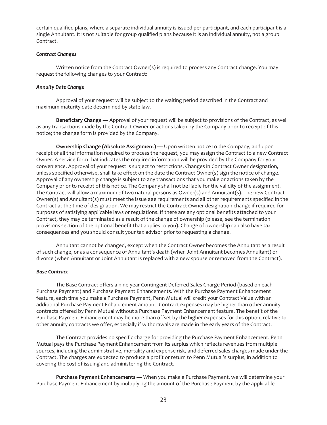certain qualified plans, where a separate individual annuity is issued per participant, and each participant is a single Annuitant. It is not suitable for group qualified plans because it is an individual annuity, not a group Contract.

#### *Contract Changes*

Written notice from the Contract Owner(s) is required to process any Contract change. You may request the following changes to your Contract:

## *Annuity Date Change*

Approval of your request will be subject to the waiting period described in the Contract and maximum maturity date determined by state law.

**Beneficiary Change —** Approval of your request will be subject to provisions of the Contract, as well as any transactions made by the Contract Owner or actions taken by the Company prior to receipt of this notice; the change form is provided by the Company.

**Ownership Change (Absolute Assignment) —** Upon written notice to the Company, and upon receipt of all the information required to process the request, you may assign the Contract to a new Contract Owner. A service form that indicates the required information will be provided by the Company for your convenience. Approval of your request is subject to restrictions. Changes in Contract Owner designation, unless specified otherwise, shall take effect on the date the Contract Owner(s) sign the notice of change. Approval of any ownership change is subject to any transactions that you make or actions taken by the Company prior to receipt of this notice. The Company shall not be liable for the validity of the assignment. The Contract will allow a maximum of two natural persons as Owner(s) and Annuitant(s). The new Contract Owner(s) and Annuitant(s) must meet the issue age requirements and all other requirements specified in the Contract at the time of designation. We may restrict the Contract Owner designation change if required for purposes of satisfying applicable laws or regulations. If there are any optional benefits attached to your Contract, they may be terminated as a result of the change of ownership (please, see the termination provisions section of the optional benefit that applies to you). Change of ownership can also have tax consequences and you should consult your tax advisor prior to requesting a change.

Annuitant cannot be changed, except when the Contract Owner becomes the Annuitant as a result of such change, or as a consequence of Annuitant's death (when Joint Annuitant becomes Annuitant) or divorce (when Annuitant or Joint Annuitant is replaced with a new spouse or removed from the Contract).

#### *Base Contract*

The Base Contract offers a nine-year Contingent Deferred Sales Charge Period (based on each Purchase Payment) and Purchase Payment Enhancements. With the Purchase Payment Enhancement feature, each time you make a Purchase Payment, Penn Mutual will credit your Contract Value with an additional Purchase Payment Enhancement amount. Contract expenses may be higher than other annuity contracts offered by Penn Mutual without a Purchase Payment Enhancement feature. The benefit of the Purchase Payment Enhancement may be more than offset by the higher expenses for this option, relative to other annuity contracts we offer, especially if withdrawals are made in the early years of the Contract.

The Contract provides no specific charge for providing the Purchase Payment Enhancement. Penn Mutual pays the Purchase Payment Enhancement from its surplus which reflects revenues from multiple sources, including the administrative, mortality and expense risk, and deferred sales charges made under the Contract. The charges are expected to produce a profit or return to Penn Mutual's surplus, in addition to covering the cost of issuing and administering the Contract.

**Purchase Payment Enhancements —** When you make a Purchase Payment, we will determine your Purchase Payment Enhancement by multiplying the amount of the Purchase Payment by the applicable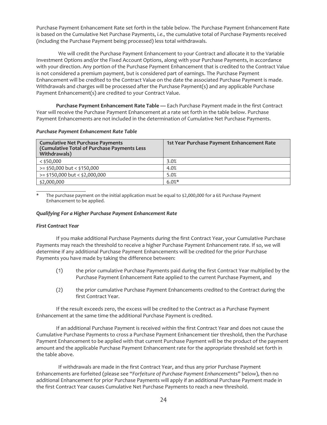Purchase Payment Enhancement Rate set forth in the table below. The Purchase Payment Enhancement Rate is based on the Cumulative Net Purchase Payments, *i.e.,* the cumulative total of Purchase Payments received (including the Purchase Payment being processed) less total withdrawals.

We will credit the Purchase Payment Enhancement to your Contract and allocate it to the Variable Investment Options and/or the Fixed Account Options, along with your Purchase Payments, in accordance with your direction. Any portion of the Purchase Payment Enhancement that is credited to the Contract Value is not considered a premium payment, but is considered part of earnings. The Purchase Payment Enhancement will be credited to the Contract Value on the date the associated Purchase Payment is made. Withdrawals and charges will be processed after the Purchase Payment(s) and any applicable Purchase Payment Enhancement(s) are credited to your Contract Value.

**Purchase Payment Enhancement Rate Table —** Each Purchase Payment made in the first Contract Year will receive the Purchase Payment Enhancement at a rate set forth in the table below. Purchase Payment Enhancements are not included in the determination of Cumulative Net Purchase Payments.

## *Purchase Payment Enhancement Rate Table*

| <b>Cumulative Net Purchase Payments</b><br>(Cumulative Total of Purchase Payments Less<br>Withdrawals) | 1st Year Purchase Payment Enhancement Rate |
|--------------------------------------------------------------------------------------------------------|--------------------------------------------|
| $<$ \$50,000                                                                                           | 3.0%                                       |
| $>=$ \$50,000 but < \$150,000                                                                          | 4.0%                                       |
| $>=$ \$150,000 but < \$2,000,000                                                                       | 5.0%                                       |
| \$2,000,000                                                                                            | $6.0%$ *                                   |

**\*** The purchase payment on the initial application must be equal to \$2,000,000 for a 6% Purchase Payment Enhancement to be applied.

## *Qualifying For a Higher Purchase Payment Enhancement Rate*

## *First Contract Year*

If you make additional Purchase Payments during the first Contract Year, your Cumulative Purchase Payments may reach the threshold to receive a higher Purchase Payment Enhancement rate. If so, we will determine if any additional Purchase Payment Enhancements will be credited for the prior Purchase Payments you have made by taking the difference between:

- (1) the prior cumulative Purchase Payments paid during the first Contract Year multiplied by the Purchase Payment Enhancement Rate applied to the current Purchase Payment, and
- (2) the prior cumulative Purchase Payment Enhancements credited to the Contract during the first Contract Year.

If the result exceeds zero, the excess will be credited to the Contract as a Purchase Payment Enhancement at the same time the additional Purchase Payment is credited.

If an additional Purchase Payment is received within the first Contract Year and does not cause the Cumulative Purchase Payments to cross a Purchase Payment Enhancement tier threshold, then the Purchase Payment Enhancement to be applied with that current Purchase Payment will be the product of the payment amount and the applicable Purchase Payment Enhancement rate for the appropriate threshold set forth in the table above.

If withdrawals are made in the first Contract Year, and thus any prior Purchase Payment Enhancements are forfeited (please see "*Forfeiture of Purchase Payment Enhancements*" below), then no additional Enhancement for prior Purchase Payments will apply if an additional Purchase Payment made in the first Contract Year causes Cumulative Net Purchase Payments to reach a new threshold.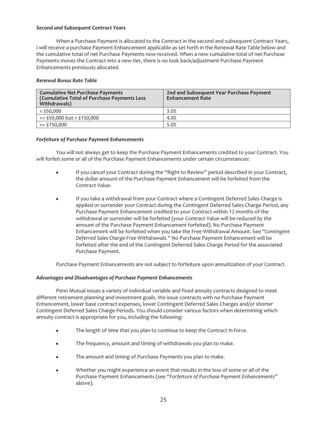## *Second and Subsequent Contract Years*

When a Purchase Payment is allocated to the Contract in the second and subsequent Contract Years, I will receive a purchase Payment Enhancement applicable as set forth in the Renewal Rate Table below and the cumulative total of net Purchase Payments now received. When a new cumulative total of net Purchase Payments moves the Contract into a new tier, there is no look back/adjustment Purchase Payment Enhancements previously allocated.

# *Renewal Bonus Rate Table*

| <b>Cumulative Net Purchase Payments</b><br>(Cumulative Total of Purchase Payments Less<br>Withdrawals) | 2nd and Subsequent Year Purchase Payment<br><b>Enhancement Rate</b> |
|--------------------------------------------------------------------------------------------------------|---------------------------------------------------------------------|
| $<$ \$50,000                                                                                           | 3.0%                                                                |
| $>=$ \$50,000 but < \$150,000                                                                          | 4.0%                                                                |
| >= \$150,000                                                                                           | 5.0%                                                                |

# *Forfeiture of Purchase Payment Enhancements*

You will not always get to keep the Purchase Payment Enhancements credited to your Contract. You will forfeit some or all of the Purchase Payment Enhancements under certain circumstances:

- If you cancel your Contract during the "Right to Review" period described in your Contract, the dollar amount of the Purchase Payment Enhancement will be forfeited from the Contract Value.
- If you take a withdrawal from your Contract where a Contingent Deferred Sales Charge is applied or surrender your Contract during the Contingent Deferred Sales Charge Period, any Purchase Payment Enhancement credited to your Contract within 12 months of the withdrawal or surrender will be forfeited (your Contract Value will be reduced by the amount of the Purchase Payment Enhancement forfeited). No Purchase Payment Enhancement will be forfeited when you take the Free Withdrawal Amount. See *"Contingent Deferred Sales Charge-Free Withdrawals."* No Purchase Payment Enhancement will be forfeited after the end of the Contingent Deferred Sales Charge Period for the associated Purchase Payment.

Purchase Payment Enhancements are not subject to forfeiture upon annuitization of your Contract.

# *Advantages and Disadvantages of Purchase Payment Enhancements*

Penn Mutual issues a variety of individual variable and fixed annuity contracts designed to meet different retirement planning and investment goals. We issue contracts with no Purchase Payment Enhancement, lower base contract expenses, lower Contingent Deferred Sales Charges and/or shorter Contingent Deferred Sales Charge Periods. You should consider various factors when determining which annuity contract is appropriate for you, including the following:

- The length of time that you plan to continue to keep the Contract in force.
- The frequency, amount and timing of withdrawals you plan to make.
- The amount and timing of Purchase Payments you plan to make.
- Whether you might experience an event that results in the loss of some or all of the Purchase Payment Enhancements (see *"Forfeiture of Purchase Payment Enhancements"* above).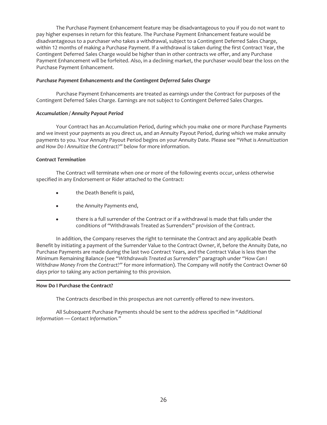The Purchase Payment Enhancement feature may be disadvantageous to you if you do not want to pay higher expenses in return for this feature. The Purchase Payment Enhancement feature would be disadvantageous to a purchaser who takes a withdrawal, subject to a Contingent Deferred Sales Charge, within 12 months of making a Purchase Payment. If a withdrawal is taken during the first Contract Year, the Contingent Deferred Sales Charge would be higher than in other contracts we offer, and any Purchase Payment Enhancement will be forfeited. Also, in a declining market, the purchaser would bear the loss on the Purchase Payment Enhancement.

## *Purchase Payment Enhancements and the Contingent Deferred Sales Charge*

Purchase Payment Enhancements are treated as earnings under the Contract for purposes of the Contingent Deferred Sales Charge. Earnings are not subject to Contingent Deferred Sales Charges.

# *Accumulation / Annuity Payout Period*

Your Contract has an Accumulation Period, during which you make one or more Purchase Payments and we invest your payments as you direct us, and an Annuity Payout Period, during which we make annuity payments to you. Your Annuity Payout Period begins on your Annuity Date. Please see *"What is Annuitization and How Do I Annuitize the Contract?"* below for more information.

# *Contract Termination*

The Contract will terminate when one or more of the following events occur, unless otherwise specified in any Endorsement or Rider attached to the Contract:

- the Death Benefit is paid,
- the Annuity Payments end,
- there is a full surrender of the Contract or if a withdrawal is made that falls under the conditions of "Withdrawals Treated as Surrenders" provision of the Contract.

In addition, the Company reserves the right to terminate the Contract and any applicable Death Benefit by initiating a payment of the Surrender Value to the Contract Owner, if, before the Annuity Date, no Purchase Payments are made during the last two Contract Years, and the Contract Value is less than the Minimum Remaining Balance (see *"Withdrawals Treated as Surrenders"* paragraph under *"How Can I Withdraw Money From the Contract?"* for more information). The Company will notify the Contract Owner 60 days prior to taking any action pertaining to this provision.

## <span id="page-26-0"></span>**How Do I Purchase the Contract?**

The Contracts described in this prospectus are not currently offered to new investors.

All Subsequent Purchase Payments should be sent to the address specified in *"Additional Information — Contact Information."*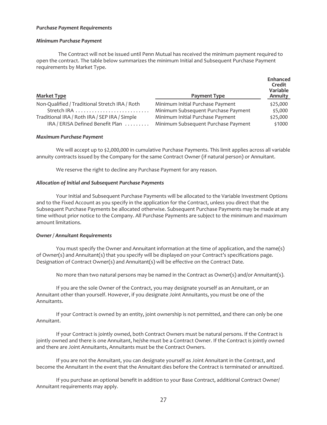#### *Purchase Payment Requirements*

#### *Minimum Purchase Payment*

The Contract will not be issued until Penn Mutual has received the minimum payment required to open the contract. The table below summarizes the minimum Initial and Subsequent Purchase Payment requirements by Market Type.

| <b>Market Type</b>                             | Payment Type                        | <b>Enhanced</b><br>Credit<br>Variable<br>Annuity |
|------------------------------------------------|-------------------------------------|--------------------------------------------------|
| Non-Qualified / Traditional Stretch IRA / Roth | Minimum Initial Purchase Payment    | \$25,000                                         |
| Stretch IRA                                    | Minimum Subsequent Purchase Payment | \$5,000                                          |
| Traditional IRA / Roth IRA / SEP IRA / Simple  | Minimum Initial Purchase Payment    | \$25,000                                         |
| IRA / ERISA Defined Benefit Plan               | Minimum Subsequent Purchase Payment | \$1000                                           |

#### *Maximum Purchase Payment*

We will accept up to \$2,000,000 in cumulative Purchase Payments. This limit applies across all variable annuity contracts issued by the Company for the same Contract Owner (if natural person) or Annuitant.

We reserve the right to decline any Purchase Payment for any reason.

#### *Allocation of Initial and Subsequent Purchase Payments*

Your Initial and Subsequent Purchase Payments will be allocated to the Variable Investment Options and to the Fixed Account as you specify in the application for the Contract, unless you direct that the Subsequent Purchase Payments be allocated otherwise. Subsequent Purchase Payments may be made at any time without prior notice to the Company. All Purchase Payments are subject to the minimum and maximum amount limitations.

## *Owner / Annuitant Requirements*

You must specify the Owner and Annuitant information at the time of application, and the name(s) of Owner(s) and Annuitant(s) that you specify will be displayed on your Contract's specifications page. Designation of Contract Owner(s) and Annuitant(s) will be effective on the Contract Date.

No more than two natural persons may be named in the Contract as Owner(s) and/or Annuitant(s).

If you are the sole Owner of the Contract, you may designate yourself as an Annuitant, or an Annuitant other than yourself. However, if you designate Joint Annuitants, you must be one of the Annuitants.

If your Contract is owned by an entity, joint ownership is not permitted, and there can only be one Annuitant.

If your Contract is jointly owned, both Contract Owners must be natural persons. If the Contract is jointly owned and there is one Annuitant, he/she must be a Contract Owner. If the Contract is jointly owned and there are Joint Annuitants, Annuitants must be the Contract Owners.

If you are not the Annuitant, you can designate yourself as Joint Annuitant in the Contract, and become the Annuitant in the event that the Annuitant dies before the Contract is terminated or annuitized.

If you purchase an optional benefit in addition to your Base Contract, additional Contract Owner/ Annuitant requirements may apply.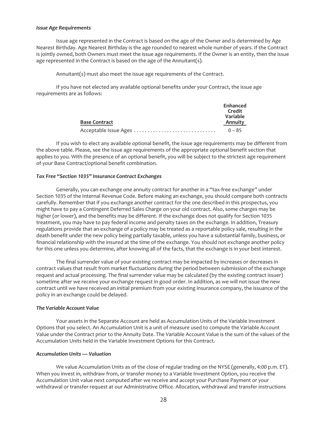#### *Issue Age Requirements*

Issue age represented in the Contract is based on the age of the Owner and is determined by Age Nearest Birthday. Age Nearest Birthday is the age rounded to nearest whole number of years. If the Contract is jointly owned, both Owners must meet the issue age requirements. If the Owner is an entity, then the issue age represented in the Contract is based on the age of the Annuitant(s).

Annuitant(s) must also meet the issue age requirements of the Contract.

If you have not elected any available optional benefits under your Contract, the issue age requirements are as follows:

|                       | Enhanced<br>Credit<br>Variable |
|-----------------------|--------------------------------|
| <b>Base Contract</b>  | Annuity                        |
| Acceptable Issue Ages | $0 - 85$                       |

If you wish to elect any available optional benefit, the issue age requirements may be different from the above table. Please, see the issue age requirements of the appropriate optional benefit section that applies to you. With the presence of an optional benefit, you will be subject to the strictest age requirement of your Base Contract/optional benefit combination.

#### *Tax Free "Section 1035" Insurance Contract Exchanges*

Generally, you can exchange one annuity contract for another in a "tax-free exchange" under Section 1035 of the Internal Revenue Code. Before making an exchange, you should compare both contracts carefully. Remember that if you exchange another contract for the one described in this prospectus, you might have to pay a Contingent Deferred Sales Charge on your old contract. Also, some charges may be higher (or lower), and the benefits may be different. If the exchange does not qualify for Section 1035 treatment, you may have to pay federal income and penalty taxes on the exchange. In addition, Treasury regulations provide that an exchange of a policy may be treated as a reportable policy sale, resulting in the death benefit under the new policy being partially taxable, unless you have a substantial family, business, or financial relationship with the insured at the time of the exchange. You should not exchange another policy for this one unless you determine, after knowing all of the facts, that the exchange is in your best interest.

The final surrender value of your existing contract may be impacted by increases or decreases in contract values that result from market fluctuations during the period between submission of the exchange request and actual processing. The final surrender value may be calculated (by the existing contract issuer) sometime after we receive your exchange request in good order. In addition, as we will not issue the new contract until we have received an initial premium from your existing insurance company, the issuance of the policy in an exchange could be delayed.

# *The Variable Account Value*

Your assets in the Separate Account are held as Accumulation Units of the Variable Investment Options that you select. An Accumulation Unit is a unit of measure used to compute the Variable Account Value under the Contract prior to the Annuity Date. The Variable Account Value is the sum of the values of the Accumulation Units held in the Variable Investment Options for this Contract.

## *Accumulation Units — Valuation*

We value Accumulation Units as of the close of regular trading on the NYSE (generally, 4:00 p.m. ET). When you invest in, withdraw from, or transfer money to a Variable Investment Option, you receive the Accumulation Unit value next computed after we receive and accept your Purchase Payment or your withdrawal or transfer request at our Administrative Office. Allocation, withdrawal and transfer instructions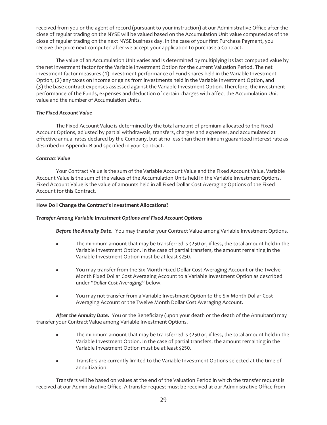received from you or the agent of record (pursuant to your instruction) at our Administrative Office after the close of regular trading on the NYSE will be valued based on the Accumulation Unit value computed as of the close of regular trading on the next NYSE business day. In the case of your first Purchase Payment, you receive the price next computed after we accept your application to purchase a Contract.

The value of an Accumulation Unit varies and is determined by multiplying its last computed value by the net investment factor for the Variable Investment Option for the current Valuation Period. The net investment factor measures (1) investment performance of Fund shares held in the Variable Investment Option, (2) any taxes on income or gains from investments held in the Variable Investment Option, and (3) the base contract expenses assessed against the Variable Investment Option. Therefore, the investment performance of the Funds, expenses and deduction of certain charges with affect the Accumulation Unit value and the number of Accumulation Units.

# *The Fixed Account Value*

The Fixed Account Value is determined by the total amount of premium allocated to the Fixed Account Options, adjusted by partial withdrawals, transfers, charges and expenses, and accumulated at effective annual rates declared by the Company, but at no less than the minimum guaranteed interest rate as described in Appendix B and specified in your Contract.

## *Contract Value*

Your Contract Value is the sum of the Variable Account Value and the Fixed Account Value. Variable Account Value is the sum of the values of the Accumulation Units held in the Variable Investment Options. Fixed Account Value is the value of amounts held in all Fixed Dollar Cost Averaging Options of the Fixed Account for this Contract.

# <span id="page-29-0"></span>**How Do I Change the Contract's Investment Allocations?**

## *Transfer Among Variable Investment Options and Fixed Account Options*

*Before the Annuity Date.* You may transfer your Contract Value among Variable Investment Options.

- The minimum amount that may be transferred is  $\frac{1}{2}$  250 or, if less, the total amount held in the Variable Investment Option. In the case of partial transfers, the amount remaining in the Variable Investment Option must be at least \$250.
- You may transfer from the Six Month Fixed Dollar Cost Averaging Account or the Twelve Month Fixed Dollar Cost Averaging Account to a Variable Investment Option as described under *"Dollar Cost Averaging"* below.
- You may not transfer from a Variable Investment Option to the Six Month Dollar Cost Averaging Account or the Twelve Month Dollar Cost Averaging Account.

*After the Annuity Date.* You or the Beneficiary (upon your death or the death of the Annuitant) may transfer your Contract Value among Variable Investment Options.

- The minimum amount that may be transferred is \$250 or, if less, the total amount held in the Variable Investment Option. In the case of partial transfers, the amount remaining in the Variable Investment Option must be at least \$250.
- Transfers are currently limited to the Variable Investment Options selected at the time of annuitization.

Transfers will be based on values at the end of the Valuation Period in which the transfer request is received at our Administrative Office. A transfer request must be received at our Administrative Office from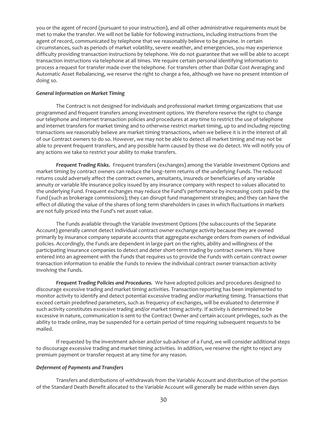you or the agent of record (pursuant to your instruction), and all other administrative requirements must be met to make the transfer. We will not be liable for following instructions, including instructions from the agent of record, communicated by telephone that we reasonably believe to be genuine. In certain circumstances, such as periods of market volatility, severe weather, and emergencies, you may experience difficulty providing transaction instructions by telephone. We do not guarantee that we will be able to accept transaction instructions via telephone at all times. We require certain personal identifying information to process a request for transfer made over the telephone. For transfers other than Dollar Cost Averaging and Automatic Asset Rebalancing, we reserve the right to charge a fee, although we have no present intention of doing so.

#### *General Information on Market Timing*

The Contract is not designed for individuals and professional market timing organizations that use programmed and frequent transfers among investment options. We therefore reserve the right to change our telephone and internet transaction policies and procedures at any time to restrict the use of telephone and internet transfers for market timing and to otherwise restrict market timing, up to and including rejecting transactions we reasonably believe are market timing transactions, when we believe it is in the interest of all of our Contract owners to do so. However, we may not be able to detect all market timing and may not be able to prevent frequent transfers, and any possible harm caused by those we do detect. We will notify you of any actions we take to restrict your ability to make transfers.

*Frequent Trading Risks.* Frequent transfers (exchanges) among the Variable Investment Options and market timing by contract owners can reduce the long–term returns of the underlying Funds. The reduced returns could adversely affect the contract owners, annuitants, insureds or beneficiaries of any variable annuity or variable life insurance policy issued by any insurance company with respect to values allocated to the underlying Fund. Frequent exchanges may reduce the Fund's performance by increasing costs paid by the Fund (such as brokerage commissions); they can disrupt fund management strategies; and they can have the effect of diluting the value of the shares of long term shareholders in cases in which fluctuations in markets are not fully priced into the Fund's net asset value.

The Funds available through the Variable Investment Options (the subaccounts of the Separate Account) generally cannot detect individual contract owner exchange activity because they are owned primarily by insurance company separate accounts that aggregate exchange orders from owners of individual policies. Accordingly, the Funds are dependent in large part on the rights, ability and willingness of the participating insurance companies to detect and deter short-term trading by contract owners. We have entered into an agreement with the Funds that requires us to provide the Funds with certain contract owner transaction information to enable the Funds to review the individual contract owner transaction activity involving the Funds.

*Frequent Trading Policies and Procedures.* We have adopted policies and procedures designed to discourage excessive trading and market timing activities. Transaction reporting has been implemented to monitor activity to identify and detect potential excessive trading and/or marketing timing. Transactions that exceed certain predefined parameters, such as frequency of exchanges, will be evaluated to determine if such activity constitutes excessive trading and/or market timing activity. If activity is determined to be excessive in nature, communication is sent to the Contract Owner and certain account privileges, such as the ability to trade online, may be suspended for a certain period of time requiring subsequent requests to be mailed.

If requested by the investment adviser and/or sub-adviser of a Fund, we will consider additional steps to discourage excessive trading and market timing activities. In addition, we reserve the right to reject any premium payment or transfer request at any time for any reason.

## *Deferment of Payments and Transfers*

Transfers and distributions of withdrawals from the Variable Account and distribution of the portion of the Standard Death Benefit allocated to the Variable Account will generally be made within seven days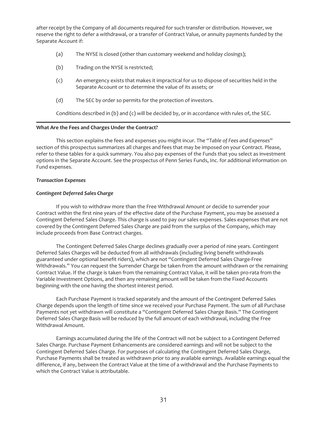after receipt by the Company of all documents required for such transfer or distribution. However, we reserve the right to defer a withdrawal, or a transfer of Contract Value, or annuity payments funded by the Separate Account if:

- (a) The NYSE is closed (other than customary weekend and holiday closings);
- (b) Trading on the NYSE is restricted;
- (c) An emergency exists that makes it impractical for us to dispose of securities held in the Separate Account or to determine the value of its assets; or
- (d) The SEC by order so permits for the protection of investors.

Conditions described in (b) and (c) will be decided by, or in accordance with rules of, the SEC.

#### <span id="page-31-0"></span>**What Are the Fees and Charges Under the Contract?**

This section explains the fees and expenses you might incur. The *"Table of Fees and Expenses"* section of this prospectus summarizes all charges and fees that may be imposed on your Contract. Please, refer to these tables for a quick summary. You also pay expenses of the Funds that you select as investment options in the Separate Account. See the prospectus of Penn Series Funds, Inc. for additional information on Fund expenses.

## *Transaction Expenses*

## *Contingent Deferred Sales Charge*

If you wish to withdraw more than the Free Withdrawal Amount or decide to surrender your Contract within the first nine years of the effective date of the Purchase Payment, you may be assessed a Contingent Deferred Sales Charge. This charge is used to pay our sales expenses. Sales expenses that are not covered by the Contingent Deferred Sales Charge are paid from the surplus of the Company, which may include proceeds from Base Contract charges.

The Contingent Deferred Sales Charge declines gradually over a period of nine years. Contingent Deferred Sales Charges will be deducted from all withdrawals (including living benefit withdrawals guaranteed under optional benefit riders), which are not "Contingent Deferred Sales Charge-Free Withdrawals." You can request the Surrender Charge be taken from the amount withdrawn or the remaining Contract Value. If the charge is taken from the remaining Contract Value, it will be taken pro-rata from the Variable Investment Options, and then any remaining amount will be taken from the Fixed Accounts beginning with the one having the shortest interest period.

Each Purchase Payment is tracked separately and the amount of the Contingent Deferred Sales Charge depends upon the length of time since we received your Purchase Payment. The sum of all Purchase Payments not yet withdrawn will constitute a "Contingent Deferred Sales Charge Basis." The Contingent Deferred Sales Charge Basis will be reduced by the full amount of each withdrawal, including the Free Withdrawal Amount.

Earnings accumulated during the life of the Contract will not be subject to a Contingent Deferred Sales Charge. Purchase Payment Enhancements are considered earnings and will not be subject to the Contingent Deferred Sales Charge. For purposes of calculating the Contingent Deferred Sales Charge, Purchase Payments shall be treated as withdrawn prior to any available earnings. Available earnings equal the difference, if any, between the Contract Value at the time of a withdrawal and the Purchase Payments to which the Contract Value is attributable.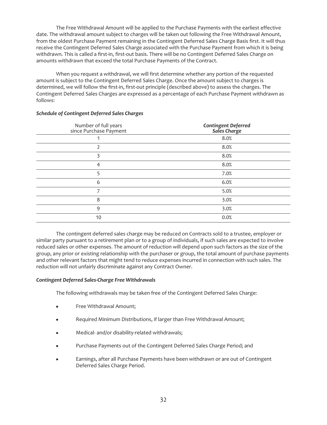The Free Withdrawal Amount will be applied to the Purchase Payments with the earliest effective date. The withdrawal amount subject to charges will be taken out following the Free Withdrawal Amount, from the oldest Purchase Payment remaining in the Contingent Deferred Sales Charge Basis first. It will thus receive the Contingent Deferred Sales Charge associated with the Purchase Payment from which it is being withdrawn. This is called a first-in, first-out basis. There will be no Contingent Deferred Sales Charge on amounts withdrawn that exceed the total Purchase Payments of the Contract.

When you request a withdrawal, we will first determine whether any portion of the requested amount is subject to the Contingent Deferred Sales Charge. Once the amount subject to charges is determined, we will follow the first-in, first-out principle (described above) to assess the charges. The Contingent Deferred Sales Charges are expressed as a percentage of each Purchase Payment withdrawn as follows:

| Number of full years<br>since Purchase Payment | <b>Contingent Deferred<br/>Sales Charge</b> |
|------------------------------------------------|---------------------------------------------|
|                                                | 8.0%                                        |
|                                                | 8.0%                                        |
| 3                                              | 8.0%                                        |
| 4                                              | 8.0%                                        |
| 5                                              | 7.0%                                        |
| 6                                              | 6.0%                                        |
| ⇁                                              | 5.0%                                        |
| 8                                              | 3.0%                                        |
| 9                                              | 3.0%                                        |
| 10                                             | 0.0%                                        |

# *Schedule of Contingent Deferred Sales Charges*

The contingent deferred sales charge may be reduced on Contracts sold to a trustee, employer or similar party pursuant to a retirement plan or to a group of individuals, if such sales are expected to involve reduced sales or other expenses. The amount of reduction will depend upon such factors as the size of the group, any prior or existing relationship with the purchaser or group, the total amount of purchase payments and other relevant factors that might tend to reduce expenses incurred in connection with such sales. The reduction will not unfairly discriminate against any Contract Owner.

## *Contingent Deferred Sales-Charge Free Withdrawals*

The following withdrawals may be taken free of the Contingent Deferred Sales Charge:

- Free Withdrawal Amount;
- Required Minimum Distributions, if larger than Free Withdrawal Amount;
- Medical- and/or disability-related withdrawals;
- Purchase Payments out of the Contingent Deferred Sales Charge Period; and
- Earnings, after all Purchase Payments have been withdrawn or are out of Contingent Deferred Sales Charge Period.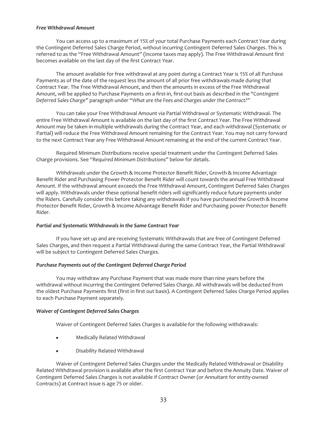## *Free Withdrawal Amount*

You can access up to a maximum of 15% of your total Purchase Payments each Contract Year during the Contingent Deferred Sales Charge Period, without incurring Contingent Deferred Sales Charges. This is referred to as the "Free Withdrawal Amount" (income taxes may apply). The Free Withdrawal Amount first becomes available on the last day of the first Contract Year.

The amount available for free withdrawal at any point during a Contract Year is 15% of all Purchase Payments as of the date of the request less the amount of all prior free withdrawals made during that Contract Year. The Free Withdrawal Amount, and then the amounts in excess of the Free Withdrawal Amount, will be applied to Purchase Payments on a first-in, first-out basis as described in the "Co*ntingent Deferred Sales Charge"* paragraph under *"What are the Fees and Charges under the Contract?"*

You can take your Free Withdrawal Amount via Partial Withdrawal or Systematic Withdrawal. The entire Free Withdrawal Amount is available on the last day of the first Contract Year. The Free Withdrawal Amount may be taken in multiple withdrawals during the Contract Year, and each withdrawal (Systematic or Partial) will reduce the Free Withdrawal Amount remaining for the Contract Year. You may not carry forward to the next Contract Year any Free Withdrawal Amount remaining at the end of the current Contract Year.

Required Minimum Distributions receive special treatment under the Contingent Deferred Sales Charge provisions. See *"Required Minimum Distributions"* below for details.

Withdrawals under the Growth & Income Protector Benefit Rider, Growth & Income Advantage Benefit Rider and Purchasing Power Protector Benefit Rider will count towards the annual Free Withdrawal Amount. If the withdrawal amount exceeds the Free Withdrawal Amount, Contingent Deferred Sales Charges will apply. Withdrawals under these optional benefit riders will significantly reduce future payments under the Riders. Carefully consider this before taking any withdrawals if you have purchased the Growth & Income Protector Benefit Rider, Growth & Income Advantage Benefit Rider and Purchasing power Protector Benefit Rider.

# *Partial and Systematic Withdrawals in the Same Contract Year*

If you have set up and are receiving Systematic Withdrawals that are free of Contingent Deferred Sales Charges, and then request a Partial Withdrawal during the same Contract Year, the Partial Withdrawal will be subject to Contingent Deferred Sales Charges.

# *Purchase Payments out of the Contingent Deferred Charge Period*

You may withdraw any Purchase Payment that was made more than nine years before the withdrawal without incurring the Contingent Deferred Sales Charge. All withdrawals will be deducted from the oldest Purchase Payments first (first in first out basis). A Contingent Deferred Sales Charge Period applies to each Purchase Payment separately.

## *Waiver of Contingent Deferred Sales Charges*

Waiver of Contingent Deferred Sales Charges is available for the following withdrawals:

- Medically Related Withdrawal
- Disability Related Withdrawal

Waiver of Contingent Deferred Sales Charges under the Medically Related Withdrawal or Disability Related Withdrawal provision is available after the first Contract Year and before the Annuity Date. Waiver of Contingent Deferred Sales Charges is not available if Contract Owner (or Annuitant for entity-owned Contracts) at Contract issue is age 75 or older.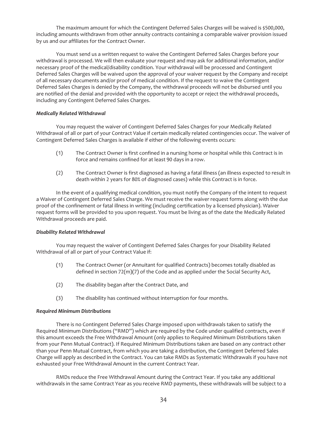The maximum amount for which the Contingent Deferred Sales Charges will be waived is \$500,000, including amounts withdrawn from other annuity contracts containing a comparable waiver provision issued by us and our affiliates for the Contract Owner.

You must send us a written request to waive the Contingent Deferred Sales Charges before your withdrawal is processed. We will then evaluate your request and may ask for additional information, and/or necessary proof of the medical/disability condition. Your withdrawal will be processed and Contingent Deferred Sales Charges will be waived upon the approval of your waiver request by the Company and receipt of all necessary documents and/or proof of medical condition. If the request to waive the Contingent Deferred Sales Charges is denied by the Company, the withdrawal proceeds will not be disbursed until you are notified of the denial and provided with the opportunity to accept or reject the withdrawal proceeds, including any Contingent Deferred Sales Charges.

# *Medically Related Withdrawal*

You may request the waiver of Contingent Deferred Sales Charges for your Medically Related Withdrawal of all or part of your Contract Value if certain medically related contingencies occur. The waiver of Contingent Deferred Sales Charges is available if either of the following events occurs:

- (1) The Contract Owner is first confined in a nursing home or hospital while this Contract is in force and remains confined for at least 90 days in a row.
- (2) The Contract Owner is first diagnosed as having a fatal illness (an illness expected to result in death within 2 years for 80% of diagnosed cases) while this Contract is in force.

In the event of a qualifying medical condition, you must notify the Company of the intent to request a Waiver of Contingent Deferred Sales Charge. We must receive the waiver request forms along with the due proof of the confinement or fatal illness in writing (including certification by a licensed physician). Waiver request forms will be provided to you upon request. You must be living as of the date the Medically Related Withdrawal proceeds are paid.

## *Disability Related Withdrawal*

You may request the waiver of Contingent Deferred Sales Charges for your Disability Related Withdrawal of all or part of your Contract Value if:

- (1) The Contract Owner (or Annuitant for qualified Contracts) becomes totally disabled as defined in section 72(m)(7) of the Code and as applied under the Social Security Act,
- (2) The disability began after the Contract Date, and
- (3) The disability has continued without interruption for four months.

## *Required Minimum Distributions*

There is no Contingent Deferred Sales Charge imposed upon withdrawals taken to satisfy the Required Minimum Distributions ("RMD") which are required by the Code under qualified contracts, even if this amount exceeds the Free Withdrawal Amount (only applies to Required Minimum Distributions taken from your Penn Mutual Contract). If Required Minimum Distributions taken are based on any contract other than your Penn Mutual Contract, from which you are taking a distribution, the Contingent Deferred Sales Charge will apply as described in the Contract. You can take RMDs as Systematic Withdrawals if you have not exhausted your Free Withdrawal Amount in the current Contract Year.

RMDs reduce the Free Withdrawal Amount during the Contract Year. If you take any additional withdrawals in the same Contract Year as you receive RMD payments, these withdrawals will be subject to a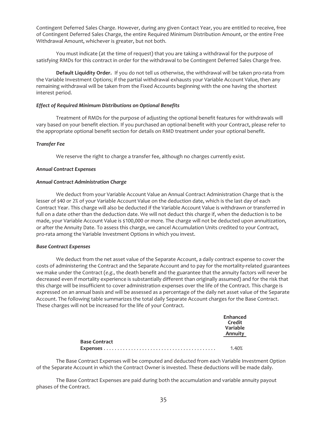Contingent Deferred Sales Charge. However, during any given Contact Year, you are entitled to receive, free of Contingent Deferred Sales Charge, the entire Required Minimum Distribution Amount, or the entire Free Withdrawal Amount, whichever is greater, but not both.

You must indicate (at the time of request) that you are taking a withdrawal for the purpose of satisfying RMDs for this contract in order for the withdrawal to be Contingent Deferred Sales Charge free.

**Default Liquidity Order.** If you do not tell us otherwise, the withdrawal will be taken pro-rata from the Variable Investment Options; if the partial withdrawal exhausts your Variable Account Value, then any remaining withdrawal will be taken from the Fixed Accounts beginning with the one having the shortest interest period.

### *Effect of Required Minimum Distributions on Optional Benefits*

Treatment of RMDs for the purpose of adjusting the optional benefit features for withdrawals will vary based on your benefit election. If you purchased an optional benefit with your Contract, please refer to the appropriate optional benefit section for details on RMD treatment under your optional benefit.

#### *Transfer Fee*

We reserve the right to charge a transfer fee, although no charges currently exist.

#### *Annual Contract Expenses*

#### *Annual Contract Administration Charge*

We deduct from your Variable Account Value an Annual Contract Administration Charge that is the lesser of \$40 or 2% of your Variable Account Value on the deduction date, which is the last day of each Contract Year. This charge will also be deducted if the Variable Account Value is withdrawn or transferred in full on a date other than the deduction date. We will not deduct this charge if, when the deduction is to be made, your Variable Account Value is \$100,000 or more. The charge will not be deducted upon annuitization, or after the Annuity Date. To assess this charge, we cancel Accumulation Units credited to your Contract, pro-rata among the Variable Investment Options in which you invest.

## *Base Contract Expenses*

We deduct from the net asset value of the Separate Account, a daily contract expense to cover the costs of administering the Contract and the Separate Account and to pay for the mortality-related guarantees we make under the Contract (*e.g.,* the death benefit and the guarantee that the annuity factors will never be decreased even if mortality experience is substantially different than originally assumed) and for the risk that this charge will be insufficient to cover administration expenses over the life of the Contract. This charge is expressed on an annual basis and will be assessed as a percentage of the daily net asset value of the Separate Account. The following table summarizes the total daily Separate Account charges for the Base Contract. These charges will not be increased for the life of your Contract.

|                      | Enhanced<br>Credit<br>Variable<br>Annuity |
|----------------------|-------------------------------------------|
| <b>Base Contract</b> |                                           |
|                      | 1.40%                                     |

The Base Contract Expenses will be computed and deducted from each Variable Investment Option of the Separate Account in which the Contract Owner is invested. These deductions will be made daily.

The Base Contract Expenses are paid during both the accumulation and variable annuity payout phases of the Contract.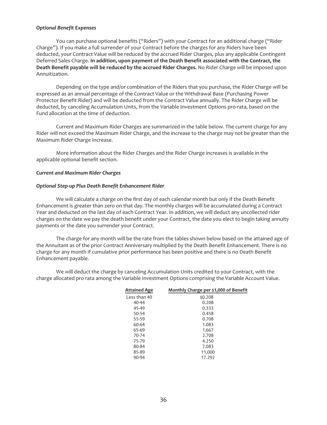#### *Optional Benefit Expenses*

You can purchase optional benefits ("Riders") with your Contract for an additional charge ("Rider Charge"). If you make a full surrender of your Contract before the charges for any Riders have been deducted, your Contract Value will be reduced by the accrued Rider Charges, plus any applicable Contingent Deferred Sales Charge. **In addition, upon payment of the Death Benefit associated with the Contract, the Death Benefit payable will be reduced by the accrued Rider Charges.** No Rider Charge will be imposed upon Annuitization.

Depending on the type and/or combination of the Riders that you purchase, the Rider Charge will be expressed as an annual percentage of the Contract Value or the Withdrawal Base (Purchasing Power Protector Benefit Rider) and will be deducted from the Contract Value annually. The Rider Charge will be deducted, by canceling Accumulation Units, from the Variable Investment Options pro-rata, based on the Fund allocation at the time of deduction.

Current and Maximum Rider Charges are summarized in the table below. The current charge for any Rider will not exceed the Maximum Rider Charge, and the increase to the charge may not be greater than the Maximum Rider Charge Increase.

More information about the Rider Charges and the Rider Charge increases is available in the applicable optional benefit section.

#### *Current and Maximum Rider Charges*

#### *Optional Step-up Plus Death Benefit Enhancement Rider*

We will calculate a charge on the first day of each calendar month but only if the Death Benefit Enhancement is greater than zero on that day. The monthly charges will be accumulated during a Contract Year and deducted on the last day of each Contract Year. In addition, we will deduct any uncollected rider charges on the date we pay the death benefit under your Contract, the date you elect to begin taking annuity payments or the date you surrender your Contract.

The charge for any month will be the rate from the tables shown below based on the attained age of the Annuitant as of the prior Contract Anniversary multiplied by the Death Benefit Enhancement. There is no charge for any month if cumulative prior performance has been positive and there is no Death Benefit Enhancement payable.

We will deduct the charge by canceling Accumulation Units credited to your Contract, with the charge allocated pro rata among the Variable Investment Options comprising the Variable Account Value.

| <b>Attained Age</b> | Monthly Charge per \$1,000 of Benefit |
|---------------------|---------------------------------------|
| Less than 40        | \$0.208                               |
| 40-44               | 0.208                                 |
| 45-49               | 0.333                                 |
| 50-54               | 0.458                                 |
| 55-59               | 0.708                                 |
| 60-64               | 1.083                                 |
| 65-69               | 1.667                                 |
| 70-74               | 2.708                                 |
| 75-79               | 4.250                                 |
| 80-84               | 7.083                                 |
| 85-89               | 11.000                                |
| 90-94               | 17.292                                |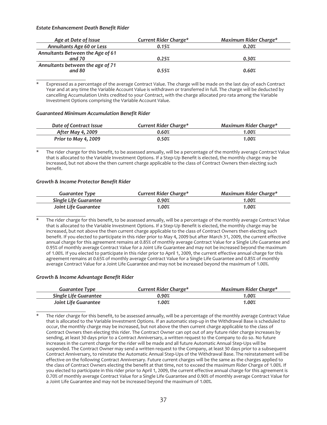#### *Estate Enhancement Death Benefit Rider*

| Age at Date of Issue                       | Current Rider Charge* | Maximum Rider Charge* |
|--------------------------------------------|-----------------------|-----------------------|
| <b>Annuitants Age 60 or Less</b>           | 0.15%                 | 0.20%                 |
| Annuitants Between the Age of 61<br>and 70 | 0.25%                 | 0.30%                 |
| Annuitants between the age of 71<br>and 80 | 0.55%                 | 0.60%                 |

Expressed as a percentage of the average Contract Value. The charge will be made on the last day of each Contract Year and at any time the Variable Account Value is withdrawn or transferred in full. The charge will be deducted by cancelling Accumulation Units credited to your Contract, with the charge allocated pro rata among the Variable Investment Options comprising the Variable Account Value.

#### *Guaranteed Minimum Accumulation Benefit Rider*

| Date of Contract Issue   | Current Rider Charge* | Maximum Rider Charge* |
|--------------------------|-----------------------|-----------------------|
| <b>After May 4, 2009</b> | 0.60%                 | 1.00%                 |
| Prior to May 4, 2009     | 0.50%                 | 1.00%                 |

The rider charge for this benefit, to be assessed annually, will be a percentage of the monthly average Contract Value that is allocated to the Variable Investment Options. If a Step-Up Benefit is elected, the monthly charge may be increased, but not above the then current charge applicable to the class of Contract Owners then electing such benefit.

#### *Growth & Income Protector Benefit Rider*

| <b>Guarantee Type</b> | Current Rider Charge* | Maximum Rider Charge* |
|-----------------------|-----------------------|-----------------------|
| Single Life Guarantee | 0.90%                 | 1.00%                 |
| Joint Life Guarantee  | 1.00%                 | 1.00%                 |

The rider charge for this benefit, to be assessed annually, will be a percentage of the monthly average Contract Value that is allocated to the Variable Investment Options. If a Step-Up Benefit is elected, the monthly charge may be increased, but not above the then current charge applicable to the class of Contract Owners then electing such benefit. If you elected to participate in this rider prior to May 4, 2009 but after March 31, 2009, the current effective annual charge for this agreement remains at 0.85% of monthly average Contract Value for a Single Life Guarantee and 0.95% of monthly average Contract Value for a Joint Life Guarantee and may not be increased beyond the maximum of 1.00%. If you elected to participate in this rider prior to April 1, 2009, the current effective annual charge for this agreement remains at 0.65% of monthly average Contract Value for a Single Life Guarantee and 0.85% of monthly average Contract Value for a Joint Life Guarantee and may not be increased beyond the maximum of 1.00%.

#### *Growth & Income Advantage Benefit Rider*

| <b>Guarantee Type</b>        | <b>Current Rider Charge*</b> | Maximum Rider Charge* |
|------------------------------|------------------------------|-----------------------|
| <b>Single Life Guarantee</b> | 0.90%                        | 1.00%                 |
| Joint Life Guarantee         | 1.00%                        | 1.00%                 |

The rider charge for this benefit, to be assessed annually, will be a percentage of the monthly average Contract Value that is allocated to the Variable Investment Options. If an automatic step-up in the Withdrawal Base is scheduled to occur, the monthly charge may be increased, but not above the then current charge applicable to the class of Contract Owners then electing this rider. The Contract Owner can opt out of any future rider charge increases by sending, at least 30 days prior to a Contract Anniversary, a written request to the Company to do so. No future increases in the current charge for the rider will be made and all future Automatic Annual Step-Ups will be suspended. The Contract Owner may send a written request to the Company, at least 30 days prior to a subsequent Contract Anniversary, to reinstate the Automatic Annual Step-Ups of the Withdrawal Base. The reinstatement will be effective on the following Contract Anniversary. Future current charges will be the same as the charges applied to the class of Contract Owners electing the benefit at that time, not to exceed the maximum Rider Charge of 1.00%. If you elected to participate in this rider prior to April 1, 2009, the current effective annual charge for this agreement is 0.70% of monthly average Contract Value for a Single Life Guarantee and 0.90% of monthly average Contract Value for a Joint Life Guarantee and may not be increased beyond the maximum of 1.00%.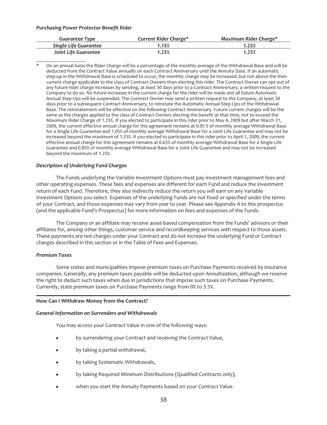#### *Purchasing Power Protector Benefit Rider*

| <b>Guarantee Type</b> | Current Rider Charge* | Maximum Rider Charge* |
|-----------------------|-----------------------|-----------------------|
| Single Life Guarantee | 1.15%                 | 1.25%                 |
| Joint Life Guarantee  | 1.25%                 | 1.25%                 |

On an annual basis the Rider Charge will be a percentage of the monthly average of the Withdrawal Base and will be deducted from the Contract Value annually on each Contract Anniversary until the Annuity Date. If an automatic step-up in the Withdrawal Base is scheduled to occur, the monthly charge may be increased, but not above the then current charge applicable to the class of Contract Owners then electing this rider. The Contract Owner can opt out of any future rider charge increases by sending, at least 30 days prior to a Contract Anniversary, a written request to the Company to do so. No future increases in the current charge for the rider will be made and all future Automatic Annual Step-Ups will be suspended. The Contract Owner may send a written request to the Company, at least 30 days prior to a subsequent Contract Anniversary, to reinstate the Automatic Annual Step-Ups of the Withdrawal Base. The reinstatement will be effective on the following Contract Anniversary. Future current charges will be the same as the charges applied to the class of Contract Owners electing the benefit at that time, not to exceed the Maximum Rider Charge of 1.25%. If you elected to participate in this rider prior to May 4, 2009 but after March 31, 2009, the current effective annual charge for this agreement remains at 0.95 % of monthly average Withdrawal Base for a Single Life Guarantee and 1.05% of monthly average Withdrawal Base for a Joint Life Guarantee and may not be increased beyond the maximum of 1.25%. If you elected to participate in this rider prior to April 1, 2009, the current effective annual charge for this agreement remains at 0.65% of monthly average Withdrawal Base for a Single Life Guarantee and 0.85% of monthly average Withdrawal Base for a Joint Life Guarantee and may not be increased beyond the maximum of 1.25%.

## *Description of Underlying Fund Charges*

The Funds underlying the Variable Investment Options must pay investment management fees and other operating expenses. These fees and expenses are different for each Fund and reduce the investment return of each Fund. Therefore, they also indirectly reduce the return you will earn on any Variable Investment Options you select. Expenses of the underlying Funds are not fixed or specified under the terms of your Contract, and those expenses may vary from year to year. Please see *Appendix A* to this prospectus (and the applicable Fund's Prospectus) for more information on fees and expenses of the Funds.

The Company or an affiliate may receive asset-based compensation from the Funds' advisors or their affiliates for, among other things, customer service and recordkeeping services with respect to those assets. These payments are not charges under your Contract and do not increase the underlying Fund or Contract charges described in this section or in the Table of Fees and Expenses.

#### *Premium Taxes*

Some states and municipalities impose premium taxes on Purchase Payments received by insurance companies. Generally, any premium taxes payable will be deducted upon Annuitization, although we reserve the right to deduct such taxes when due in jurisdictions that impose such taxes on Purchase Payments. Currently, state premium taxes on Purchase Payments range from 0% to 3.5%.

#### **How Can I Withdraw Money from the Contract?**

#### *General Information on Surrenders and Withdrawals*

You may access your Contract Value in one of the following ways:

- by surrendering your Contract and receiving the Contract Value,
- by taking a partial withdrawal,
- by taking Systematic Withdrawals,
- by taking Required Minimum Distributions (Qualified Contracts only),
- when you start the Annuity Payments based on your Contract Value.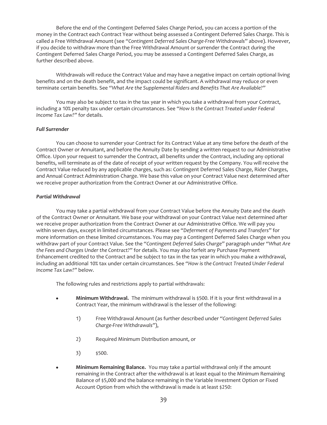Before the end of the Contingent Deferred Sales Charge Period, you can access a portion of the money in the Contract each Contract Year without being assessed a Contingent Deferred Sales Charge. This is called a Free Withdrawal Amount (see *"Contingent Deferred Sales Charge-Free Withdrawals*" above). However, if you decide to withdraw more than the Free Withdrawal Amount or surrender the Contract during the Contingent Deferred Sales Charge Period, you may be assessed a Contingent Deferred Sales Charge, as further described above.

Withdrawals will reduce the Contract Value and may have a negative impact on certain optional living benefits and on the death benefit, and the impact could be significant. A withdrawal may reduce or even terminate certain benefits. See *"What Are the Supplemental Riders and Benefits That Are Available?"*

You may also be subject to tax in the tax year in which you take a withdrawal from your Contract, including a 10% penalty tax under certain circumstances. See *"How Is the Contract Treated under Federal Income Tax Law?"* for details.

## *Full Surrender*

You can choose to surrender your Contract for its Contract Value at any time before the death of the Contract Owner or Annuitant, and before the Annuity Date by sending a written request to our Administrative Office. Upon your request to surrender the Contract, all benefits under the Contract, including any optional benefits, will terminate as of the date of receipt of your written request by the Company. You will receive the Contract Value reduced by any applicable charges, such as: Contingent Deferred Sales Charge, Rider Charges, and Annual Contract Administration Charge. We base this value on your Contract Value next determined after we receive proper authorization from the Contract Owner at our Administrative Office.

## *Partial Withdrawal*

You may take a partial withdrawal from your Contract Value before the Annuity Date and the death of the Contract Owner or Annuitant. We base your withdrawal on your Contract Value next determined after we receive proper authorization from the Contract Owner at our Administrative Office. We will pay you within seven days, except in limited circumstances. Please see "*Deferment of Payments and Transfers*" for more information on these limited circumstances. You may pay a Contingent Deferred Sales Charge when you withdraw part of your Contract Value. See the *"Contingent Deferred Sales Charge"* paragraph under *"What Are the Fees and Charges Under the Contract?"* for details. You may also forfeit any Purchase Payment Enhancement credited to the Contract and be subject to tax in the tax year in which you make a withdrawal, including an additional 10% tax under certain circumstances. See *"How is the Contract Treated Under Federal Income Tax Law?"* below.

The following rules and restrictions apply to partial withdrawals:

- Minimum Withdrawal. The minimum withdrawal is \$500. If it is your first withdrawal in a Contract Year, the minimum withdrawal is the lesser of the following:
	- 1) Free Withdrawal Amount (as further described under *"Contingent Deferred Sales Charge-Free Withdrawals"*),
	- 2) Required Minimum Distribution amount, or
	- 3)  $$500.$
- **Minimum Remaining Balance.** You may take a partial withdrawal only if the amount remaining in the Contract after the withdrawal is at least equal to the Minimum Remaining Balance of \$5,000 and the balance remaining in the Variable Investment Option or Fixed Account Option from which the withdrawal is made is at least \$250: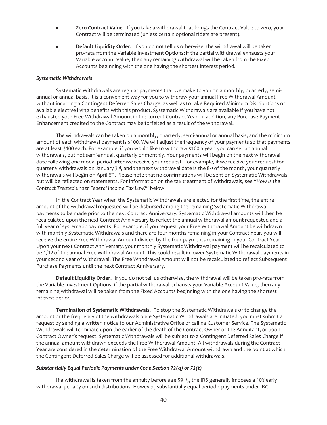- Zero Contract Value. If you take a withdrawal that brings the Contract Value to zero, your Contract will be terminated (unless certain optional riders are present).
- Default Liquidity Order. If you do not tell us otherwise, the withdrawal will be taken pro-rata from the Variable Investment Options; if the partial withdrawal exhausts your Variable Account Value, then any remaining withdrawal will be taken from the Fixed Accounts beginning with the one having the shortest interest period.

#### *Systematic Withdrawals*

Systematic Withdrawals are regular payments that we make to you on a monthly, quarterly, semiannual or annual basis. It is a convenient way for you to withdraw your annual Free Withdrawal Amount without incurring a Contingent Deferred Sales Charge, as well as to take Required Minimum Distributions or available elective living benefits with this product. Systematic Withdrawals are available if you have not exhausted your Free Withdrawal Amount in the current Contract Year. In addition, any Purchase Payment Enhancement credited to the Contract may be forfeited as a result of the withdrawal.

The withdrawals can be taken on a monthly, quarterly, semi-annual or annual basis, and the minimum amount of each withdrawal payment is \$100. We will adjust the frequency of your payments so that payments are at least \$100 each. For example, if you would like to withdraw \$100 a year, you can set up annual withdrawals, but not semi-annual, quarterly or monthly. Your payments will begin on the next withdrawal date following one modal period after we receive your request. For example, if we receive your request for quarterly withdrawals on January 3<sup>rd</sup>, and the next withdrawal date is the 8<sup>th</sup> of the month, your quarterly withdrawals will begin on April 8th. Please note that no confirmations will be sent on Systematic Withdrawals but will be reflected on statements. For information on the tax treatment of withdrawals, see *"How Is the Contract Treated under Federal Income Tax Law?"* below.

In the Contract Year when the Systematic Withdrawals are elected for the first time, the entire amount of the withdrawal requested will be disbursed among the remaining Systematic Withdrawal payments to be made prior to the next Contract Anniversary. Systematic Withdrawal amounts will then be recalculated upon the next Contract Anniversary to reflect the annual withdrawal amount requested and a full year of systematic payments. For example, if you request your Free Withdrawal Amount be withdrawn with monthly Systematic Withdrawals and there are four months remaining in your Contract Year, you will receive the entire Free Withdrawal Amount divided by the four payments remaining in your Contract Year. Upon your next Contract Anniversary, your monthly Systematic Withdrawal payment will be recalculated to be 1/12 of the annual Free Withdrawal Amount. This could result in lower Systematic Withdrawal payments in your second year of withdrawal. The Free Withdrawal Amount will not be recalculated to reflect Subsequent Purchase Payments until the next Contract Anniversary.

**Default Liquidity Order.** If you do not tell us otherwise, the withdrawal will be taken pro-rata from the Variable Investment Options; if the partial withdrawal exhausts your Variable Account Value, then any remaining withdrawal will be taken from the Fixed Accounts beginning with the one having the shortest interest period.

**Termination of Systematic Withdrawals.** To stop the Systematic Withdrawals or to change the amount or the frequency of the withdrawals once Systematic Withdrawals are initiated, you must submit a request by sending a written notice to our Administrative Office or calling Customer Service. The Systematic Withdrawals will terminate upon the earlier of the death of the Contract Owner or the Annuitant, or upon Contract Owner's request. Systematic Withdrawals will be subject to a Contingent Deferred Sales Charge if the annual amount withdrawn exceeds the Free Withdrawal Amount. All withdrawals during the Contract Year are considered in the determination of the Free Withdrawal Amount withdrawn and the point at which the Contingent Deferred Sales Charge will be assessed for additional withdrawals.

#### *Substantially Equal Periodic Payments under Code Section 72(q) or 72(t)*

If a withdrawal is taken from the annuity before age 59 $1/2$ , the IRS generally imposes a 10% early withdrawal penalty on such distributions. However, substantially equal periodic payments under IRC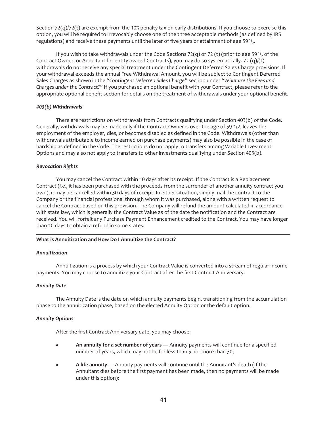Section 72(q)/72(t) are exempt from the 10% penalty tax on early distributions. If you choose to exercise this option, you will be required to irrevocably choose one of the three acceptable methods (as defined by IRS regulations) and receive these payments until the later of five years or attainment of age 59 $\frac{1}{2}$ .

If you wish to take withdrawals under the Code Sections 72(q) or 72 (t) (prior to age 59 $\frac{1}{2}$  of the Contract Owner, or Annuitant for entity owned Contracts), you may do so systematically. 72 (q)/(t) withdrawals do not receive any special treatment under the Contingent Deferred Sales Charge provisions. If your withdrawal exceeds the annual Free Withdrawal Amount, you will be subject to Contingent Deferred Sales Charges as shown in the *"Contingent Deferred Sales Charge"* section under *"What are the Fees and Charges under the Contract?"* If you purchased an optional benefit with your Contract, please refer to the appropriate optional benefit section for details on the treatment of withdrawals under your optional benefit.

## *403(b) Withdrawals*

There are restrictions on withdrawals from Contracts qualifying under Section 403(b) of the Code. Generally, withdrawals may be made only if the Contract Owner is over the age of 59 1/2, leaves the employment of the employer, dies, or becomes disabled as defined in the Code. Withdrawals (other than withdrawals attributable to income earned on purchase payments) may also be possible in the case of hardship as defined in the Code. The restrictions do not apply to transfers among Variable Investment Options and may also not apply to transfers to other investments qualifying under Section 403(b).

## *Revocation Rights*

You may cancel the Contract within 10 days after its receipt. If the Contract is a Replacement Contract (*i.e.*, it has been purchased with the proceeds from the surrender of another annuity contract you own), it may be cancelled within 30 days of receipt. In either situation, simply mail the contract to the Company or the financial professional through whom it was purchased, along with a written request to cancel the Contract based on this provision. The Company will refund the amount calculated in accordance with state law, which is generally the Contract Value as of the date the notification and the Contract are received. You will forfeit any Purchase Payment Enhancement credited to the Contract. You may have longer than 10 days to obtain a refund in some states.

## **What is Annuitization and How Do I Annuitize the Contract?**

#### *Annuitization*

Annuitization is a process by which your Contract Value is converted into a stream of regular income payments. You may choose to annuitize your Contract after the first Contract Anniversary.

#### *Annuity Date*

The Annuity Date is the date on which annuity payments begin, transitioning from the accumulation phase to the annuitization phase, based on the elected Annuity Option or the default option.

#### *Annuity Options*

After the first Contract Anniversary date, you may choose:

- An annuity for a set number of years Annuity payments will continue for a specified number of years, which may not be for less than 5 nor more than 30;
- A life annuity Annuity payments will continue until the Annuitant's death (If the Annuitant dies before the first payment has been made, then no payments will be made under this option);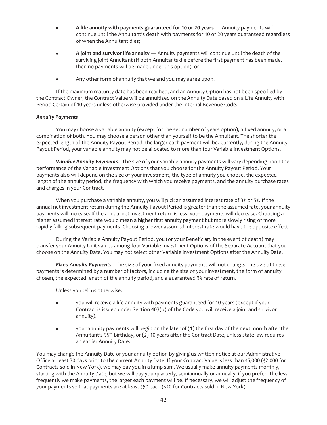- <sup>Š</sup> **A life annuity with payments guaranteed for 10 or 20 years** Annuity payments will continue until the Annuitant's death with payments for 10 or 20 years guaranteed regardless of when the Annuitant dies;
- A joint and survivor life annuity Annuity payments will continue until the death of the surviving joint Annuitant (If both Annuitants die before the first payment has been made, then no payments will be made under this option); or
- Any other form of annuity that we and you may agree upon.

If the maximum maturity date has been reached, and an Annuity Option has not been specified by the Contract Owner, the Contract Value will be annuitized on the Annuity Date based on a Life Annuity with Period Certain of 10 years unless otherwise provided under the Internal Revenue Code.

## *Annuity Payments*

You may choose a variable annuity (except for the set number of years option), a fixed annuity, or a combination of both. You may choose a person other than yourself to be the Annuitant. The shorter the expected length of the Annuity Payout Period, the larger each payment will be. Currently, during the Annuity Payout Period, your variable annuity may not be allocated to more than four Variable Investment Options.

*Variable Annuity Payments*. The size of your variable annuity payments will vary depending upon the performance of the Variable Investment Options that you choose for the Annuity Payout Period. Your payments also will depend on the size of your investment, the type of annuity you choose, the expected length of the annuity period, the frequency with which you receive payments, and the annuity purchase rates and charges in your Contract.

When you purchase a variable annuity, you will pick an assumed interest rate of 3% or 5%. If the annual net investment return during the Annuity Payout Period is greater than the assumed rate, your annuity payments will increase. If the annual net investment return is less, your payments will decrease. Choosing a higher assumed interest rate would mean a higher first annuity payment but more slowly rising or more rapidly falling subsequent payments. Choosing a lower assumed interest rate would have the opposite effect.

During the Variable Annuity Payout Period, you (or your Beneficiary in the event of death) may transfer your Annuity Unit values among four Variable Investment Options of the Separate Account that you choose on the Annuity Date. You may not select other Variable Investment Options after the Annuity Date.

*Fixed Annuity Payments*. The size of your fixed annuity payments will not change. The size of these payments is determined by a number of factors, including the size of your investment, the form of annuity chosen, the expected length of the annuity period, and a guaranteed 3% rate of return.

Unless you tell us otherwise:

- you will receive a life annuity with payments guaranteed for 10 years (except if your Contract is issued under Section 403(b) of the Code you will receive a joint and survivor annuity).
- your annuity payments will begin on the later of (1) the first day of the next month after the Annuitant's 95th birthday, or (2) 10 years after the Contract Date, unless state law requires an earlier Annuity Date.

You may change the Annuity Date or your annuity option by giving us written notice at our Administrative Office at least 30 days prior to the current Annuity Date. If your Contract Value is less than \$5,000 (\$2,000 for Contracts sold in New York), we may pay you in a lump sum. We usually make annuity payments monthly, starting with the Annuity Date, but we will pay you quarterly, semiannually or annually, if you prefer. The less frequently we make payments, the larger each payment will be. If necessary, we will adjust the frequency of your payments so that payments are at least \$50 each (\$20 for Contracts sold in New York).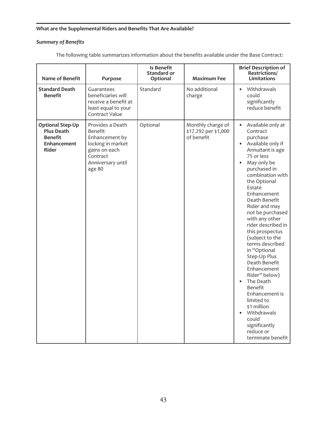## **What are the Supplemental Riders and Benefits That Are Available?**

# *Summary of Benefits*

| <b>Name of Benefit</b>                                                                        | Purpose                                                                                                                        | Is Benefit<br>Standard or<br>Optional | <b>Maximum Fee</b>                                      | <b>Brief Description of</b><br>Restrictions/<br><b>Limitations</b>                                                                                                                                                                                                                                                                                                                                                                                                                                                                                                                                                                         |
|-----------------------------------------------------------------------------------------------|--------------------------------------------------------------------------------------------------------------------------------|---------------------------------------|---------------------------------------------------------|--------------------------------------------------------------------------------------------------------------------------------------------------------------------------------------------------------------------------------------------------------------------------------------------------------------------------------------------------------------------------------------------------------------------------------------------------------------------------------------------------------------------------------------------------------------------------------------------------------------------------------------------|
| <b>Standard Death</b><br><b>Benefit</b>                                                       | Guarantees<br>beneficiaries will<br>receive a benefit at<br>least equal to your<br>Contract Value                              | Standard                              | No additional<br>charge                                 | Withdrawals<br>$\bullet$<br>could<br>significantly<br>reduce benefit                                                                                                                                                                                                                                                                                                                                                                                                                                                                                                                                                                       |
| <b>Optional Step-Up</b><br><b>Plus Death</b><br><b>Benefit</b><br>Enhancement<br><b>Rider</b> | Provides a Death<br>Benefit<br>Enhancement by<br>locking in market<br>gains on each<br>Contract<br>Anniversary until<br>age 80 | Optional                              | Monthly charge of<br>\$17.292 per \$1,000<br>of benefit | $\bullet$<br>Available only at<br>Contract<br>purchase<br>Available only if<br>$\bullet$<br>Annuitant is age<br>75 or less<br>May only be<br>$\bullet$<br>purchased in<br>combination with<br>the Optional<br>Estate<br>Enhancement<br>Death Benefit<br>Rider and may<br>not be purchased<br>with any other<br>rider described in<br>this prospectus<br>(subject to the<br>terms described<br>in "Optional<br>Step-Up Plus<br>Death Benefit<br>Enhancement<br>Rider" below)<br>The Death<br>Benefit<br>Enhancement is<br>limited to<br>\$1 million<br>Withdrawals<br>$\bullet$<br>could<br>significantly<br>reduce or<br>terminate benefit |

The following table summarizes information about the benefits available under the Base Contract: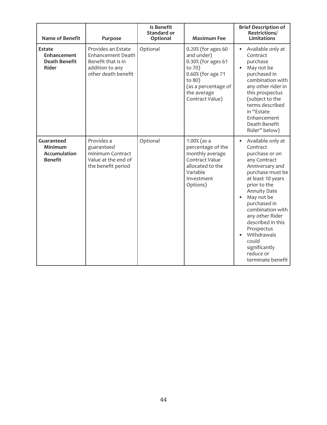| <b>Name of Benefit</b>                                         | Purpose                                                                                                        | Is Benefit<br>Standard or<br>Optional | <b>Maximum Fee</b>                                                                                                                                       | <b>Brief Description of</b><br>Restrictions/<br><b>Limitations</b>                                                                                                                                                                                                                                                                                    |
|----------------------------------------------------------------|----------------------------------------------------------------------------------------------------------------|---------------------------------------|----------------------------------------------------------------------------------------------------------------------------------------------------------|-------------------------------------------------------------------------------------------------------------------------------------------------------------------------------------------------------------------------------------------------------------------------------------------------------------------------------------------------------|
| Estate<br>Enhancement<br><b>Death Benefit</b><br><b>Rider</b>  | Provides an Estate<br><b>Enhancement Death</b><br>Benefit that is in<br>addition to any<br>other death benefit | Optional                              | 0.20% (for ages 60<br>and under)<br>0.30% (for ages 61<br>to 70)<br>0.60% (for age 71<br>to 80)<br>(as a percentage of<br>the average<br>Contract Value) | Available only at<br>Contract<br>purchase<br>May not be<br>purchased in<br>combination with<br>any other rider in<br>this prospectus<br>(subject to the<br>terms described<br>in "Estate<br>Enhancement<br>Death Benefit<br>Rider" below)                                                                                                             |
| Guaranteed<br>Minimum<br><b>Accumulation</b><br><b>Benefit</b> | Provides a<br>guaranteed<br>minimum Contract<br>Value at the end of<br>the benefit period                      | Optional                              | $1.00%$ (as a<br>percentage of the<br>monthly average<br>Contract Value<br>allocated to the<br>Variable<br>Investment<br>Options)                        | Available only at<br>Contract<br>purchase or on<br>any Contract<br>Anniversary and<br>purchase must be<br>at least 10 years<br>prior to the<br><b>Annuity Date</b><br>May not be<br>purchased in<br>combination with<br>any other Rider<br>described in this<br>Prospectus<br>Withdrawals<br>could<br>significantly<br>reduce or<br>terminate benefit |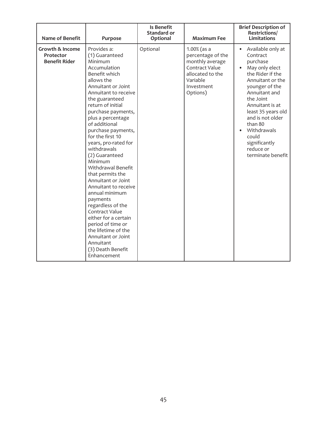| <b>Name of Benefit</b>                                          | Purpose                                                                                                                                                                                                                                                                                                                                                                                                                                                                                                                                                                                                                                                        | Is Benefit<br><b>Standard or</b><br>Optional | <b>Maximum Fee</b>                                                                                                                 | <b>Brief Description of</b><br>Restrictions/<br><b>Limitations</b>                                                                                                                                                                                                                                     |
|-----------------------------------------------------------------|----------------------------------------------------------------------------------------------------------------------------------------------------------------------------------------------------------------------------------------------------------------------------------------------------------------------------------------------------------------------------------------------------------------------------------------------------------------------------------------------------------------------------------------------------------------------------------------------------------------------------------------------------------------|----------------------------------------------|------------------------------------------------------------------------------------------------------------------------------------|--------------------------------------------------------------------------------------------------------------------------------------------------------------------------------------------------------------------------------------------------------------------------------------------------------|
| <b>Growth &amp; Income</b><br>Protector<br><b>Benefit Rider</b> | Provides a:<br>(1) Guaranteed<br>Minimum<br>Accumulation<br>Benefit which<br>allows the<br>Annuitant or Joint<br>Annuitant to receive<br>the guaranteed<br>return of initial<br>purchase payments,<br>plus a percentage<br>of additional<br>purchase payments,<br>for the first 10<br>years, pro-rated for<br>withdrawals<br>(2) Guaranteed<br>Minimum<br>Withdrawal Benefit<br>that permits the<br>Annuitant or Joint<br>Annuitant to receive<br>annual minimum<br>payments<br>regardless of the<br>Contract Value<br>either for a certain<br>period of time or<br>the lifetime of the<br>Annuitant or Joint<br>Annuitant<br>(3) Death Benefit<br>Enhancement | Optional                                     | $1.00\%$ (as a<br>percentage of the<br>monthly average<br>Contract Value<br>allocated to the<br>Variable<br>Investment<br>Options) | Available only at<br>Contract<br>purchase<br>May only elect<br>the Rider if the<br>Annuitant or the<br>younger of the<br>Annuitant and<br>the Joint<br>Annuitant is at<br>least 35 years old<br>and is not older<br>than 80<br>Withdrawals<br>could<br>significantly<br>reduce or<br>terminate benefit |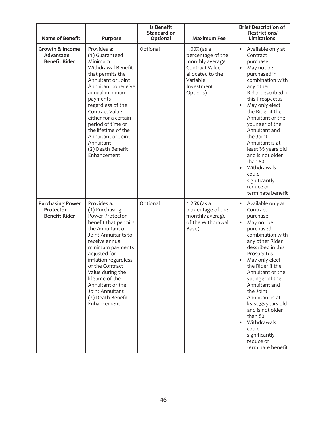| <b>Name of Benefit</b>                                          | Purpose                                                                                                                                                                                                                                                                                                                                          | Is Benefit<br>Standard or<br>Optional | <b>Maximum Fee</b>                                                                                                                | <b>Brief Description of</b><br>Restrictions/<br><b>Limitations</b>                                                                                                                                                                                                                                                                                                                                                          |
|-----------------------------------------------------------------|--------------------------------------------------------------------------------------------------------------------------------------------------------------------------------------------------------------------------------------------------------------------------------------------------------------------------------------------------|---------------------------------------|-----------------------------------------------------------------------------------------------------------------------------------|-----------------------------------------------------------------------------------------------------------------------------------------------------------------------------------------------------------------------------------------------------------------------------------------------------------------------------------------------------------------------------------------------------------------------------|
| <b>Growth &amp; Income</b><br>Advantage<br><b>Benefit Rider</b> | Provides a:<br>(1) Guaranteed<br>Minimum<br>Withdrawal Benefit<br>that permits the<br>Annuitant or Joint<br>Annuitant to receive<br>annual minimum<br>payments<br>regardless of the<br>Contract Value<br>either for a certain<br>period of time or<br>the lifetime of the<br>Annuitant or Joint<br>Annuitant<br>(2) Death Benefit<br>Enhancement | Optional                              | $1.00%$ (as a<br>percentage of the<br>monthly average<br>Contract Value<br>allocated to the<br>Variable<br>Investment<br>Options) | Available only at<br>$\bullet$<br>Contract<br>purchase<br>May not be<br>purchased in<br>combination with<br>any other<br>Rider described in<br>this Prospectus<br>May only elect<br>the Rider if the<br>Annuitant or the<br>younger of the<br>Annuitant and<br>the Joint<br>Annuitant is at<br>least 35 years old<br>and is not older<br>than 80<br>Withdrawals<br>could<br>significantly<br>reduce or<br>terminate benefit |
| <b>Purchasing Power</b><br>Protector<br><b>Benefit Rider</b>    | Provides a:<br>(1) Purchasing<br>Power Protector<br>benefit that permits<br>the Annuitant or<br>Joint Annuitants to<br>receive annual<br>minimum payments<br>adjusted for<br>inflation regardless<br>of the Contract<br>Value during the<br>lifetime of the<br>Annuitant or the<br>Joint Annuitant<br>(2) Death Benefit<br>Enhancement           | Optional                              | $1.25%$ (as a<br>percentage of the<br>monthly average<br>of the Withdrawal<br>Base)                                               | Available only at<br>$\bullet$<br>Contract<br>purchase<br>May not be<br>purchased in<br>combination with<br>any other Rider<br>described in this<br>Prospectus<br>May only elect<br>the Rider if the<br>Annuitant or the<br>younger of the<br>Annuitant and<br>the Joint<br>Annuitant is at<br>least 35 years old<br>and is not older<br>than 80<br>Withdrawals<br>could<br>significantly<br>reduce or<br>terminate benefit |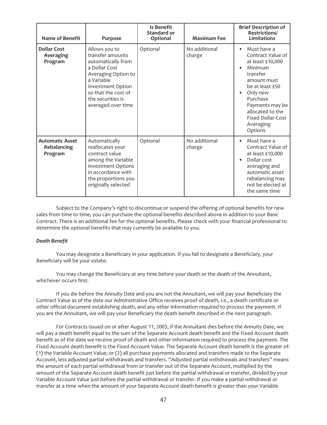| <b>Name of Benefit</b>                           | Purpose                                                                                                                                                                                              | Is Benefit<br>Standard or<br>Optional | <b>Maximum Fee</b>      | <b>Brief Description of</b><br>Restrictions/<br>Limitations                                                                                                                                                                                     |
|--------------------------------------------------|------------------------------------------------------------------------------------------------------------------------------------------------------------------------------------------------------|---------------------------------------|-------------------------|-------------------------------------------------------------------------------------------------------------------------------------------------------------------------------------------------------------------------------------------------|
| <b>Dollar Cost</b><br>Averaging<br>Program       | Allows you to<br>transfer amounts<br>automatically from<br>a Dollar Cost<br>Averaging Option to<br>a Variable<br>Investment Option<br>so that the cost of<br>the securities is<br>averaged over time | Optional                              | No additional<br>charge | Must have a<br>$\bullet$<br>Contract Value of<br>at least \$10,000<br>Minimum<br>transfer<br>amount must<br>be at least \$50<br>Only new<br>Purchase<br>Payments may be<br>allocated to the<br><b>Fixed Dollar-Cost</b><br>Averaging<br>Options |
| <b>Automatic Asset</b><br>Rebalancing<br>Program | Automatically<br>reallocates your<br>contract value<br>among the Variable<br><b>Investment Options</b><br>in accordance with<br>the proportions you<br>originally selected                           | Optional                              | No additional<br>charge | Must have a<br>Contract Value of<br>at least \$10,000<br>Dollar cost<br>averaging and<br>automatic asset<br>rebalancing may<br>not be elected at<br>the same time                                                                               |

Subject to the Company's right to discontinue or suspend the offering of optional benefits for new sales from time to time, you can purchase the optional benefits described above in addition to your Base Contract. There is an additional fee for the optional benefits. Please check with your financial professional to determine the optional benefits that may currently be available to you.

#### *Death Benefit*

You may designate a Beneficiary in your application. If you fail to designate a Beneficiary, your Beneficiary will be your estate.

You may change the Beneficiary at any time before your death or the death of the Annuitant, whichever occurs first.

If you die before the Annuity Date and you are not the Annuitant, we will pay your Beneficiary the Contract Value as of the date our Administrative Office receives proof of death, i.e., a death certificate or other official document establishing death, and any other information required to process the payment. If you are the Annuitant, we will pay your Beneficiary the death benefit described in the next paragraph.

For Contracts issued on or after August 11, 2003, if the Annuitant dies before the Annuity Date, we will pay a death benefit equal to the sum of the Separate Account death benefit and the Fixed Account death benefit as of the date we receive proof of death and other information required to process the payment. The Fixed Account death benefit is the Fixed Account Value. The Separate Account death benefit is the greater of: (1) the Variable Account Value; or (2) all purchase payments allocated and transfers made to the Separate Account, less adjusted partial withdrawals and transfers. "Adjusted partial withdrawals and transfers" means the amount of each partial withdrawal from or transfer out of the Separate Account, multiplied by the amount of the Separate Account death benefit just before the partial withdrawal or transfer, divided by your Variable Account Value just before the partial withdrawal or transfer. If you make a partial withdrawal or transfer at a time when the amount of your Separate Account death benefit is greater than your Variable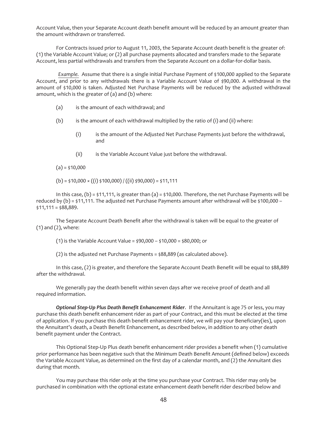Account Value, then your Separate Account death benefit amount will be reduced by an amount greater than the amount withdrawn or transferred.

For Contracts issued prior to August 11, 2003, the Separate Account death benefit is the greater of: (1) the Variable Account Value; or (2) all purchase payments allocated and transfers made to the Separate Account, less partial withdrawals and transfers from the Separate Account on a dollar-for-dollar basis.

*Example.* Assume that there is a single initial Purchase Payment of \$100,000 applied to the Separate Account, and prior to any withdrawals there is a Variable Account Value of \$90,000. A withdrawal in the amount of \$10,000 is taken. Adjusted Net Purchase Payments will be reduced by the adjusted withdrawal amount, which is the greater of (a) and (b) where:

- (a) is the amount of each withdrawal; and
- (b) is the amount of each withdrawal multiplied by the ratio of (i) and (ii) where:
	- (i) is the amount of the Adjusted Net Purchase Payments just before the withdrawal, and
	- (ii) is the Variable Account Value just before the withdrawal.

 $(a) = $10,000$ 

 $(b) = $10,000 \times ((i) $100,000) / ((ii) $90,000) = $11,111$ 

In this case,  $(b) = \frac{1}{11111}$ , is greater than  $(a) = \frac{1}{10000}$ . Therefore, the net Purchase Payments will be reduced by (b) = \$11,111. The adjusted net Purchase Payments amount after withdrawal will be \$100,000 –  $$11,111 = $88,889.$ 

The Separate Account Death Benefit after the withdrawal is taken will be equal to the greater of (1) and (2), where:

(1) is the Variable Account Value = \$90,000 – \$10,000 = \$80,000; or

(2) is the adjusted net Purchase Payments = \$88,889 (as calculated above).

In this case, (2) is greater, and therefore the Separate Account Death Benefit will be equal to \$88,889 after the withdrawal.

We generally pay the death benefit within seven days after we receive proof of death and all required information.

*Optional Step-Up Plus Death Benefit Enhancement Rider*. If the Annuitant is age 75 or less, you may purchase this death benefit enhancement rider as part of your Contract, and this must be elected at the time of application. If you purchase this death benefit enhancement rider, we will pay your Beneficiary(ies), upon the Annuitant's death, a Death Benefit Enhancement, as described below, in addition to any other death benefit payment under the Contract.

This Optional Step-Up Plus death benefit enhancement rider provides a benefit when (1) cumulative prior performance has been negative such that the Minimum Death Benefit Amount (defined below) exceeds the Variable Account Value, as determined on the first day of a calendar month, and (2) the Annuitant dies during that month.

You may purchase this rider only at the time you purchase your Contract. This rider may only be purchased in combination with the optional estate enhancement death benefit rider described below and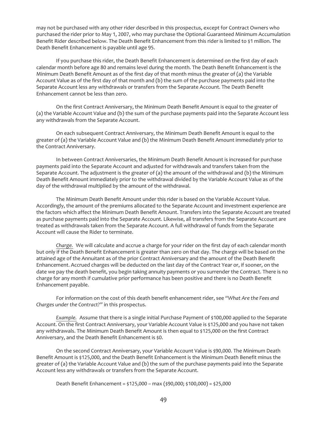may not be purchased with any other rider described in this prospectus, except for Contract Owners who purchased the rider prior to May 1, 2007, who may purchase the Optional Guaranteed Minimum Accumulation Benefit Rider described below. The Death Benefit Enhancement from this rider is limited to \$1 million. The Death Benefit Enhancement is payable until age 95.

If you purchase this rider, the Death Benefit Enhancement is determined on the first day of each calendar month before age 80 and remains level during the month. The Death Benefit Enhancement is the Minimum Death Benefit Amount as of the first day of that month minus the greater of (a) the Variable Account Value as of the first day of that month and (b) the sum of the purchase payments paid into the Separate Account less any withdrawals or transfers from the Separate Account. The Death Benefit Enhancement cannot be less than zero.

On the first Contract Anniversary, the Minimum Death Benefit Amount is equal to the greater of (a) the Variable Account Value and (b) the sum of the purchase payments paid into the Separate Account less any withdrawals from the Separate Account.

On each subsequent Contract Anniversary, the Minimum Death Benefit Amount is equal to the greater of (a) the Variable Account Value and (b) the Minimum Death Benefit Amount immediately prior to the Contract Anniversary.

In between Contract Anniversaries, the Minimum Death Benefit Amount is increased for purchase payments paid into the Separate Account and adjusted for withdrawals and transfers taken from the Separate Account. The adjustment is the greater of (a) the amount of the withdrawal and (b) the Minimum Death Benefit Amount immediately prior to the withdrawal divided by the Variable Account Value as of the day of the withdrawal multiplied by the amount of the withdrawal.

The Minimum Death Benefit Amount under this rider is based on the Variable Account Value. Accordingly, the amount of the premiums allocated to the Separate Account and investment experience are the factors which affect the Minimum Death Benefit Amount. Transfers into the Separate Account are treated as purchase payments paid into the Separate Account. Likewise, all transfers from the Separate Account are treated as withdrawals taken from the Separate Account. A full withdrawal of funds from the Separate Account will cause the Rider to terminate.

*Charge.* We will calculate and accrue a charge for your rider on the first day of each calendar month but only if the Death Benefit Enhancement is greater than zero on that day. The charge will be based on the attained age of the Annuitant as of the prior Contract Anniversary and the amount of the Death Benefit Enhancement. Accrued charges will be deducted on the last day of the Contract Year or, if sooner, on the date we pay the death benefit, you begin taking annuity payments or you surrender the Contract. There is no charge for any month if cumulative prior performance has been positive and there is no Death Benefit Enhancement payable.

For information on the cost of this death benefit enhancement rider, see *"What Are the Fees and Charges under the Contract?"* in this prospectus.

*Example.* Assume that there is a single initial Purchase Payment of \$100,000 applied to the Separate Account. On the first Contract Anniversary, your Variable Account Value is \$125,000 and you have not taken any withdrawals. The Minimum Death Benefit Amount is then equal to \$125,000 on the first Contract Anniversary, and the Death Benefit Enhancement is \$0.

On the second Contract Anniversary, your Variable Account Value is \$90,000. The Minimum Death Benefit Amount is \$125,000, and the Death Benefit Enhancement is the Minimum Death Benefit minus the greater of (a) the Variable Account Value and (b) the sum of the purchase payments paid into the Separate Account less any withdrawals or transfers from the Separate Account.

Death Benefit Enhancement = \$125,000 – max (\$90,000; \$100,000) = \$25,000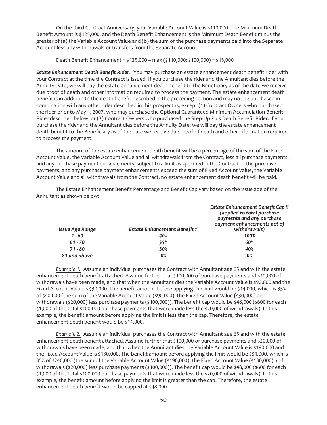On the third Contract Anniversary, your Variable Account Value is \$110,000. The Minimum Death Benefit Amount is \$125,000, and the Death Benefit Enhancement is the Minimum Death Benefit minus the greater of (a) the Variable Account Value and (b) the sum of the purchase payments paid into the Separate Account less any withdrawals or transfers from the Separate Account.

Death Benefit Enhancement = \$125,000 – max (\$110,000; \$100,000) = \$15,000

*Estate Enhancement Death Benefit Rider*. You may purchase an estate enhancement death benefit rider with your Contract at the time the Contract is issued. If you purchase the rider and the Annuitant dies before the Annuity Date, we will pay the estate enhancement death benefit to the Beneficiary as of the date we receive due proof of death and other information required to process the payment. The estate enhancement death benefit is in addition to the death benefit described in the preceding section and may not be purchased in combination with any other rider described in this prospectus, except (1) Contract Owners who purchased the rider prior to May 1, 2007, who may purchase the Optional Guaranteed Minimum Accumulation Benefit Rider described below, or (2) Contract Owners who purchased the Step-Up Plus Death Benefit Rider. If you purchase the rider and the Annuitant dies before the Annuity Date, we will pay the estate enhancement death benefit to the Beneficiary as of the date we receive due proof of death and other information required to process the payment.

The amount of the estate enhancement death benefit will be a percentage of the sum of the Fixed Account Value, the Variable Account Value and all withdrawals from the Contract, less all purchase payments, and any purchase payment enhancements, subject to a limit as specified in the Contract. If the purchase payments, and any purchase payment enhancements exceed the sum of Fixed Account Value, the Variable Account Value and all withdrawals from the Contract, no estate enhancement death benefit will be paid.

| Issue Age Range | <b>Estate Enhancement Benefit %</b> | <b>Estate Enhancement Benefit Cap %</b><br>(applied to total purchase<br>payments and any purchase<br>payment enhancements net of<br>withdrawals) |
|-----------------|-------------------------------------|---------------------------------------------------------------------------------------------------------------------------------------------------|
| 1 - 60          | 40%                                 | 100%                                                                                                                                              |
| $61 - 70$       | 35%                                 | 60%                                                                                                                                               |
| $71 - 80$       | 30%                                 | 40%                                                                                                                                               |
| 81 and above    | 0%                                  | 0%                                                                                                                                                |

The Estate Enhancement Benefit Percentage and Benefit Cap vary based on the issue age of the Annuitant as shown below:

*Example 1.* Assume an individual purchases the Contract with Annuitant age 65 and with the estate enhancement death benefit attached. Assume further that \$100,000 of purchase payments and \$20,000 of withdrawals have been made, and that when the Annuitant dies the Variable Account Value is \$90,000 and the Fixed Account Value is \$30,000. The benefit amount before applying the limit would be \$14,000, which is 35% of \$40,000 (the sum of the Variable Account Value (\$90,000), the Fixed Account Value (\$30,000) and withdrawals (\$20,000) less purchase payments (\$100,000)). The benefit cap would be \$48,000 (\$600 for each \$1,000 of the total \$100,000 purchase payments that were made less the \$20,000 of withdrawals). In this example, the benefit amount before applying the limit is less than the cap. Therefore, the estate enhancement death benefit would be \$14,000.

*Example 2.* Assume an individual purchases the Contract with Annuitant age 65 and with the estate enhancement death benefit attached. Assume further that \$100,000 of purchase payments and \$20,000 of withdrawals have been made, and that when the Annuitant dies the Variable Account Value is \$190,000 and the Fixed Account Value is \$130,000. The benefit amount before applying the limit would be \$84,000, which is 35% of \$240,000 (the sum of the Variable Account Value (\$190,000), the Fixed Account Value (\$130,000) and withdrawals (\$20,000) less purchase payments (\$100,000)). The benefit cap would be \$48,000 (\$600 for each \$1,000 of the total \$100,000 purchase payments that were made less the \$20,000 of withdrawals). In this example, the benefit amount before applying the limit is greater than the cap. Therefore, the estate enhancement death benefit would be capped at \$48,000.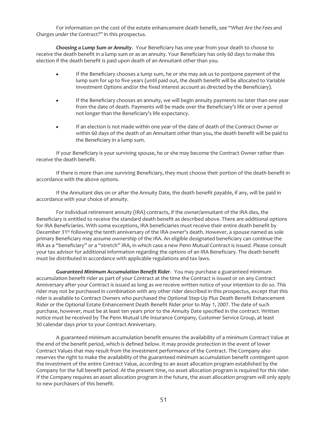For information on the cost of the estate enhancement death benefit, see "*What Are the Fees and Charges under the Contract*?" in this prospectus.

*Choosing a Lump Sum or Annuity*. Your Beneficiary has one year from your death to choose to receive the death benefit in a lump sum or as an annuity. Your Beneficiary has only 60 days to make this election if the death benefit is paid upon death of an Annuitant other than you.

- If the Beneficiary chooses a lump sum, he or she may ask us to postpone payment of the lump sum for up to five years (until paid out, the death benefit will be allocated to Variable Investment Options and/or the fixed interest account as directed by the Beneficiary).
- If the Beneficiary chooses an annuity, we will begin annuity payments no later than one year from the date of death. Payments will be made over the Beneficiary's life or over a period not longer than the Beneficiary's life expectancy.
- If an election is not made within one year of the date of death of the Contract Owner or within 60 days of the death of an Annuitant other than you, the death benefit will be paid to the Beneficiary in a lump sum.

If your Beneficiary is your surviving spouse, he or she may become the Contract Owner rather than receive the death benefit.

If there is more than one surviving Beneficiary, they must choose their portion of the death benefit in accordance with the above options.

If the Annuitant dies on or after the Annuity Date, the death benefit payable, if any, will be paid in accordance with your choice of annuity.

For individual retirement annuity (IRA) contracts, if the owner/annuitant of the IRA dies, the Beneficiary is entitled to receive the standard death benefit as described above. There are additional options for IRA Beneficiaries. With some exceptions, IRA beneficiaries must receive their entire death benefit by December 31st following the tenth anniversary of the IRA owner's death. However, a spouse named as sole primary Beneficiary may assume ownership of the IRA. An eligible designated beneficiary can continue the IRA as a "beneficiary" or a "stretch" IRA, in which case a new Penn Mutual Contract is issued. Please consult your tax advisor for additional information regarding the options of an IRA Beneficiary. The death benefit must be distributed in accordance with applicable regulations and tax laws.

*Guaranteed Minimum Accumulation Benefit Rider*. You may purchase a guaranteed minimum accumulation benefit rider as part of your Contract at the time the Contract is issued or on any Contract Anniversary after your Contract is issued as long as we receive written notice of your intention to do so. This rider may not be purchased in combination with any other rider described in this prospectus, except that this rider is available to Contract Owners who purchased the Optional Step-Up Plus Death Benefit Enhancement Rider or the Optional Estate Enhancement Death Benefit Rider prior to May 1, 2007. The date of such purchase, however, must be at least ten years prior to the Annuity Date specified in the contract. Written notice must be received by The Penn Mutual Life Insurance Company, Customer Service Group, at least 30 calendar days prior to your Contract Anniversary.

A guaranteed minimum accumulation benefit ensures the availability of a minimum Contract Value at the end of the benefit period, which is defined below. It may provide protection in the event of lower Contract Values that may result from the investment performance of the Contract. The Company also reserves the right to make the availability of the guaranteed minimum accumulation benefit contingent upon the investment of the entire Contract Value, according to an asset allocation program established by the Company for the full benefit period. At the present time, no asset allocation program is required for this rider. If the Company requires an asset allocation program in the future, the asset allocation program will only apply to new purchasers of this benefit.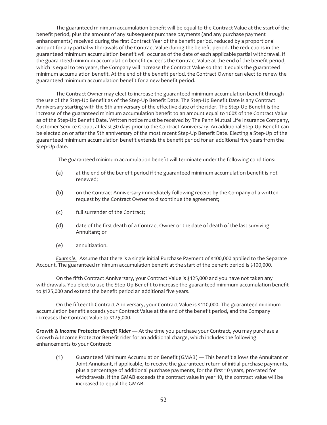The guaranteed minimum accumulation benefit will be equal to the Contract Value at the start of the benefit period, plus the amount of any subsequent purchase payments (and any purchase payment enhancements) received during the first Contract Year of the benefit period, reduced by a proportional amount for any partial withdrawals of the Contract Value during the benefit period. The reductions in the guaranteed minimum accumulation benefit will occur as of the date of each applicable partial withdrawal. If the guaranteed minimum accumulation benefit exceeds the Contract Value at the end of the benefit period, which is equal to ten years, the Company will increase the Contract Value so that it equals the guaranteed minimum accumulation benefit. At the end of the benefit period, the Contract Owner can elect to renew the guaranteed minimum accumulation benefit for a new benefit period.

The Contract Owner may elect to increase the guaranteed minimum accumulation benefit through the use of the Step-Up Benefit as of the Step-Up Benefit Date. The Step-Up Benefit Date is any Contract Anniversary starting with the 5th anniversary of the effective date of the rider. The Step-Up Benefit is the increase of the guaranteed minimum accumulation benefit to an amount equal to 100% of the Contract Value as of the Step-Up Benefit Date. Written notice must be received by The Penn Mutual Life Insurance Company, Customer Service Group, at least 30 days prior to the Contract Anniversary. An additional Step-Up Benefit can be elected on or after the 5th anniversary of the most recent Step-Up Benefit Date. Electing a Step-Up of the guaranteed minimum accumulation benefit extends the benefit period for an additional five years from the Step-Up date.

The guaranteed minimum accumulation benefit will terminate under the following conditions:

- (a) at the end of the benefit period if the guaranteed minimum accumulation benefit is not renewed;
- (b) on the Contract Anniversary immediately following receipt by the Company of a written request by the Contract Owner to discontinue the agreement;
- (c) full surrender of the Contract;
- (d) date of the first death of a Contract Owner or the date of death of the last surviving Annuitant; or
- (e) annuitization.

*Example.* Assume that there is a single initial Purchase Payment of \$100,000 applied to the Separate Account. The guaranteed minimum accumulation benefit at the start of the benefit period is \$100,000.

On the fifth Contract Anniversary, your Contract Value is \$125,000 and you have not taken any withdrawals. You elect to use the Step-Up Benefit to increase the guaranteed minimum accumulation benefit to \$125,000 and extend the benefit period an additional five years.

On the fifteenth Contract Anniversary, your Contract Value is \$110,000. The guaranteed minimum accumulation benefit exceeds your Contract Value at the end of the benefit period, and the Company increases the Contract Value to \$125,000.

*Growth & Income Protector Benefit Rider* — At the time you purchase your Contract, you may purchase a Growth & Income Protector Benefit rider for an additional charge, which includes the following enhancements to your Contract:

(1) Guaranteed Minimum Accumulation Benefit (GMAB) — This benefit allows the Annuitant or Joint Annuitant, if applicable, to receive the guaranteed return of initial purchase payments, plus a percentage of additional purchase payments, for the first 10 years, pro-rated for withdrawals. If the GMAB exceeds the contract value in year 10, the contract value will be increased to equal the GMAB.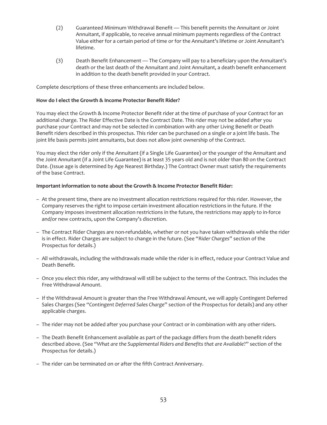- (2) Guaranteed Minimum Withdrawal Benefit This benefit permits the Annuitant or Joint Annuitant, if applicable, to receive annual minimum payments regardless of the Contract Value either for a certain period of time or for the Annuitant's lifetime or Joint Annuitant's lifetime.
- (3) Death Benefit Enhancement The Company will pay to a beneficiary upon the Annuitant's death or the last death of the Annuitant and Joint Annuitant, a death benefit enhancement in addition to the death benefit provided in your Contract.

Complete descriptions of these three enhancements are included below.

## **How do I elect the Growth & Income Protector Benefit Rider?**

You may elect the Growth & Income Protector Benefit rider at the time of purchase of your Contract for an additional charge. The Rider Effective Date is the Contract Date. This rider may not be added after you purchase your Contract and may not be selected in combination with any other Living Benefit or Death Benefit riders described in this prospectus. This rider can be purchased on a single or a joint life basis. The joint life basis permits joint annuitants, but does not allow joint ownership of the Contract.

You may elect the rider only if the Annuitant (if a Single Life Guarantee) or the younger of the Annuitant and the Joint Annuitant (if a Joint Life Guarantee) is at least 35 years old and is not older than 80 on the Contract Date. (Issue age is determined by Age Nearest Birthday.) The Contract Owner must satisfy the requirements of the base Contract.

## **Important information to note about the Growth & Income Protector Benefit Rider:**

- At the present time, there are no investment allocation restrictions required for this rider. However, the Company reserves the right to impose certain investment allocation restrictions in the future. If the Company imposes investment allocation restrictions in the future, the restrictions may apply to in-force and/or new contracts, upon the Company's discretion.
- The Contract Rider Charges are non-refundable, whether or not you have taken withdrawals while the rider is in effect. Rider Charges are subject to change in the future. (See "*Rider Charges*" section of the Prospectus for details.)
- All withdrawals, including the withdrawals made while the rider is in effect, reduce your Contract Value and Death Benefit.
- Once you elect this rider, any withdrawal will still be subject to the terms of the Contract. This includes the Free Withdrawal Amount.
- If the Withdrawal Amount is greater than the Free Withdrawal Amount, we will apply Contingent Deferred Sales Charges (See "*Contingent Deferred Sales Charge*" section of the Prospectus for details) and any other applicable charges.
- The rider may not be added after you purchase your Contract or in combination with any other riders.
- The Death Benefit Enhancement available as part of the package differs from the death benefit riders described above. (See "*What are the Supplemental Riders and Benefits that are Available*?" section of the Prospectus for details.)
- The rider can be terminated on or after the fifth Contract Anniversary.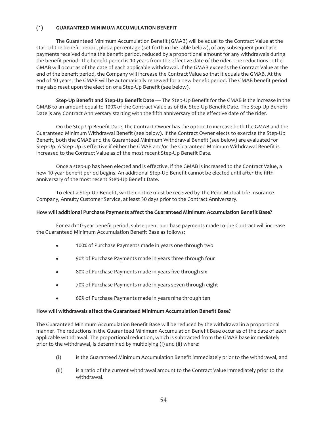## (1) **GUARANTEED MINIMUM ACCUMULATION BENEFIT**

The Guaranteed Minimum Accumulation Benefit (GMAB) will be equal to the Contract Value at the start of the benefit period, plus a percentage (set forth in the table below), of any subsequent purchase payments received during the benefit period, reduced by a proportional amount for any withdrawals during the benefit period. The benefit period is 10 years from the effective date of the rider. The reductions in the GMAB will occur as of the date of each applicable withdrawal. If the GMAB exceeds the Contract Value at the end of the benefit period, the Company will increase the Contract Value so that it equals the GMAB. At the end of 10 years, the GMAB will be automatically renewed for a new benefit period. The GMAB benefit period may also reset upon the election of a Step-Up Benefit (see below).

**Step-Up Benefit and Step-Up Benefit Date** — The Step-Up Benefit for the GMAB is the increase in the GMAB to an amount equal to 100% of the Contract Value as of the Step-Up Benefit Date. The Step-Up Benefit Date is any Contract Anniversary starting with the fifth anniversary of the effective date of the rider.

On the Step-Up Benefit Date, the Contract Owner has the option to increase both the GMAB and the Guaranteed Minimum Withdrawal Benefit (see below). If the Contract Owner elects to exercise the Step-Up Benefit, both the GMAB and the Guaranteed Minimum Withdrawal Benefit (see below) are evaluated for Step-Up. A Step-Up is effective if either the GMAB and/or the Guaranteed Minimum Withdrawal Benefit is increased to the Contract Value as of the most recent Step-Up Benefit Date.

Once a step-up has been elected and is effective, if the GMAB is increased to the Contract Value, a new 10-year benefit period begins. An additional Step-Up Benefit cannot be elected until after the fifth anniversary of the most recent Step-Up Benefit Date.

To elect a Step-Up Benefit, written notice must be received by The Penn Mutual Life Insurance Company, Annuity Customer Service, at least 30 days prior to the Contract Anniversary.

#### **How will additional Purchase Payments affect the Guaranteed Minimum Accumulation Benefit Base?**

For each 10-year benefit period, subsequent purchase payments made to the Contract will increase the Guaranteed Minimum Accumulation Benefit Base as follows:

- 100% of Purchase Payments made in years one through two
- 90% of Purchase Payments made in years three through four
- 80% of Purchase Payments made in years five through six
- 70% of Purchase Payments made in years seven through eight
- 60% of Purchase Payments made in years nine through ten

#### **How will withdrawals affect the Guaranteed Minimum Accumulation Benefit Base?**

The Guaranteed Minimum Accumulation Benefit Base will be reduced by the withdrawal in a proportional manner. The reductions in the Guaranteed Minimum Accumulation Benefit Base occur as of the date of each applicable withdrawal. The proportional reduction, which is subtracted from the GMAB base immediately prior to the withdrawal, is determined by multiplying (i) and (ii) where:

- (i) is the Guaranteed Minimum Accumulation Benefit immediately prior to the withdrawal, and
- (ii) is a ratio of the current withdrawal amount to the Contract Value immediately prior to the withdrawal.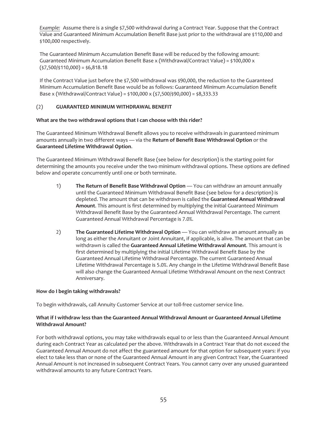Example: Assume there is a single \$7,500 withdrawal during a Contract Year. Suppose that the Contract Value and Guaranteed Minimum Accumulation Benefit Base just prior to the withdrawal are \$110,000 and \$100,000 respectively.

The Guaranteed Minimum Accumulation Benefit Base will be reduced by the following amount: Guaranteed Minimum Accumulation Benefit Base x (Withdrawal/Contract Value) = \$100,000 x  $($ \$7,500/\$110,000) = \$6,818.18

If the Contract Value just before the \$7,500 withdrawal was \$90,000, the reduction to the Guaranteed Minimum Accumulation Benefit Base would be as follows: Guaranteed Minimum Accumulation Benefit Base x (Withdrawal/Contract Value) = \$100,000 x (\$7,500/\$90,000) = \$8,333.33

## (2) **GUARANTEED MINIMUM WITHDRAWAL BENEFIT**

## **What are the two withdrawal options that I can choose with this rider?**

The Guaranteed Minimum Withdrawal Benefit allows you to receive withdrawals in guaranteed minimum amounts annually in two different ways — via the **Return of Benefit Base Withdrawal Option** or the **Guaranteed Lifetime Withdrawal Option**.

The Guaranteed Minimum Withdrawal Benefit Base (see below for description) is the starting point for determining the amounts you receive under the two minimum withdrawal options. These options are defined below and operate concurrently until one or both terminate.

- 1) **The Return of Benefit Base Withdrawal Option** You can withdraw an amount annually until the Guaranteed Minimum Withdrawal Benefit Base (see below for a description) is depleted. The amount that can be withdrawn is called the **Guaranteed Annual Withdrawal Amount**. This amount is first determined by multiplying the initial Guaranteed Minimum Withdrawal Benefit Base by the Guaranteed Annual Withdrawal Percentage. The current Guaranteed Annual Withdrawal Percentage is 7.0%.
- 2) **The Guaranteed Lifetime Withdrawal Option** You can withdraw an amount annually as long as either the Annuitant or Joint Annuitant, if applicable, is alive. The amount that can be withdrawn is called the **Guaranteed Annual Lifetime Withdrawal Amount**. This amount is first determined by multiplying the initial Lifetime Withdrawal Benefit Base by the Guaranteed Annual Lifetime Withdrawal Percentage. The current Guaranteed Annual Lifetime Withdrawal Percentage is 5.0%. Any change in the Lifetime Withdrawal Benefit Base will also change the Guaranteed Annual Lifetime Withdrawal Amount on the next Contract Anniversary.

## **How do I begin taking withdrawals?**

To begin withdrawals, call Annuity Customer Service at our toll-free customer service line.

## **What if I withdraw less than the Guaranteed Annual Withdrawal Amount or Guaranteed Annual Lifetime Withdrawal Amount?**

For both withdrawal options, you may take withdrawals equal to or less than the Guaranteed Annual Amount during each Contract Year as calculated per the above. Withdrawals in a Contract Year that do not exceed the Guaranteed Annual Amount do not affect the guaranteed amount for that option for subsequent years: if you elect to take less than or none of the Guaranteed Annual Amount in any given Contract Year, the Guaranteed Annual Amount is not increased in subsequent Contract Years. You cannot carry over any unused guaranteed withdrawal amounts to any future Contract Years.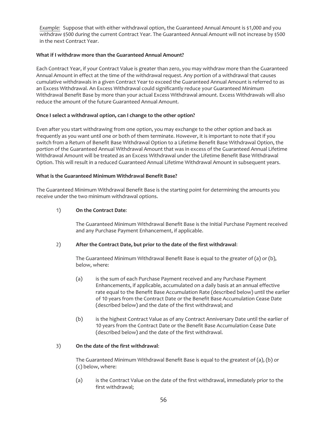*Example:* Suppose that with either withdrawal option, the Guaranteed Annual Amount is \$1,000 and you withdraw \$500 during the current Contract Year. The Guaranteed Annual Amount will not increase by \$500 in the next Contract Year.

## **What if I withdraw more than the Guaranteed Annual Amount?**

Each Contract Year, if your Contract Value is greater than zero, you may withdraw more than the Guaranteed Annual Amount in effect at the time of the withdrawal request. Any portion of a withdrawal that causes cumulative withdrawals in a given Contract Year to exceed the Guaranteed Annual Amount is referred to as an Excess Withdrawal. An Excess Withdrawal could significantly reduce your Guaranteed Minimum Withdrawal Benefit Base by more than your actual Excess Withdrawal amount. Excess Withdrawals will also reduce the amount of the future Guaranteed Annual Amount.

## **Once I select a withdrawal option, can I change to the other option?**

Even after you start withdrawing from one option, you may exchange to the other option and back as frequently as you want until one or both of them terminate. However, it is important to note that if you switch from a Return of Benefit Base Withdrawal Option to a Lifetime Benefit Base Withdrawal Option, the portion of the Guaranteed Annual Withdrawal Amount that was in excess of the Guaranteed Annual Lifetime Withdrawal Amount will be treated as an Excess Withdrawal under the Lifetime Benefit Base Withdrawal Option. This will result in a reduced Guaranteed Annual Lifetime Withdrawal Amount in subsequent years.

## **What is the Guaranteed Minimum Withdrawal Benefit Base?**

The Guaranteed Minimum Withdrawal Benefit Base is the starting point for determining the amounts you receive under the two minimum withdrawal options.

## 1) **On the Contract Date**:

The Guaranteed Minimum Withdrawal Benefit Base is the Initial Purchase Payment received and any Purchase Payment Enhancement, if applicable.

## 2) **After the Contract Date, but prior to the date of the first withdrawal**:

The Guaranteed Minimum Withdrawal Benefit Base is equal to the greater of (a) or (b), below, where:

- (a) is the sum of each Purchase Payment received and any Purchase Payment Enhancements, if applicable, accumulated on a daily basis at an annual effective rate equal to the Benefit Base Accumulation Rate (described below) until the earlier of 10 years from the Contract Date or the Benefit Base Accumulation Cease Date (described below) and the date of the first withdrawal; and
- (b) is the highest Contract Value as of any Contract Anniversary Date until the earlier of 10 years from the Contract Date or the Benefit Base Accumulation Cease Date (described below) and the date of the first withdrawal.

## 3) **On the date of the first withdrawal**:

The Guaranteed Minimum Withdrawal Benefit Base is equal to the greatest of (a), (b) or (c) below, where:

(a) is the Contract Value on the date of the first withdrawal, immediately prior to the first withdrawal;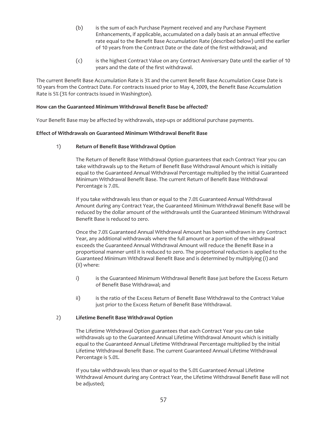- (b) is the sum of each Purchase Payment received and any Purchase Payment Enhancements, if applicable, accumulated on a daily basis at an annual effective rate equal to the Benefit Base Accumulation Rate (described below) until the earlier of 10 years from the Contract Date or the date of the first withdrawal; and
- (c) is the highest Contract Value on any Contract Anniversary Date until the earlier of 10 years and the date of the first withdrawal.

The current Benefit Base Accumulation Rate is 3% and the current Benefit Base Accumulation Cease Date is 10 years from the Contract Date. For contracts issued prior to May 4, 2009, the Benefit Base Accumulation Rate is 5% (3% for contracts issued in Washington).

## **How can the Guaranteed Minimum Withdrawal Benefit Base be affected?**

Your Benefit Base may be affected by withdrawals, step-ups or additional purchase payments.

## **Effect of Withdrawals on Guaranteed Minimum Withdrawal Benefit Base**

## 1) **Return of Benefit Base Withdrawal Option**

The Return of Benefit Base Withdrawal Option guarantees that each Contract Year you can take withdrawals up to the Return of Benefit Base Withdrawal Amount which is initially equal to the Guaranteed Annual Withdrawal Percentage multiplied by the initial Guaranteed Minimum Withdrawal Benefit Base. The current Return of Benefit Base Withdrawal Percentage is 7.0%.

If you take withdrawals less than or equal to the 7.0% Guaranteed Annual Withdrawal Amount during any Contract Year, the Guaranteed Minimum Withdrawal Benefit Base will be reduced by the dollar amount of the withdrawals until the Guaranteed Minimum Withdrawal Benefit Base is reduced to zero.

Once the 7.0% Guaranteed Annual Withdrawal Amount has been withdrawn in any Contract Year, any additional withdrawals where the full amount or a portion of the withdrawal exceeds the Guaranteed Annual Withdrawal Amount will reduce the Benefit Base in a proportional manner until it is reduced to zero. The proportional reduction is applied to the Guaranteed Minimum Withdrawal Benefit Base and is determined by multiplying (i) and (ii) where:

- i) is the Guaranteed Minimum Withdrawal Benefit Base just before the Excess Return of Benefit Base Withdrawal; and
- ii) is the ratio of the Excess Return of Benefit Base Withdrawal to the Contract Value just prior to the Excess Return of Benefit Base Withdrawal.

## 2) **Lifetime Benefit Base Withdrawal Option**

The Lifetime Withdrawal Option guarantees that each Contract Year you can take withdrawals up to the Guaranteed Annual Lifetime Withdrawal Amount which is initially equal to the Guaranteed Annual Lifetime Withdrawal Percentage multiplied by the initial Lifetime Withdrawal Benefit Base. The current Guaranteed Annual Lifetime Withdrawal Percentage is 5.0%.

If you take withdrawals less than or equal to the 5.0% Guaranteed Annual Lifetime Withdrawal Amount during any Contract Year, the Lifetime Withdrawal Benefit Base will not be adjusted;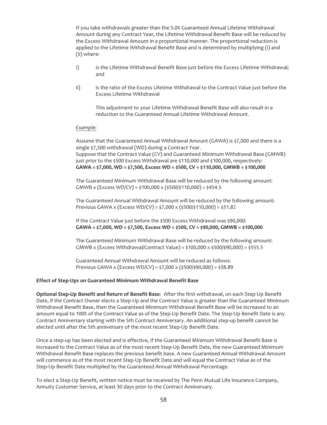If you take withdrawals greater than the 5.0% Guaranteed Annual Lifetime Withdrawal Amount during any Contract Year, the Lifetime Withdrawal Benefit Base will be reduced by the Excess Withdrawal Amount in a proportional manner. The proportional reduction is applied to the Lifetime Withdrawal Benefit Base and is determined by multiplying (i) and (ii) where:

- i) is the Lifetime Withdrawal Benefit Base just before the Excess Lifetime Withdrawal; and
- ii) is the ratio of the Excess Lifetime Withdrawal to the Contract Value just before the Excess Lifetime Withdrawal

This adjustment to your Lifetime Withdrawal Benefit Base will also result in a reduction to the Guaranteed Annual Lifetime Withdrawal Amount.

#### *Example:*

Assume that the Guaranteed Annual Withdrawal Amount (GAWA) is \$7,000 and there is a single \$7,500 withdrawal (WD) during a Contract Year. Suppose that the Contract Value (CV) and Guaranteed Minimum Withdrawal Base (GMWB) just prior to the \$500 Excess Withdrawal are \$110,000 and \$100,000, respectively:

**GAWA = \$7,000, WD = \$7,500, Excess WD = \$500, CV = \$110,000, GMWB = \$100,000**

The Guaranteed Minimum Withdrawal Base will be reduced by the following amount: GMWB x (Excess WD/CV) = \$100,000 x (\$500/\$110,000) = \$454.5

The Guaranteed Annual Withdrawal Amount will be reduced by the following amount: Previous GAWA x (Excess WD/CV) = \$7,000 x (\$500/\$110,000) = \$31.82

If the Contract Value just before the \$500 Excess Withdrawal was \$90,000: **GAWA = \$7,000, WD = \$7,500, Excess WD = \$500, CV = \$90,000, GMWB = \$100,000**

The Guaranteed Minimum Withdrawal Base will be reduced by the following amount: GMWB x (Excess Withdrawal/Contract Value) = \$100,000 x \$500/\$90,000) = \$555.5

Guaranteed Annual Withdrawal Amount will be reduced as follows: Previous GAWA x (Excess WD/CV) = \$7,000 x (\$500/\$90,000) = \$38.89

#### **Effect of Step-Ups on Guaranteed Minimum Withdrawal Benefit Base**

**Optional Step-Up Benefit and Return of Benefit Base**: After the first withdrawal, on each Step-Up Benefit Date, if the Contract Owner elects a Step-Up and the Contract Value is greater than the Guaranteed Minimum Withdrawal Benefit Base, then the Guaranteed Minimum Withdrawal Benefit Base will be increased to an amount equal to 100% of the Contract Value as of the Step-Up Benefit Date. The Step-Up Benefit Date is any Contract Anniversary starting with the 5th Contract Anniversary. An additional step-up benefit cannot be elected until after the 5th anniversary of the most recent Step-Up Benefit Date.

Once a step-up has been elected and is effective, if the Guaranteed Minimum Withdrawal Benefit Base is increased to the Contract Value as of the most recent Step-Up Benefit Date, the new Guaranteed Minimum Withdrawal Benefit Base replaces the previous benefit base. A new Guaranteed Annual Withdrawal Amount will commence as of the most recent Step-Up Benefit Date and will equal the Contract Value as of the Step-Up Benefit Date multiplied by the Guaranteed Annual Withdrawal Percentage.

To elect a Step-Up Benefit, written notice must be received by The Penn Mutual Life Insurance Company, Annuity Customer Service, at least 30 days prior to the Contract Anniversary.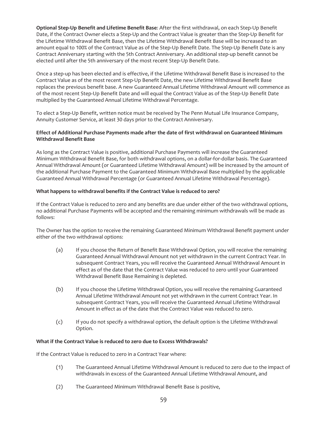**Optional Step-Up Benefit and Lifetime Benefit Base**: After the first withdrawal, on each Step-Up Benefit Date, if the Contract Owner elects a Step-Up and the Contract Value is greater than the Step-Up Benefit for the Lifetime Withdrawal Benefit Base, then the Lifetime Withdrawal Benefit Base will be increased to an amount equal to 100% of the Contract Value as of the Step-Up Benefit Date. The Step-Up Benefit Date is any Contract Anniversary starting with the 5th Contract Anniversary. An additional step-up benefit cannot be elected until after the 5th anniversary of the most recent Step-Up Benefit Date.

Once a step-up has been elected and is effective, if the Lifetime Withdrawal Benefit Base is increased to the Contract Value as of the most recent Step-Up Benefit Date, the new Lifetime Withdrawal Benefit Base replaces the previous benefit base. A new Guaranteed Annual Lifetime Withdrawal Amount will commence as of the most recent Step-Up Benefit Date and will equal the Contract Value as of the Step-Up Benefit Date multiplied by the Guaranteed Annual Lifetime Withdrawal Percentage.

To elect a Step-Up Benefit, written notice must be received by The Penn Mutual Life Insurance Company, Annuity Customer Service, at least 30 days prior to the Contract Anniversary.

## **Effect of Additional Purchase Payments made after the date of first withdrawal on Guaranteed Minimum Withdrawal Benefit Base**

As long as the Contract Value is positive, additional Purchase Payments will increase the Guaranteed Minimum Withdrawal Benefit Base, for both withdrawal options, on a dollar-for-dollar basis. The Guaranteed Annual Withdrawal Amount (or Guaranteed Lifetime Withdrawal Amount) will be increased by the amount of the additional Purchase Payment to the Guaranteed Minimum Withdrawal Base multiplied by the applicable Guaranteed Annual Withdrawal Percentage (or Guaranteed Annual Lifetime Withdrawal Percentage).

## **What happens to withdrawal benefits if the Contract Value is reduced to zero?**

If the Contract Value is reduced to zero and any benefits are due under either of the two withdrawal options, no additional Purchase Payments will be accepted and the remaining minimum withdrawals will be made as follows:

The Owner has the option to receive the remaining Guaranteed Minimum Withdrawal Benefit payment under either of the two withdrawal options:

- (a) If you choose the Return of Benefit Base Withdrawal Option, you will receive the remaining Guaranteed Annual Withdrawal Amount not yet withdrawn in the current Contract Year. In subsequent Contract Years, you will receive the Guaranteed Annual Withdrawal Amount in effect as of the date that the Contract Value was reduced to zero until your Guaranteed Withdrawal Benefit Base Remaining is depleted.
- (b) If you choose the Lifetime Withdrawal Option, you will receive the remaining Guaranteed Annual Lifetime Withdrawal Amount not yet withdrawn in the current Contract Year. In subsequent Contract Years, you will receive the Guaranteed Annual Lifetime Withdrawal Amount in effect as of the date that the Contract Value was reduced to zero.
- (c) If you do not specify a withdrawal option, the default option is the Lifetime Withdrawal Option.

#### **What if the Contract Value is reduced to zero due to Excess Withdrawals?**

If the Contract Value is reduced to zero in a Contract Year where:

- (1) The Guaranteed Annual Lifetime Withdrawal Amount is reduced to zero due to the impact of withdrawals in excess of the Guaranteed Annual Lifetime Withdrawal Amount, and
- (2) The Guaranteed Minimum Withdrawal Benefit Base is positive,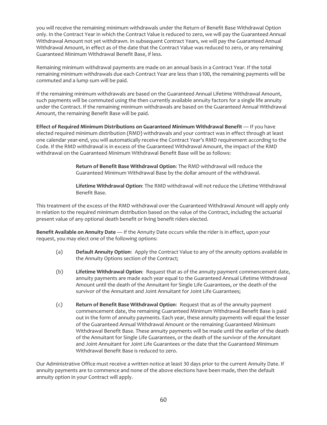you will receive the remaining minimum withdrawals under the Return of Benefit Base Withdrawal Option only. In the Contract Year in which the Contract Value is reduced to zero, we will pay the Guaranteed Annual Withdrawal Amount not yet withdrawn. In subsequent Contract Years, we will pay the Guaranteed Annual Withdrawal Amount, in effect as of the date that the Contract Value was reduced to zero, or any remaining Guaranteed Minimum Withdrawal Benefit Base, if less.

Remaining minimum withdrawal payments are made on an annual basis in a Contract Year. If the total remaining minimum withdrawals due each Contract Year are less than \$100, the remaining payments will be commuted and a lump sum will be paid.

If the remaining minimum withdrawals are based on the Guaranteed Annual Lifetime Withdrawal Amount, such payments will be commuted using the then currently available annuity factors for a single life annuity under the Contract. If the remaining minimum withdrawals are based on the Guaranteed Annual Withdrawal Amount, the remaining Benefit Base will be paid.

**Effect of Required Minimum Distributions on Guaranteed Minimum Withdrawal Benefit** — If you have elected required minimum distribution (RMD) withdrawals and your contract was in effect through at least one calendar year-end, you will automatically receive the Contract Year's RMD requirement according to the Code. If the RMD withdrawal is in excess of the Guaranteed Withdrawal Amount, the impact of the RMD withdrawal on the Guaranteed Minimum Withdrawal Benefit Base will be as follows:

> **Return of Benefit Base Withdrawal Option**: The RMD withdrawal will reduce the Guaranteed Minimum Withdrawal Base by the dollar amount of the withdrawal.

**Lifetime Withdrawal Option**: The RMD withdrawal will not reduce the Lifetime Withdrawal Benefit Base.

This treatment of the excess of the RMD withdrawal over the Guaranteed Withdrawal Amount will apply only in relation to the required minimum distribution based on the value of the Contract, including the actuarial present value of any optional death benefit or living benefit riders elected.

**Benefit Available on Annuity Date** — If the Annuity Date occurs while the rider is in effect, upon your request, you may elect one of the following options:

- (a) **Default Annuity Option**: Apply the Contract Value to any of the annuity options available in the Annuity Options section of the Contract;
- (b) **Lifetime Withdrawal Option**: Request that as of the annuity payment commencement date, annuity payments are made each year equal to the Guaranteed Annual Lifetime Withdrawal Amount until the death of the Annuitant for Single Life Guarantees, or the death of the survivor of the Annuitant and Joint Annuitant for Joint Life Guarantees;
- (c) **Return of Benefit Base Withdrawal Option**: Request that as of the annuity payment commencement date, the remaining Guaranteed Minimum Withdrawal Benefit Base is paid out in the form of annuity payments. Each year, these annuity payments will equal the lesser of the Guaranteed Annual Withdrawal Amount or the remaining Guaranteed Minimum Withdrawal Benefit Base. These annuity payments will be made until the earlier of the death of the Annuitant for Single Life Guarantees, or the death of the survivor of the Annuitant and Joint Annuitant for Joint Life Guarantees or the date that the Guaranteed Minimum Withdrawal Benefit Base is reduced to zero.

Our Administrative Office must receive a written notice at least 30 days prior to the current Annuity Date. If annuity payments are to commence and none of the above elections have been made, then the default annuity option in your Contract will apply.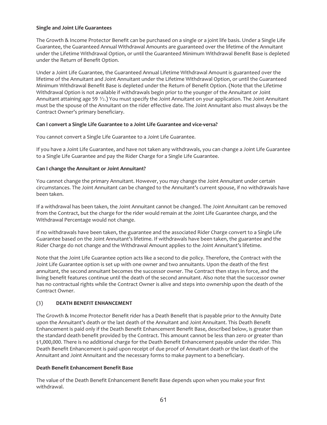## **Single and Joint Life Guarantees**

The Growth & Income Protector Benefit can be purchased on a single or a joint life basis. Under a Single Life Guarantee, the Guaranteed Annual Withdrawal Amounts are guaranteed over the lifetime of the Annuitant under the Lifetime Withdrawal Option, or until the Guaranteed Minimum Withdrawal Benefit Base is depleted under the Return of Benefit Option.

Under a Joint Life Guarantee, the Guaranteed Annual Lifetime Withdrawal Amount is guaranteed over the lifetime of the Annuitant and Joint Annuitant under the Lifetime Withdrawal Option, or until the Guaranteed Minimum Withdrawal Benefit Base is depleted under the Return of Benefit Option. (Note that the Lifetime Withdrawal Option is not available if withdrawals begin prior to the younger of the Annuitant or Joint Annuitant attaining age 59 1/2.) You must specify the Joint Annuitant on your application. The Joint Annuitant must be the spouse of the Annuitant on the rider effective date. The Joint Annuitant also must always be the Contract Owner's primary beneficiary.

## **Can I convert a Single Life Guarantee to a Joint Life Guarantee and vice-versa?**

You cannot convert a Single Life Guarantee to a Joint Life Guarantee.

If you have a Joint Life Guarantee, and have not taken any withdrawals, you can change a Joint Life Guarantee to a Single Life Guarantee and pay the Rider Charge for a Single Life Guarantee.

## **Can I change the Annuitant or Joint Annuitant?**

You cannot change the primary Annuitant. However, you may change the Joint Annuitant under certain circumstances. The Joint Annuitant can be changed to the Annuitant's current spouse, if no withdrawals have been taken.

If a withdrawal has been taken, the Joint Annuitant cannot be changed. The Joint Annuitant can be removed from the Contract, but the charge for the rider would remain at the Joint Life Guarantee charge, and the Withdrawal Percentage would not change.

If no withdrawals have been taken, the guarantee and the associated Rider Charge convert to a Single Life Guarantee based on the Joint Annuitant's lifetime. If withdrawals have been taken, the guarantee and the Rider Charge do not change and the Withdrawal Amount applies to the Joint Annuitant's lifetime.

Note that the Joint Life Guarantee option acts like a second to die policy. Therefore, the Contract with the Joint Life Guarantee option is set up with one owner and two annuitants. Upon the death of the first annuitant, the second annuitant becomes the successor owner. The Contract then stays in force, and the living benefit features continue until the death of the second annuitant. Also note that the successor owner has no contractual rights while the Contract Owner is alive and steps into ownership upon the death of the Contract Owner.

## (3) **DEATH BENEFIT ENHANCEMENT**

The Growth & Income Protector Benefit rider has a Death Benefit that is payable prior to the Annuity Date upon the Annuitant's death or the last death of the Annuitant and Joint Annuitant. This Death Benefit Enhancement is paid only if the Death Benefit Enhancement Benefit Base, described below, is greater than the standard death benefit provided by the Contract. This amount cannot be less than zero or greater than \$1,000,000. There is no additional charge for the Death Benefit Enhancement payable under the rider. This Death Benefit Enhancement is paid upon receipt of due proof of Annuitant death or the last death of the Annuitant and Joint Annuitant and the necessary forms to make payment to a beneficiary.

## **Death Benefit Enhancement Benefit Base**

The value of the Death Benefit Enhancement Benefit Base depends upon when you make your first withdrawal.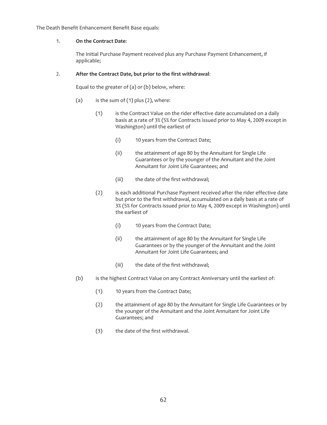The Death Benefit Enhancement Benefit Base equals:

## 1. **On the Contract Date**:

The Initial Purchase Payment received plus any Purchase Payment Enhancement, if applicable;

## 2. **After the Contract Date, but prior to the first withdrawal**:

Equal to the greater of (a) or (b) below, where:

- (a) is the sum of  $(1)$  plus  $(2)$ , where:
	- (1) is the Contract Value on the rider effective date accumulated on a daily basis at a rate of 3% (5% for Contracts issued prior to May 4, 2009 except in Washington) until the earliest of
		- (i) 10 years from the Contract Date;
		- (ii) the attainment of age 80 by the Annuitant for Single Life Guarantees or by the younger of the Annuitant and the Joint Annuitant for Joint Life Guarantees; and
		- (iii) the date of the first withdrawal;
	- (2) is each additional Purchase Payment received after the rider effective date but prior to the first withdrawal, accumulated on a daily basis at a rate of 3% (5% for Contracts issued prior to May 4, 2009 except in Washington) until the earliest of
		- (i) 10 years from the Contract Date;
		- (ii) the attainment of age 80 by the Annuitant for Single Life Guarantees or by the younger of the Annuitant and the Joint Annuitant for Joint Life Guarantees; and
		- (iii) the date of the first withdrawal;
- (b) is the highest Contract Value on any Contract Anniversary until the earliest of:
	- (1) 10 years from the Contract Date;
	- (2) the attainment of age 80 by the Annuitant for Single Life Guarantees or by the younger of the Annuitant and the Joint Annuitant for Joint Life Guarantees; and
	- (3) the date of the first withdrawal.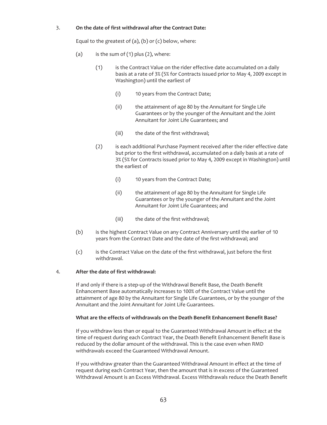## 3. **On the date of first withdrawal after the Contract Date:**

Equal to the greatest of  $(a)$ ,  $(b)$  or  $(c)$  below, where:

- (a) is the sum of  $(1)$  plus  $(2)$ , where:
	- (1) is the Contract Value on the rider effective date accumulated on a daily basis at a rate of 3% (5% for Contracts issued prior to May 4, 2009 except in Washington) until the earliest of
		- (i) 10 years from the Contract Date;
		- (ii) the attainment of age 80 by the Annuitant for Single Life Guarantees or by the younger of the Annuitant and the Joint Annuitant for Joint Life Guarantees; and
		- (iii) the date of the first withdrawal;
	- (2) is each additional Purchase Payment received after the rider effective date but prior to the first withdrawal, accumulated on a daily basis at a rate of 3% (5% for Contracts issued prior to May 4, 2009 except in Washington) until the earliest of
		- (i) 10 years from the Contract Date;
		- (ii) the attainment of age 80 by the Annuitant for Single Life Guarantees or by the younger of the Annuitant and the Joint Annuitant for Joint Life Guarantees; and
		- (iii) the date of the first withdrawal;
- (b) is the highest Contract Value on any Contract Anniversary until the earlier of 10 years from the Contract Date and the date of the first withdrawal; and
- (c) is the Contract Value on the date of the first withdrawal, just before the first withdrawal.

## 4. **After the date of first withdrawal:**

If and only if there is a step-up of the Withdrawal Benefit Base, the Death Benefit Enhancement Base automatically increases to 100% of the Contract Value until the attainment of age 80 by the Annuitant for Single Life Guarantees, or by the younger of the Annuitant and the Joint Annuitant for Joint Life Guarantees.

## **What are the effects of withdrawals on the Death Benefit Enhancement Benefit Base?**

If you withdraw less than or equal to the Guaranteed Withdrawal Amount in effect at the time of request during each Contract Year, the Death Benefit Enhancement Benefit Base is reduced by the dollar amount of the withdrawal. This is the case even when RMD withdrawals exceed the Guaranteed Withdrawal Amount.

If you withdraw greater than the Guaranteed Withdrawal Amount in effect at the time of request during each Contract Year, then the amount that is in excess of the Guaranteed Withdrawal Amount is an Excess Withdrawal. Excess Withdrawals reduce the Death Benefit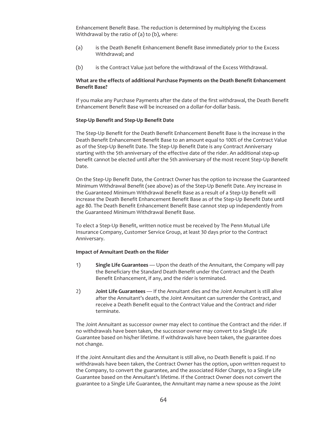Enhancement Benefit Base. The reduction is determined by multiplying the Excess Withdrawal by the ratio of (a) to (b), where:

- (a) is the Death Benefit Enhancement Benefit Base immediately prior to the Excess Withdrawal; and
- (b) is the Contract Value just before the withdrawal of the Excess Withdrawal.

#### **What are the effects of additional Purchase Payments on the Death Benefit Enhancement Benefit Base?**

If you make any Purchase Payments after the date of the first withdrawal, the Death Benefit Enhancement Benefit Base will be increased on a dollar-for-dollar basis.

#### **Step-Up Benefit and Step-Up Benefit Date**

The Step-Up Benefit for the Death Benefit Enhancement Benefit Base is the increase in the Death Benefit Enhancement Benefit Base to an amount equal to 100% of the Contract Value as of the Step-Up Benefit Date. The Step-Up Benefit Date is any Contract Anniversary starting with the 5th anniversary of the effective date of the rider. An additional step-up benefit cannot be elected until after the 5th anniversary of the most recent Step-Up Benefit Date.

On the Step-Up Benefit Date, the Contract Owner has the option to increase the Guaranteed Minimum Withdrawal Benefit (see above) as of the Step-Up Benefit Date. Any increase in the Guaranteed Minimum Withdrawal Benefit Base as a result of a Step-Up Benefit will increase the Death Benefit Enhancement Benefit Base as of the Step-Up Benefit Date until age 80. The Death Benefit Enhancement Benefit Base cannot step up independently from the Guaranteed Minimum Withdrawal Benefit Base.

To elect a Step-Up Benefit, written notice must be received by The Penn Mutual Life Insurance Company, Customer Service Group, at least 30 days prior to the Contract Anniversary.

#### **Impact of Annuitant Death on the Rider**

- 1) **Single Life Guarantees** Upon the death of the Annuitant, the Company will pay the Beneficiary the Standard Death Benefit under the Contract and the Death Benefit Enhancement, if any, and the rider is terminated.
- 2) **Joint Life Guarantees** If the Annuitant dies and the Joint Annuitant is still alive after the Annuitant's death, the Joint Annuitant can surrender the Contract, and receive a Death Benefit equal to the Contract Value and the Contract and rider terminate.

The Joint Annuitant as successor owner may elect to continue the Contract and the rider. If no withdrawals have been taken, the successor owner may convert to a Single Life Guarantee based on his/her lifetime. If withdrawals have been taken, the guarantee does not change.

If the Joint Annuitant dies and the Annuitant is still alive, no Death Benefit is paid. If no withdrawals have been taken, the Contract Owner has the option, upon written request to the Company, to convert the guarantee, and the associated Rider Charge, to a Single Life Guarantee based on the Annuitant's lifetime. If the Contract Owner does not convert the guarantee to a Single Life Guarantee, the Annuitant may name a new spouse as the Joint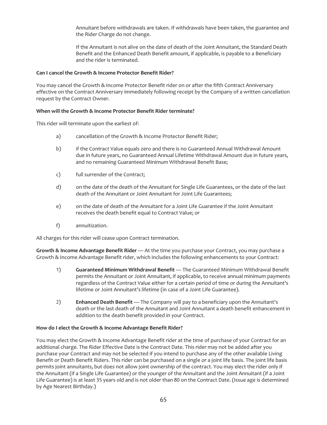Annuitant before withdrawals are taken. If withdrawals have been taken, the guarantee and the Rider Charge do not change.

If the Annuitant is not alive on the date of death of the Joint Annuitant, the Standard Death Benefit and the Enhanced Death Benefit amount, if applicable, is payable to a Beneficiary and the rider is terminated.

## **Can I cancel the Growth & Income Protector Benefit Rider?**

You may cancel the Growth & Income Protector Benefit rider on or after the fifth Contract Anniversary effective on the Contract Anniversary immediately following receipt by the Company of a written cancellation request by the Contract Owner.

## **When will the Growth & Income Protector Benefit Rider terminate?**

This rider will terminate upon the earliest of:

- a) cancellation of the Growth & Income Protector Benefit Rider;
- b) if the Contract Value equals zero and there is no Guaranteed Annual Withdrawal Amount due in future years, no Guaranteed Annual Lifetime Withdrawal Amount due in future years, and no remaining Guaranteed Minimum Withdrawal Benefit Base;
- c) full surrender of the Contract;
- d) on the date of the death of the Annuitant for Single Life Guarantees, or the date of the last death of the Annuitant or Joint Annuitant for Joint Life Guarantees;
- e) on the date of death of the Annuitant for a Joint Life Guarantee if the Joint Annuitant receives the death benefit equal to Contract Value; or
- f) annuitization.

All charges for this rider will cease upon Contract termination.

**Growth & Income Advantage Benefit Rider** — At the time you purchase your Contract, you may purchase a Growth & Income Advantage Benefit rider, which includes the following enhancements to your Contract:

- 1) **Guaranteed Minimum Withdrawal Benefit** The Guaranteed Minimum Withdrawal Benefit permits the Annuitant or Joint Annuitant, if applicable, to receive annual minimum payments regardless of the Contract Value either for a certain period of time or during the Annuitant's lifetime or Joint Annuitant's lifetime (in case of a Joint Life Guarantee).
- 2) **Enhanced Death Benefit** The Company will pay to a beneficiary upon the Annuitant's death or the last death of the Annuitant and Joint Annuitant a death benefit enhancement in addition to the death benefit provided in your Contract.

#### **How do I elect the Growth & Income Advantage Benefit Rider?**

You may elect the Growth & Income Advantage Benefit rider at the time of purchase of your Contract for an additional charge. The Rider Effective Date is the Contract Date. This rider may not be added after you purchase your Contract and may not be selected if you intend to purchase any of the other available Living Benefit or Death Benefit Riders. This rider can be purchased on a single or a joint life basis. The joint life basis permits joint annuitants, but does not allow joint ownership of the contract. You may elect the rider only if the Annuitant (if a Single Life Guarantee) or the younger of the Annuitant and the Joint Annuitant (if a Joint Life Guarantee) is at least 35 years old and is not older than 80 on the Contract Date. (Issue age is determined by Age Nearest Birthday.)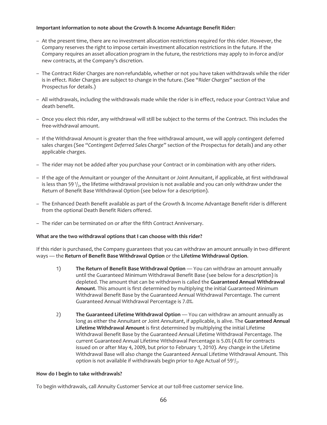## **Important information to note about the Growth & Income Advantage Benefit Rider:**

- At the present time, there are no investment allocation restrictions required for this rider. However, the Company reserves the right to impose certain investment allocation restrictions in the future. If the Company requires an asset allocation program in the future, the restrictions may apply to in-force and/or new contracts, at the Company's discretion.
- The Contract Rider Charges are non-refundable, whether or not you have taken withdrawals while the rider is in effect. Rider Charges are subject to change in the future. (See "*Rider Charges*" section of the Prospectus for details.)
- All withdrawals, including the withdrawals made while the rider is in effect, reduce your Contract Value and death benefit.
- Once you elect this rider, any withdrawal will still be subject to the terms of the Contract. This includes the free-withdrawal amount.
- If the Withdrawal Amount is greater than the free withdrawal amount, we will apply contingent deferred sales charges (See "*Contingent Deferred Sales Charge*" section of the Prospectus for details) and any other applicable charges.
- The rider may not be added after you purchase your Contract or in combination with any other riders.
- If the age of the Annuitant or younger of the Annuitant or Joint Annuitant, if applicable, at first withdrawal is less than 59 $\frac{1}{2}$ , the lifetime withdrawal provision is not available and you can only withdraw under the Return of Benefit Base Withdrawal Option (see below for a description).
- The Enhanced Death Benefit available as part of the Growth & Income Advantage Benefit rider is different from the optional Death Benefit Riders offered.
- The rider can be terminated on or after the fifth Contract Anniversary.

#### **What are the two withdrawal options that I can choose with this rider?**

If this rider is purchased, the Company guarantees that you can withdraw an amount annually in two different ways — the **Return of Benefit Base Withdrawal Option** or the **Lifetime Withdrawal Option**.

- 1) **The Return of Benefit Base Withdrawal Option** You can withdraw an amount annually until the Guaranteed Minimum Withdrawal Benefit Base (see below for a description) is depleted. The amount that can be withdrawn is called the **Guaranteed Annual Withdrawal Amount**. This amount is first determined by multiplying the initial Guaranteed Minimum Withdrawal Benefit Base by the Guaranteed Annual Withdrawal Percentage. The current Guaranteed Annual Withdrawal Percentage is 7.0%.
- 2) **The Guaranteed Lifetime Withdrawal Option** You can withdraw an amount annually as long as either the Annuitant or Joint Annuitant, if applicable, is alive. The **Guaranteed Annual Lifetime Withdrawal Amount** is first determined by multiplying the initial Lifetime Withdrawal Benefit Base by the Guaranteed Annual Lifetime Withdrawal Percentage. The current Guaranteed Annual Lifetime Withdrawal Percentage is 5.0% (4.0% for contracts issued on or after May 4, 2009, but prior to February 1, 2010). Any change in the Lifetime Withdrawal Base will also change the Guaranteed Annual Lifetime Withdrawal Amount. This option is not available if withdrawals begin prior to Age Actual of 59 $1/2$ .

#### **How do I begin to take withdrawals?**

To begin withdrawals, call Annuity Customer Service at our toll-free customer service line.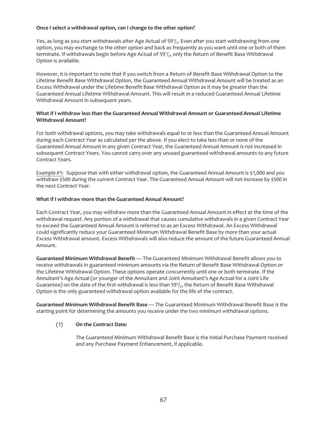## **Once I select a withdrawal option, can I change to the other option?**

Yes, as long as you start withdrawals after Age Actual of 591/2. Even after you start withdrawing from one option, you may exchange to the other option and back as frequently as you want until one or both of them terminate. If withdrawals begin before Age Actual of  $59<sup>1</sup>/2$ , only the Return of Benefit Base Withdrawal Option is available.

However, it is important to note that if you switch from a Return of Benefit Base Withdrawal Option to the Lifetime Benefit Base Withdrawal Option, the Guaranteed Annual Withdrawal Amount will be treated as an Excess Withdrawal under the Lifetime Benefit Base Withdrawal Option as it may be greater than the Guaranteed Annual Lifetime Withdrawal Amount. This will result in a reduced Guaranteed Annual Lifetime Withdrawal Amount in subsequent years.

## **What if I withdraw less than the Guaranteed Annual Withdrawal Amount or Guaranteed Annual Lifetime Withdrawal Amount?**

For both withdrawal options, you may take withdrawals equal to or less than the Guaranteed Annual Amount during each Contract Year as calculated per the above. If you elect to take less than or none of the Guaranteed Annual Amount in any given Contract Year, the Guaranteed Annual Amount is not increased in subsequent Contract Years. You cannot carry over any unused guaranteed withdrawal amounts to any future Contract Years.

*Example #1:* Suppose that with either withdrawal option, the Guaranteed Annual Amount is \$1,000 and you withdraw \$500 during the current Contract Year. The Guaranteed Annual Amount will not increase by \$500 in the next Contract Year.

## **What if I withdraw more than the Guaranteed Annual Amount?**

Each Contract Year, you may withdraw more than the Guaranteed Annual Amount in effect at the time of the withdrawal request. Any portion of a withdrawal that causes cumulative withdrawals in a given Contract Year to exceed the Guaranteed Annual Amount is referred to as an Excess Withdrawal. An Excess Withdrawal could significantly reduce your Guaranteed Minimum Withdrawal Benefit Base by more than your actual Excess Withdrawal amount. Excess Withdrawals will also reduce the amount of the future Guaranteed Annual Amount.

**Guaranteed Minimum Withdrawal Benefit** — The Guaranteed Minimum Withdrawal Benefit allows you to receive withdrawals in guaranteed minimum amounts via the Return of Benefit Base Withdrawal Option or the Lifetime Withdrawal Option. These options operate concurrently until one or both terminate. If the Annuitant's Age Actual (or younger of the Annuitant and Joint Annuitant's Age Actual for a Joint Life Guarantee) on the date of the first withdrawal is less than  $59<sup>1</sup>/2$ , the Return of Benefit Base Withdrawal Option is the only guaranteed withdrawal option available for the life of the contract.

**Guaranteed Minimum Withdrawal Benefit Base** — The Guaranteed Minimum Withdrawal Benefit Base is the starting point for determining the amounts you receive under the two minimum withdrawal options.

## (1) **On the Contract Date:**

The Guaranteed Minimum Withdrawal Benefit Base is the Initial Purchase Payment received and any Purchase Payment Enhancement, if applicable.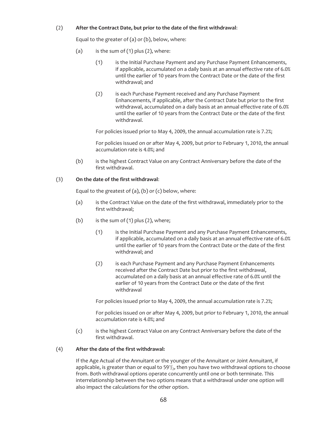## (2) **After the Contract Date, but prior to the date of the first withdrawal**:

Equal to the greater of (a) or (b), below, where:

- (a) is the sum of  $(1)$  plus  $(2)$ , where:
	- (1) is the Initial Purchase Payment and any Purchase Payment Enhancements, if applicable, accumulated on a daily basis at an annual effective rate of 6.0% until the earlier of 10 years from the Contract Date or the date of the first withdrawal; and
	- (2) is each Purchase Payment received and any Purchase Payment Enhancements, if applicable, after the Contract Date but prior to the first withdrawal, accumulated on a daily basis at an annual effective rate of 6.0% until the earlier of 10 years from the Contract Date or the date of the first withdrawal.

For policies issued prior to May 4, 2009, the annual accumulation rate is 7.2%;

For policies issued on or after May 4, 2009, but prior to February 1, 2010, the annual accumulation rate is 4.0%; and

(b) is the highest Contract Value on any Contract Anniversary before the date of the first withdrawal.

## (3) **On the date of the first withdrawal**:

Equal to the greatest of  $(a)$ ,  $(b)$  or  $(c)$  below, where:

- (a) is the Contract Value on the date of the first withdrawal, immediately prior to the first withdrawal;
- (b) is the sum of (1) plus (2), where;
	- (1) is the Initial Purchase Payment and any Purchase Payment Enhancements, if applicable, accumulated on a daily basis at an annual effective rate of 6.0% until the earlier of 10 years from the Contract Date or the date of the first withdrawal; and
	- (2) is each Purchase Payment and any Purchase Payment Enhancements received after the Contract Date but prior to the first withdrawal, accumulated on a daily basis at an annual effective rate of 6.0% until the earlier of 10 years from the Contract Date or the date of the first withdrawal

For policies issued prior to May 4, 2009, the annual accumulation rate is 7.2%;

For policies issued on or after May 4, 2009, but prior to February 1, 2010, the annual accumulation rate is 4.0%; and

(c) is the highest Contract Value on any Contract Anniversary before the date of the first withdrawal.

#### (4) **After the date of the first withdrawal:**

If the Age Actual of the Annuitant or the younger of the Annuitant or Joint Annuitant, if applicable, is greater than or equal to  $59\frac{1}{2}$ , then you have two withdrawal options to choose from. Both withdrawal options operate concurrently until one or both terminate. This interrelationship between the two options means that a withdrawal under one option will also impact the calculations for the other option.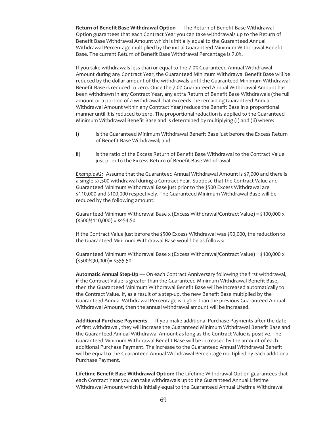**Return of Benefit Base Withdrawal Option** — The Return of Benefit Base Withdrawal Option guarantees that each Contract Year you can take withdrawals up to the Return of Benefit Base Withdrawal Amount which is initially equal to the Guaranteed Annual Withdrawal Percentage multiplied by the initial Guaranteed Minimum Withdrawal Benefit Base. The current Return of Benefit Base Withdrawal Percentage is 7.0%.

If you take withdrawals less than or equal to the 7.0% Guaranteed Annual Withdrawal Amount during any Contract Year, the Guaranteed Minimum Withdrawal Benefit Base will be reduced by the dollar amount of the withdrawals until the Guaranteed Minimum Withdrawal Benefit Base is reduced to zero. Once the 7.0% Guaranteed Annual Withdrawal Amount has been withdrawn in any Contract Year, any extra Return of Benefit Base Withdrawals (the full amount or a portion of a withdrawal that exceeds the remaining Guaranteed Annual Withdrawal Amount within any Contract Year) reduce the Benefit Base in a proportional manner until it is reduced to zero. The proportional reduction is applied to the Guaranteed Minimum Withdrawal Benefit Base and is determined by multiplying (i) and (ii) where:

- i) is the Guaranteed Minimum Withdrawal Benefit Base just before the Excess Return of Benefit Base Withdrawal; and
- ii) is the ratio of the Excess Return of Benefit Base Withdrawal to the Contract Value just prior to the Excess Return of Benefit Base Withdrawal.

*Example #2:* Assume that the Guaranteed Annual Withdrawal Amount is \$7,000 and there is a single \$7,500 withdrawal during a Contract Year. Suppose that the Contract Value and Guaranteed Minimum Withdrawal Base just prior to the \$500 Excess Withdrawal are \$110,000 and \$100,000 respectively. The Guaranteed Minimum Withdrawal Base will be reduced by the following amount:

Guaranteed Minimum Withdrawal Base x (Excess Withdrawal/Contract Value) = \$100,000 x  $(5500/\xi 110,000) = \xi 454.50$ 

If the Contract Value just before the \$500 Excess Withdrawal was \$90,000, the reduction to the Guaranteed Minimum Withdrawal Base would be as follows:

Guaranteed Minimum Withdrawal Base x (Excess Withdrawal/Contract Value) = \$100,000 x  $($ \$500/\$90,000)= \$555.50

**Automatic Annual Step-Up** — On each Contract Anniversary following the first withdrawal, if the Contract Value is greater than the Guaranteed Minimum Withdrawal Benefit Base, then the Guaranteed Minimum Withdrawal Benefit Base will be increased automatically to the Contract Value. If, as a result of a step-up, the new Benefit Base multiplied by the Guaranteed Annual Withdrawal Percentage is higher than the previous Guaranteed Annual Withdrawal Amount, then the annual withdrawal amount will be increased.

**Additional Purchase Payments** — If you make additional Purchase Payments after the date of first withdrawal, they will increase the Guaranteed Minimum Withdrawal Benefit Base and the Guaranteed Annual Withdrawal Amount as long as the Contract Value is positive. The Guaranteed Minimum Withdrawal Benefit Base will be increased by the amount of each additional Purchase Payment. The increase to the Guaranteed Annual Withdrawal Benefit will be equal to the Guaranteed Annual Withdrawal Percentage multiplied by each additional Purchase Payment.

**Lifetime Benefit Base Withdrawal Option:** The Lifetime Withdrawal Option guarantees that each Contract Year you can take withdrawals up to the Guaranteed Annual Lifetime Withdrawal Amount which is initially equal to the Guaranteed Annual Lifetime Withdrawal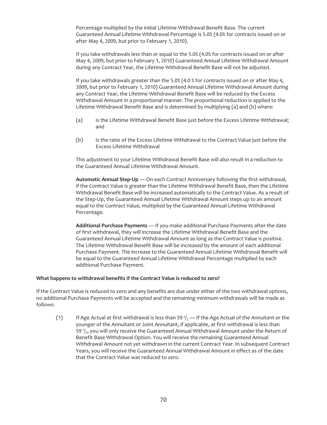Percentage multiplied by the initial Lifetime Withdrawal Benefit Base. The current Guaranteed Annual Lifetime Withdrawal Percentage is 5.0% (4.0% for contracts issued on or after May 4, 2009, but prior to February 1, 2010).

If you take withdrawals less than or equal to the 5.0% (4.0% for contracts issued on or after May 4, 2009, but prior to February 1, 2010) Guaranteed Annual Lifetime Withdrawal Amount during any Contract Year, the Lifetime Withdrawal Benefit Base will not be adjusted.

If you take withdrawals greater than the 5.0% (4.0 % for contracts issued on or after May 4, 2009, but prior to February 1, 2010) Guaranteed Annual Lifetime Withdrawal Amount during any Contract Year, the Lifetime Withdrawal Benefit Base will be reduced by the Excess Withdrawal Amount in a proportional manner. The proportional reduction is applied to the Lifetime Withdrawal Benefit Base and is determined by multiplying (a) and (b) where:

- (a) is the Lifetime Withdrawal Benefit Base just before the Excess Lifetime Withdrawal; and
- (b) is the ratio of the Excess Lifetime Withdrawal to the Contract Value just before the Excess Lifetime Withdrawal

This adjustment to your Lifetime Withdrawal Benefit Base will also result in a reduction to the Guaranteed Annual Lifetime Withdrawal Amount.

**Automatic Annual Step-Up** — On each Contract Anniversary following the first withdrawal, if the Contract Value is greater than the Lifetime Withdrawal Benefit Base, then the Lifetime Withdrawal Benefit Base will be increased automatically to the Contract Value. As a result of the Step-Up, the Guaranteed Annual Lifetime Withdrawal Amount steps up to an amount equal to the Contract Value, multiplied by the Guaranteed Annual Lifetime Withdrawal Percentage.

**Additional Purchase Payments** — If you make additional Purchase Payments after the date of first withdrawal, they will increase the Lifetime Withdrawal Benefit Base and the Guaranteed Annual Lifetime Withdrawal Amount as long as the Contract Value is positive. The Lifetime Withdrawal Benefit Base will be increased by the amount of each additional Purchase Payment. The increase to the Guaranteed Annual Lifetime Withdrawal Benefit will be equal to the Guaranteed Annual Lifetime Withdrawal Percentage multiplied by each additional Purchase Payment.

#### **What happens to withdrawal benefits if the Contract Value is reduced to zero?**

If the Contract Value is reduced to zero and any benefits are due under either of the two withdrawal options, no additional Purchase Payments will be accepted and the remaining minimum withdrawals will be made as follows:

(1) If Age Actual at first withdrawal is less than 59 $\frac{1}{2}$  — If the Age Actual of the Annuitant or the younger of the Annuitant or Joint Annuitant, if applicable, at first withdrawal is less than 59 $\frac{1}{2}$ , you will only receive the Guaranteed Annual Withdrawal Amount under the Return of Benefit Base Withdrawal Option. You will receive the remaining Guaranteed Annual Withdrawal Amount not yet withdrawn in the current Contract Year. In subsequent Contract Years, you will receive the Guaranteed Annual Withdrawal Amount in effect as of the date that the Contract Value was reduced to zero.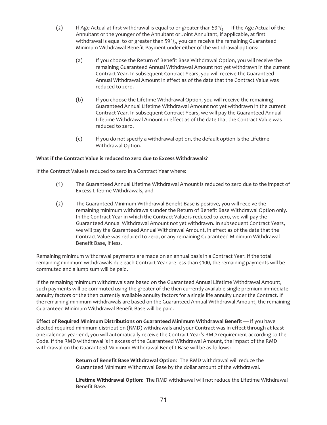- (2) If Age Actual at first withdrawal is equal to or greater than 59 $1/2$  If the Age Actual of the Annuitant or the younger of the Annuitant or Joint Annuitant, if applicable, at first withdrawal is equal to or greater than 59 $\frac{1}{2}$ , you can receive the remaining Guaranteed Minimum Withdrawal Benefit Payment under either of the withdrawal options:
	- (a) If you choose the Return of Benefit Base Withdrawal Option, you will receive the remaining Guaranteed Annual Withdrawal Amount not yet withdrawn in the current Contract Year. In subsequent Contract Years, you will receive the Guaranteed Annual Withdrawal Amount in effect as of the date that the Contract Value was reduced to zero.
	- (b) If you choose the Lifetime Withdrawal Option, you will receive the remaining Guaranteed Annual Lifetime Withdrawal Amount not yet withdrawn in the current Contract Year. In subsequent Contract Years, we will pay the Guaranteed Annual Lifetime Withdrawal Amount in effect as of the date that the Contract Value was reduced to zero.
	- (c) If you do not specify a withdrawal option, the default option is the Lifetime Withdrawal Option.

## **What if the Contract Value is reduced to zero due to Excess Withdrawals?**

If the Contract Value is reduced to zero in a Contract Year where:

- (1) The Guaranteed Annual Lifetime Withdrawal Amount is reduced to zero due to the impact of Excess Lifetime Withdrawals, and
- (2) The Guaranteed Minimum Withdrawal Benefit Base is positive, you will receive the remaining minimum withdrawals under the Return of Benefit Base Withdrawal Option only. In the Contract Year in which the Contract Value is reduced to zero, we will pay the Guaranteed Annual Withdrawal Amount not yet withdrawn. In subsequent Contract Years, we will pay the Guaranteed Annual Withdrawal Amount, in effect as of the date that the Contract Value was reduced to zero, or any remaining Guaranteed Minimum Withdrawal Benefit Base, if less.

Remaining minimum withdrawal payments are made on an annual basis in a Contract Year. If the total remaining minimum withdrawals due each Contract Year are less than \$100, the remaining payments will be commuted and a lump sum will be paid.

If the remaining minimum withdrawals are based on the Guaranteed Annual Lifetime Withdrawal Amount, such payments will be commuted using the greater of the then currently available single premium immediate annuity factors or the then currently available annuity factors for a single life annuity under the Contract. If the remaining minimum withdrawals are based on the Guaranteed Annual Withdrawal Amount, the remaining Guaranteed Minimum Withdrawal Benefit Base will be paid.

**Effect of Required Minimum Distributions on Guaranteed Minimum Withdrawal Benefit** — If you have elected required minimum distribution (RMD) withdrawals and your Contract was in effect through at least one calendar year-end, you will automatically receive the Contract Year's RMD requirement according to the Code. If the RMD withdrawal is in excess of the Guaranteed Withdrawal Amount, the impact of the RMD withdrawal on the Guaranteed Minimum Withdrawal Benefit Base will be as follows:

> **Return of Benefit Base Withdrawal Option**: The RMD withdrawal will reduce the Guaranteed Minimum Withdrawal Base by the dollar amount of the withdrawal.

**Lifetime Withdrawal Option**: The RMD withdrawal will not reduce the Lifetime Withdrawal Benefit Base.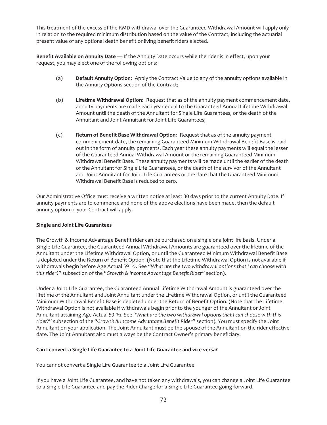This treatment of the excess of the RMD withdrawal over the Guaranteed Withdrawal Amount will apply only in relation to the required minimum distribution based on the value of the Contract, including the actuarial present value of any optional death benefit or living benefit riders elected.

**Benefit Available on Annuity Date** — If the Annuity Date occurs while the rider is in effect, upon your request, you may elect one of the following options:

- (a) **Default Annuity Option**: Apply the Contract Value to any of the annuity options available in the Annuity Options section of the Contract;
- (b) **Lifetime Withdrawal Option**: Request that as of the annuity payment commencement date, annuity payments are made each year equal to the Guaranteed Annual Lifetime Withdrawal Amount until the death of the Annuitant for Single Life Guarantees, or the death of the Annuitant and Joint Annuitant for Joint Life Guarantees;
- (c) **Return of Benefit Base Withdrawal Option**: Request that as of the annuity payment commencement date, the remaining Guaranteed Minimum Withdrawal Benefit Base is paid out in the form of annuity payments. Each year these annuity payments will equal the lesser of the Guaranteed Annual Withdrawal Amount or the remaining Guaranteed Minimum Withdrawal Benefit Base. These annuity payments will be made until the earlier of the death of the Annuitant for Single Life Guarantees, or the death of the survivor of the Annuitant and Joint Annuitant for Joint Life Guarantees or the date that the Guaranteed Minimum Withdrawal Benefit Base is reduced to zero.

Our Administrative Office must receive a written notice at least 30 days prior to the current Annuity Date. If annuity payments are to commence and none of the above elections have been made, then the default annuity option in your Contract will apply.

## **Single and Joint Life Guarantees**

The Growth & Income Advantage Benefit rider can be purchased on a single or a joint life basis. Under a Single Life Guarantee, the Guaranteed Annual Withdrawal Amounts are guaranteed over the lifetime of the Annuitant under the Lifetime Withdrawal Option, or until the Guaranteed Minimum Withdrawal Benefit Base is depleted under the Return of Benefit Option. (Note that the Lifetime Withdrawal Option is not available if withdrawals begin before Age Actual 59  $\frac{1}{2}$ . See "What are the two withdrawal options that I can choose with *this rider*?" subsection of the "*Growth & Income Advantage Benefit Rider"* section).

Under a Joint Life Guarantee, the Guaranteed Annual Lifetime Withdrawal Amount is guaranteed over the lifetime of the Annuitant and Joint Annuitant under the Lifetime Withdrawal Option, or until the Guaranteed Minimum Withdrawal Benefit Base is depleted under the Return of Benefit Option. (Note that the Lifetime Withdrawal Option is not available if withdrawals begin prior to the younger of the Annuitant or Joint Annuitant attaining Age Actual 59 1⁄2. See "*What are the two withdrawal options that I can choose with this rider?*" subsection of the "*Growth & Income Advantage Benefit Rider"* section). You must specify the Joint Annuitant on your application. The Joint Annuitant must be the spouse of the Annuitant on the rider effective date. The Joint Annuitant also must always be the Contract Owner's primary beneficiary.

#### **Can I convert a Single Life Guarantee to a Joint Life Guarantee and vice-versa?**

You cannot convert a Single Life Guarantee to a Joint Life Guarantee.

If you have a Joint Life Guarantee, and have not taken any withdrawals, you can change a Joint Life Guarantee to a Single Life Guarantee and pay the Rider Charge for a Single Life Guarantee going forward.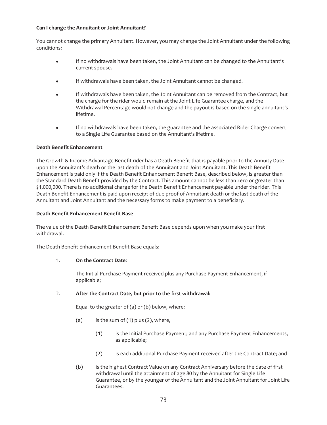#### **Can I change the Annuitant or Joint Annuitant?**

You cannot change the primary Annuitant. However, you may change the Joint Annuitant under the following conditions:

- If no withdrawals have been taken, the Joint Annuitant can be changed to the Annuitant's current spouse.
- If withdrawals have been taken, the Joint Annuitant cannot be changed.
- If withdrawals have been taken, the Joint Annuitant can be removed from the Contract, but the charge for the rider would remain at the Joint Life Guarantee charge, and the Withdrawal Percentage would not change and the payout is based on the single annuitant's lifetime.
- If no withdrawals have been taken, the guarantee and the associated Rider Charge convert to a Single Life Guarantee based on the Annuitant's lifetime.

## **Death Benefit Enhancement**

The Growth & Income Advantage Benefit rider has a Death Benefit that is payable prior to the Annuity Date upon the Annuitant's death or the last death of the Annuitant and Joint Annuitant. This Death Benefit Enhancement is paid only if the Death Benefit Enhancement Benefit Base, described below, is greater than the Standard Death Benefit provided by the Contract. This amount cannot be less than zero or greater than \$1,000,000. There is no additional charge for the Death Benefit Enhancement payable under the rider. This Death Benefit Enhancement is paid upon receipt of due proof of Annuitant death or the last death of the Annuitant and Joint Annuitant and the necessary forms to make payment to a beneficiary.

#### **Death Benefit Enhancement Benefit Base**

The value of the Death Benefit Enhancement Benefit Base depends upon when you make your first withdrawal.

The Death Benefit Enhancement Benefit Base equals:

## 1. **On the Contract Date**:

The Initial Purchase Payment received plus any Purchase Payment Enhancement, if applicable;

## 2. **After the Contract Date, but prior to the first withdrawal:**

Equal to the greater of (a) or (b) below, where:

- (a) is the sum of  $(1)$  plus  $(2)$ , where,
	- (1) is the Initial Purchase Payment; and any Purchase Payment Enhancements, as applicable;
	- (2) is each additional Purchase Payment received after the Contract Date; and
- (b) is the highest Contract Value on any Contract Anniversary before the date of first withdrawal until the attainment of age 80 by the Annuitant for Single Life Guarantee, or by the younger of the Annuitant and the Joint Annuitant for Joint Life Guarantees.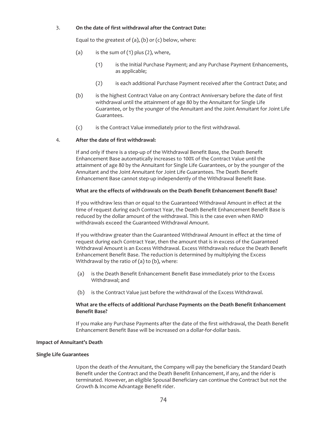#### 3. **On the date of first withdrawal after the Contract Date:**

Equal to the greatest of  $(a)$ ,  $(b)$  or  $(c)$  below, where:

- (a) is the sum of  $(1)$  plus  $(2)$ , where,
	- (1) is the Initial Purchase Payment; and any Purchase Payment Enhancements, as applicable;
	- (2) is each additional Purchase Payment received after the Contract Date; and
- (b) is the highest Contract Value on any Contract Anniversary before the date of first withdrawal until the attainment of age 80 by the Annuitant for Single Life Guarantee, or by the younger of the Annuitant and the Joint Annuitant for Joint Life Guarantees.
- (c) is the Contract Value immediately prior to the first withdrawal.

## 4. **After the date of first withdrawal:**

If and only if there is a step-up of the Withdrawal Benefit Base, the Death Benefit Enhancement Base automatically increases to 100% of the Contract Value until the attainment of age 80 by the Annuitant for Single Life Guarantees, or by the younger of the Annuitant and the Joint Annuitant for Joint Life Guarantees. The Death Benefit Enhancement Base cannot step-up independently of the Withdrawal Benefit Base.

## **What are the effects of withdrawals on the Death Benefit Enhancement Benefit Base?**

If you withdraw less than or equal to the Guaranteed Withdrawal Amount in effect at the time of request during each Contract Year, the Death Benefit Enhancement Benefit Base is reduced by the dollar amount of the withdrawal. This is the case even when RMD withdrawals exceed the Guaranteed Withdrawal Amount.

If you withdraw greater than the Guaranteed Withdrawal Amount in effect at the time of request during each Contract Year, then the amount that is in excess of the Guaranteed Withdrawal Amount is an Excess Withdrawal. Excess Withdrawals reduce the Death Benefit Enhancement Benefit Base. The reduction is determined by multiplying the Excess Withdrawal by the ratio of (a) to (b), where:

- (a) is the Death Benefit Enhancement Benefit Base immediately prior to the Excess Withdrawal; and
- (b) is the Contract Value just before the withdrawal of the Excess Withdrawal.

#### **What are the effects of additional Purchase Payments on the Death Benefit Enhancement Benefit Base?**

If you make any Purchase Payments after the date of the first withdrawal, the Death Benefit Enhancement Benefit Base will be increased on a dollar-for-dollar basis.

## **Impact of Annuitant's Death**

#### **Single Life Guarantees**

Upon the death of the Annuitant, the Company will pay the beneficiary the Standard Death Benefit under the Contract and the Death Benefit Enhancement, if any, and the rider is terminated. However, an eligible Spousal Beneficiary can continue the Contract but not the Growth & Income Advantage Benefit rider.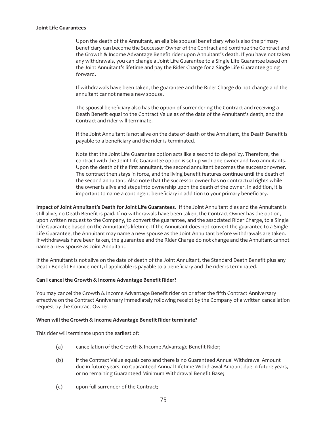#### **Joint Life Guarantees**

Upon the death of the Annuitant, an eligible spousal beneficiary who is also the primary beneficiary can become the Successor Owner of the Contract and continue the Contract and the Growth & Income Advantage Benefit rider upon Annuitant's death. If you have not taken any withdrawals, you can change a Joint Life Guarantee to a Single Life Guarantee based on the Joint Annuitant's lifetime and pay the Rider Charge for a Single Life Guarantee going forward.

If withdrawals have been taken, the guarantee and the Rider Charge do not change and the annuitant cannot name a new spouse.

The spousal beneficiary also has the option of surrendering the Contract and receiving a Death Benefit equal to the Contract Value as of the date of the Annuitant's death, and the Contract and rider will terminate.

If the Joint Annuitant is not alive on the date of death of the Annuitant, the Death Benefit is payable to a beneficiary and the rider is terminated.

Note that the Joint Life Guarantee option acts like a second to die policy. Therefore, the contract with the Joint Life Guarantee option is set up with one owner and two annuitants. Upon the death of the first annuitant, the second annuitant becomes the successor owner. The contract then stays in force, and the living benefit features continue until the death of the second annuitant. Also note that the successor owner has no contractual rights while the owner is alive and steps into ownership upon the death of the owner. In addition, it is important to name a contingent beneficiary in addition to your primary beneficiary.

**Impact of Joint Annuitant's Death for Joint Life Guarantees**. If the Joint Annuitant dies and the Annuitant is still alive, no Death Benefit is paid. If no withdrawals have been taken, the Contract Owner has the option, upon written request to the Company, to convert the guarantee, and the associated Rider Charge, to a Single Life Guarantee based on the Annuitant's lifetime. If the Annuitant does not convert the guarantee to a Single Life Guarantee, the Annuitant may name a new spouse as the Joint Annuitant before withdrawals are taken. If withdrawals have been taken, the guarantee and the Rider Charge do not change and the Annuitant cannot name a new spouse as Joint Annuitant.

If the Annuitant is not alive on the date of death of the Joint Annuitant, the Standard Death Benefit plus any Death Benefit Enhancement, if applicable is payable to a beneficiary and the rider is terminated.

#### **Can I cancel the Growth & Income Advantage Benefit Rider?**

You may cancel the Growth & Income Advantage Benefit rider on or after the fifth Contract Anniversary effective on the Contract Anniversary immediately following receipt by the Company of a written cancellation request by the Contract Owner.

#### **When will the Growth & Income Advantage Benefit Rider terminate?**

This rider will terminate upon the earliest of:

- (a) cancellation of the Growth & Income Advantage Benefit Rider;
- (b) if the Contract Value equals zero and there is no Guaranteed Annual Withdrawal Amount due in future years, no Guaranteed Annual Lifetime Withdrawal Amount due in future years, or no remaining Guaranteed Minimum Withdrawal Benefit Base;
- (c) upon full surrender of the Contract;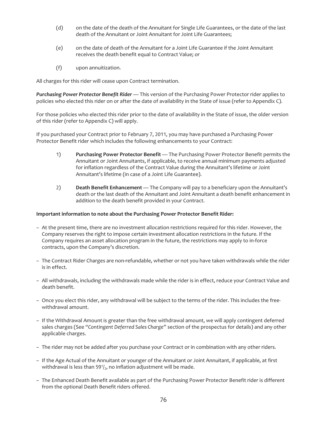- (d) on the date of the death of the Annuitant for Single Life Guarantees, or the date of the last death of the Annuitant or Joint Annuitant for Joint Life Guarantees;
- (e) on the date of death of the Annuitant for a Joint Life Guarantee if the Joint Annuitant receives the death benefit equal to Contract Value; or
- (f) upon annuitization.

All charges for this rider will cease upon Contract termination.

*Purchasing Power Protector Benefit Rider* — This version of the Purchasing Power Protector rider applies to policies who elected this rider on or after the date of availability in the State of issue (refer to Appendix C).

For those policies who elected this rider prior to the date of availability in the State of issue, the older version of this rider (refer to Appendix C) will apply.

If you purchased your Contract prior to February 7, 2011, you may have purchased a Purchasing Power Protector Benefit rider which includes the following enhancements to your Contract:

- 1) **Purchasing Power Protector Benefit** The Purchasing Power Protector Benefit permits the Annuitant or Joint Annuitants, if applicable, to receive annual minimum payments adjusted for inflation regardless of the Contract Value during the Annuitant's lifetime or Joint Annuitant's lifetime (in case of a Joint Life Guarantee).
- 2) **Death Benefit Enhancement** The Company will pay to a beneficiary upon the Annuitant's death or the last death of the Annuitant and Joint Annuitant a death benefit enhancement in addition to the death benefit provided in your Contract.

#### **Important information to note about the Purchasing Power Protector Benefit Rider:**

- At the present time, there are no investment allocation restrictions required for this rider. However, the Company reserves the right to impose certain investment allocation restrictions in the future. If the Company requires an asset allocation program in the future, the restrictions may apply to in-force contracts, upon the Company's discretion.
- The Contract Rider Charges are non-refundable, whether or not you have taken withdrawals while the rider is in effect.
- All withdrawals, including the withdrawals made while the rider is in effect, reduce your Contract Value and death benefit.
- Once you elect this rider, any withdrawal will be subject to the terms of the rider. This includes the freewithdrawal amount.
- If the Withdrawal Amount is greater than the free withdrawal amount, we will apply contingent deferred sales charges (See *"Contingent Deferred Sales Charge"* section of the prospectus for details) and any other applicable charges.
- The rider may not be added after you purchase your Contract or in combination with any other riders.
- If the Age Actual of the Annuitant or younger of the Annuitant or Joint Annuitant, if applicable, at first withdrawal is less than 591/ $_2$ , no inflation adjustment will be made.
- The Enhanced Death Benefit available as part of the Purchasing Power Protector Benefit rider is different from the optional Death Benefit riders offered.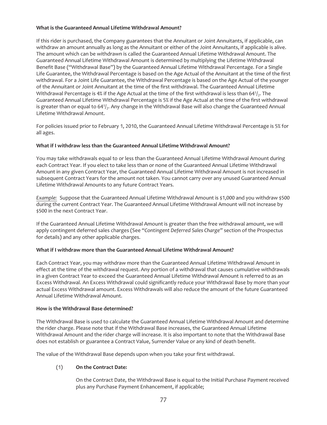## **What is the Guaranteed Annual Lifetime Withdrawal Amount?**

If this rider is purchased, the Company guarantees that the Annuitant or Joint Annuitants, if applicable, can withdraw an amount annually as long as the Annuitant or either of the Joint Annuitants, if applicable is alive. The amount which can be withdrawn is called the Guaranteed Annual Lifetime Withdrawal Amount. The Guaranteed Annual Lifetime Withdrawal Amount is determined by multiplying the Lifetime Withdrawal Benefit Base ("Withdrawal Base") by the Guaranteed Annual Lifetime Withdrawal Percentage. For a Single Life Guarantee, the Withdrawal Percentage is based on the Age Actual of the Annuitant at the time of the first withdrawal. For a Joint Life Guarantee, the Withdrawal Percentage is based on the Age Actual of the younger of the Annuitant or Joint Annuitant at the time of the first withdrawal. The Guaranteed Annual Lifetime Withdrawal Percentage is 4% if the Age Actual at the time of the first withdrawal is less than 641/ $_2$ . The Guaranteed Annual Lifetime Withdrawal Percentage is 5% if the Age Actual at the time of the first withdrawal is greater than or equal to 641/<sub>2</sub>. Any change in the Withdrawal Base will also change the Guaranteed Annual Lifetime Withdrawal Amount.

For policies issued prior to February 1, 2010, the Guaranteed Annual Lifetime Withdrawal Percentage is 5% for all ages.

## **What if I withdraw less than the Guaranteed Annual Lifetime Withdrawal Amount?**

You may take withdrawals equal to or less than the Guaranteed Annual Lifetime Withdrawal Amount during each Contract Year. If you elect to take less than or none of the Guaranteed Annual Lifetime Withdrawal Amount in any given Contract Year, the Guaranteed Annual Lifetime Withdrawal Amount is not increased in subsequent Contract Years for the amount not taken. You cannot carry over any unused Guaranteed Annual Lifetime Withdrawal Amounts to any future Contract Years.

*Example:* Suppose that the Guaranteed Annual Lifetime Withdrawal Amount is \$1,000 and you withdraw \$500 during the current Contract Year. The Guaranteed Annual Lifetime Withdrawal Amount will not increase by \$500 in the next Contract Year.

If the Guaranteed Annual Lifetime Withdrawal Amount is greater than the free withdrawal amount, we will apply contingent deferred sales charges (See "*Contingent Deferred Sales Charge"* section of the Prospectus for details) and any other applicable charges.

## **What if I withdraw more than the Guaranteed Annual Lifetime Withdrawal Amount?**

Each Contract Year, you may withdraw more than the Guaranteed Annual Lifetime Withdrawal Amount in effect at the time of the withdrawal request. Any portion of a withdrawal that causes cumulative withdrawals in a given Contract Year to exceed the Guaranteed Annual Lifetime Withdrawal Amount is referred to as an Excess Withdrawal. An Excess Withdrawal could significantly reduce your Withdrawal Base by more than your actual Excess Withdrawal amount. Excess Withdrawals will also reduce the amount of the future Guaranteed Annual Lifetime Withdrawal Amount.

#### **How is the Withdrawal Base determined?**

The Withdrawal Base is used to calculate the Guaranteed Annual Lifetime Withdrawal Amount and determine the rider charge. Please note that if the Withdrawal Base increases, the Guaranteed Annual Lifetime Withdrawal Amount and the rider charge will increase. It is also important to note that the Withdrawal Base does not establish or guarantee a Contract Value, Surrender Value or any kind of death benefit.

The value of the Withdrawal Base depends upon when you take your first withdrawal.

## (1) **On the Contract Date:**

On the Contract Date, the Withdrawal Base is equal to the Initial Purchase Payment received plus any Purchase Payment Enhancement, if applicable;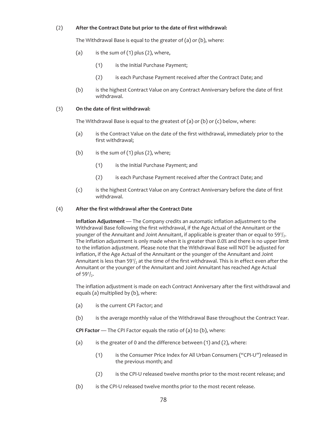### (2) **After the Contract Date but prior to the date of first withdrawal:**

The Withdrawal Base is equal to the greater of (a) or (b), where:

- (a) is the sum of  $(1)$  plus  $(2)$ , where,
	- (1) is the Initial Purchase Payment;
	- (2) is each Purchase Payment received after the Contract Date; and
- (b) is the highest Contract Value on any Contract Anniversary before the date of first withdrawal.

#### (3) **On the date of first withdrawal:**

The Withdrawal Base is equal to the greatest of (a) or (b) or (c) below, where:

- (a) is the Contract Value on the date of the first withdrawal, immediately prior to the first withdrawal;
- (b) is the sum of  $(1)$  plus  $(2)$ , where;
	- (1) is the Initial Purchase Payment; and
	- (2) is each Purchase Payment received after the Contract Date; and
- (c) is the highest Contract Value on any Contract Anniversary before the date of first withdrawal.

#### (4) **After the first withdrawal after the Contract Date**

**Inflation Adjustment** — The Company credits an automatic inflation adjustment to the Withdrawal Base following the first withdrawal, if the Age Actual of the Annuitant or the younger of the Annuitant and Joint Annuitant, if applicable is greater than or equal to  $59<sup>1</sup>$ . The inflation adjustment is only made when it is greater than 0.0% and there is no upper limit to the inflation adjustment. Please note that the Withdrawal Base will NOT be adjusted for inflation, if the Age Actual of the Annuitant or the younger of the Annuitant and Joint Annuitant is less than 59 $\frac{1}{2}$  at the time of the first withdrawal. This is in effect even after the Annuitant or the younger of the Annuitant and Joint Annuitant has reached Age Actual of  $59\frac{1}{2}$ .

The inflation adjustment is made on each Contract Anniversary after the first withdrawal and equals (a) multiplied by (b), where:

- (a) is the current CPI Factor; and
- (b) is the average monthly value of the Withdrawal Base throughout the Contract Year.

**CPI Factor** — The CPI Factor equals the ratio of (a) to (b), where:

- (a) is the greater of 0 and the difference between (1) and (2), where:
	- (1) is the Consumer Price Index for All Urban Consumers ("CPI-U") released in the previous month; and
	- (2) is the CPI-U released twelve months prior to the most recent release; and
- (b) is the CPI-U released twelve months prior to the most recent release.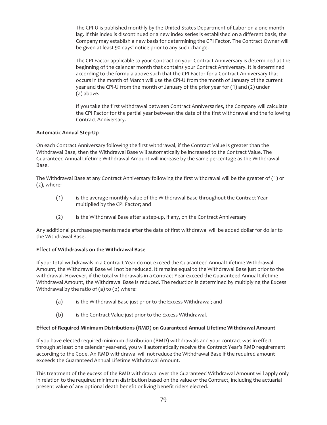The CPI-U is published monthly by the United States Department of Labor on a one month lag. If this index is discontinued or a new index series is established on a different basis, the Company may establish a new basis for determining the CPI Factor. The Contract Owner will be given at least 90 days' notice prior to any such change.

The CPI Factor applicable to your Contract on your Contract Anniversary is determined at the beginning of the calendar month that contains your Contract Anniversary. It is determined according to the formula above such that the CPI Factor for a Contract Anniversary that occurs in the month of March will use the CPI-U from the month of January of the current year and the CPI-U from the month of January of the prior year for (1) and (2) under (a) above.

If you take the first withdrawal between Contract Anniversaries, the Company will calculate the CPI Factor for the partial year between the date of the first withdrawal and the following Contract Anniversary.

## **Automatic Annual Step-Up**

On each Contract Anniversary following the first withdrawal, if the Contract Value is greater than the Withdrawal Base, then the Withdrawal Base will automatically be increased to the Contract Value. The Guaranteed Annual Lifetime Withdrawal Amount will increase by the same percentage as the Withdrawal Base.

The Withdrawal Base at any Contract Anniversary following the first withdrawal will be the greater of (1) or (2), where:

- (1) is the average monthly value of the Withdrawal Base throughout the Contract Year multiplied by the CPI Factor; and
- (2) is the Withdrawal Base after a step-up, if any, on the Contract Anniversary

Any additional purchase payments made after the date of first withdrawal will be added dollar for dollar to the Withdrawal Base.

## **Effect of Withdrawals on the Withdrawal Base**

If your total withdrawals in a Contract Year do not exceed the Guaranteed Annual Lifetime Withdrawal Amount, the Withdrawal Base will not be reduced. It remains equal to the Withdrawal Base just prior to the withdrawal. However, if the total withdrawals in a Contract Year exceed the Guaranteed Annual Lifetime Withdrawal Amount, the Withdrawal Base is reduced. The reduction is determined by multiplying the Excess Withdrawal by the ratio of (a) to (b) where:

- (a) is the Withdrawal Base just prior to the Excess Withdrawal; and
- (b) is the Contract Value just prior to the Excess Withdrawal.

## **Effect of Required Minimum Distributions (RMD) on Guaranteed Annual Lifetime Withdrawal Amount**

If you have elected required minimum distribution (RMD) withdrawals and your contract was in effect through at least one calendar year-end, you will automatically receive the Contract Year's RMD requirement according to the Code. An RMD withdrawal will not reduce the Withdrawal Base if the required amount exceeds the Guaranteed Annual Lifetime Withdrawal Amount.

This treatment of the excess of the RMD withdrawal over the Guaranteed Withdrawal Amount will apply only in relation to the required minimum distribution based on the value of the Contract, including the actuarial present value of any optional death benefit or living benefit riders elected.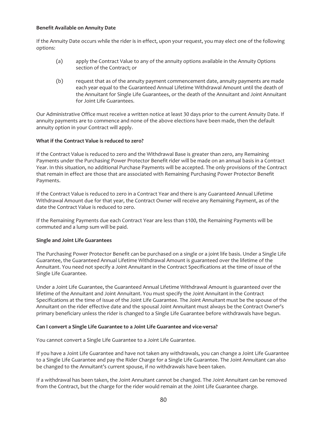#### **Benefit Available on Annuity Date**

If the Annuity Date occurs while the rider is in effect, upon your request, you may elect one of the following options:

- (a) apply the Contract Value to any of the annuity options available in the Annuity Options section of the Contract; or
- (b) request that as of the annuity payment commencement date, annuity payments are made each year equal to the Guaranteed Annual Lifetime Withdrawal Amount until the death of the Annuitant for Single Life Guarantees, or the death of the Annuitant and Joint Annuitant for Joint Life Guarantees.

Our Administrative Office must receive a written notice at least 30 days prior to the current Annuity Date. If annuity payments are to commence and none of the above elections have been made, then the default annuity option in your Contract will apply.

#### **What if the Contract Value is reduced to zero?**

If the Contract Value is reduced to zero and the Withdrawal Base is greater than zero, any Remaining Payments under the Purchasing Power Protector Benefit rider will be made on an annual basis in a Contract Year. In this situation, no additional Purchase Payments will be accepted. The only provisions of the Contract that remain in effect are those that are associated with Remaining Purchasing Power Protector Benefit Payments.

If the Contract Value is reduced to zero in a Contract Year and there is any Guaranteed Annual Lifetime Withdrawal Amount due for that year, the Contract Owner will receive any Remaining Payment, as of the date the Contract Value is reduced to zero.

If the Remaining Payments due each Contract Year are less than \$100, the Remaining Payments will be commuted and a lump sum will be paid.

#### **Single and Joint Life Guarantees**

The Purchasing Power Protector Benefit can be purchased on a single or a joint life basis. Under a Single Life Guarantee, the Guaranteed Annual Lifetime Withdrawal Amount is guaranteed over the lifetime of the Annuitant. You need not specify a Joint Annuitant in the Contract Specifications at the time of issue of the Single Life Guarantee.

Under a Joint Life Guarantee, the Guaranteed Annual Lifetime Withdrawal Amount is guaranteed over the lifetime of the Annuitant and Joint Annuitant. You must specify the Joint Annuitant in the Contract Specifications at the time of issue of the Joint Life Guarantee. The Joint Annuitant must be the spouse of the Annuitant on the rider effective date and the spousal Joint Annuitant must always be the Contract Owner's primary beneficiary unless the rider is changed to a Single Life Guarantee before withdrawals have begun.

#### **Can I convert a Single Life Guarantee to a Joint Life Guarantee and vice-versa?**

You cannot convert a Single Life Guarantee to a Joint Life Guarantee.

If you have a Joint Life Guarantee and have not taken any withdrawals, you can change a Joint Life Guarantee to a Single Life Guarantee and pay the Rider Charge for a Single Life Guarantee. The Joint Annuitant can also be changed to the Annuitant's current spouse, if no withdrawals have been taken.

If a withdrawal has been taken, the Joint Annuitant cannot be changed. The Joint Annuitant can be removed from the Contract, but the charge for the rider would remain at the Joint Life Guarantee charge.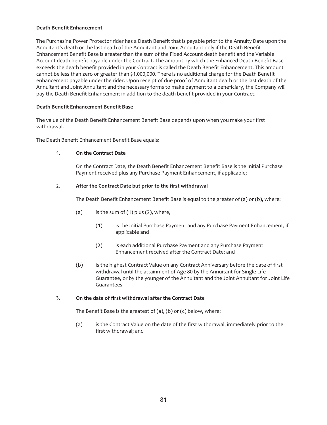#### **Death Benefit Enhancement**

The Purchasing Power Protector rider has a Death Benefit that is payable prior to the Annuity Date upon the Annuitant's death or the last death of the Annuitant and Joint Annuitant only if the Death Benefit Enhancement Benefit Base is greater than the sum of the Fixed Account death benefit and the Variable Account death benefit payable under the Contract. The amount by which the Enhanced Death Benefit Base exceeds the death benefit provided in your Contract is called the Death Benefit Enhancement. This amount cannot be less than zero or greater than \$1,000,000. There is no additional charge for the Death Benefit enhancement payable under the rider. Upon receipt of due proof of Annuitant death or the last death of the Annuitant and Joint Annuitant and the necessary forms to make payment to a beneficiary, the Company will pay the Death Benefit Enhancement in addition to the death benefit provided in your Contract.

#### **Death Benefit Enhancement Benefit Base**

The value of the Death Benefit Enhancement Benefit Base depends upon when you make your first withdrawal.

The Death Benefit Enhancement Benefit Base equals:

## 1. **On the Contract Date**

On the Contract Date, the Death Benefit Enhancement Benefit Base is the Initial Purchase Payment received plus any Purchase Payment Enhancement, if applicable;

#### 2. **After the Contract Date but prior to the first withdrawal**

The Death Benefit Enhancement Benefit Base is equal to the greater of (a) or (b), where:

- (a) is the sum of  $(1)$  plus  $(2)$ , where,
	- (1) is the Initial Purchase Payment and any Purchase Payment Enhancement, if applicable and
	- (2) is each additional Purchase Payment and any Purchase Payment Enhancement received after the Contract Date; and
- (b) is the highest Contract Value on any Contract Anniversary before the date of first withdrawal until the attainment of Age 80 by the Annuitant for Single Life Guarantee, or by the younger of the Annuitant and the Joint Annuitant for Joint Life Guarantees.

## 3. **On the date of first withdrawal after the Contract Date**

The Benefit Base is the greatest of (a), (b) or (c) below, where:

(a) is the Contract Value on the date of the first withdrawal, immediately prior to the first withdrawal; and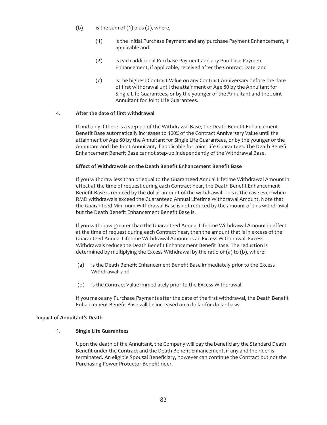- (b) is the sum of  $(1)$  plus  $(2)$ , where,
	- (1) is the Initial Purchase Payment and any purchase Payment Enhancement, if applicable and
	- (2) is each additional Purchase Payment and any Purchase Payment Enhancement, if applicable, received after the Contract Date; and
	- (c) is the highest Contract Value on any Contract Anniversary before the date of first withdrawal until the attainment of Age 80 by the Annuitant for Single Life Guarantees, or by the younger of the Annuitant and the Joint Annuitant for Joint Life Guarantees.

#### 4. **After the date of first withdrawal**

If and only if there is a step-up of the Withdrawal Base, the Death Benefit Enhancement Benefit Base automatically increases to 100% of the Contract Anniversary Value until the attainment of Age 80 by the Annuitant for Single Life Guarantees, or by the younger of the Annuitant and the Joint Annuitant, if applicable for Joint Life Guarantees. The Death Benefit Enhancement Benefit Base cannot step-up independently of the Withdrawal Base.

#### **Effect of Withdrawals on the Death Benefit Enhancement Benefit Base**

If you withdraw less than or equal to the Guaranteed Annual Lifetime Withdrawal Amount in effect at the time of request during each Contract Year, the Death Benefit Enhancement Benefit Base is reduced by the dollar amount of the withdrawal. This is the case even when RMD withdrawals exceed the Guaranteed Annual Lifetime Withdrawal Amount. Note that the Guaranteed Minimum Withdrawal Base is not reduced by the amount of this withdrawal but the Death Benefit Enhancement Benefit Base is.

If you withdraw greater than the Guaranteed Annual Lifetime Withdrawal Amount in effect at the time of request during each Contract Year, then the amount that is in excess of the Guaranteed Annual Lifetime Withdrawal Amount is an Excess Withdrawal. Excess Withdrawals reduce the Death Benefit Enhancement Benefit Base. The reduction is determined by multiplying the Excess Withdrawal by the ratio of (a) to (b), where:

- (a) is the Death Benefit Enhancement Benefit Base immediately prior to the Excess Withdrawal; and
- (b) is the Contract Value immediately prior to the Excess Withdrawal.

If you make any Purchase Payments after the date of the first withdrawal, the Death Benefit Enhancement Benefit Base will be increased on a dollar-for-dollar basis.

#### **Impact of Annuitant's Death**

## 1. **Single Life Guarantees**

Upon the death of the Annuitant, the Company will pay the beneficiary the Standard Death Benefit under the Contract and the Death Benefit Enhancement, if any and the rider is terminated. An eligible Spousal Beneficiary, however can continue the Contract but not the Purchasing Power Protector Benefit rider.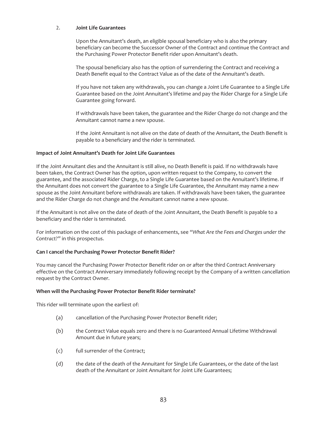#### 2. **Joint Life Guarantees**

Upon the Annuitant's death, an eligible spousal beneficiary who is also the primary beneficiary can become the Successor Owner of the Contract and continue the Contract and the Purchasing Power Protector Benefit rider upon Annuitant's death.

The spousal beneficiary also has the option of surrendering the Contract and receiving a Death Benefit equal to the Contract Value as of the date of the Annuitant's death.

If you have not taken any withdrawals, you can change a Joint Life Guarantee to a Single Life Guarantee based on the Joint Annuitant's lifetime and pay the Rider Charge for a Single Life Guarantee going forward.

If withdrawals have been taken, the guarantee and the Rider Charge do not change and the Annuitant cannot name a new spouse.

If the Joint Annuitant is not alive on the date of death of the Annuitant, the Death Benefit is payable to a beneficiary and the rider is terminated.

#### **Impact of Joint Annuitant's Death for Joint Life Guarantees**

If the Joint Annuitant dies and the Annuitant is still alive, no Death Benefit is paid. If no withdrawals have been taken, the Contract Owner has the option, upon written request to the Company, to convert the guarantee, and the associated Rider Charge, to a Single Life Guarantee based on the Annuitant's lifetime. If the Annuitant does not convert the guarantee to a Single Life Guarantee, the Annuitant may name a new spouse as the Joint Annuitant before withdrawals are taken. If withdrawals have been taken, the guarantee and the Rider Charge do not change and the Annuitant cannot name a new spouse.

If the Annuitant is not alive on the date of death of the Joint Annuitant, the Death Benefit is payable to a beneficiary and the rider is terminated.

For information on the cost of this package of enhancements, see *"What Are the Fees and Charges under the Contract?"* in this prospectus.

#### **Can I cancel the Purchasing Power Protector Benefit Rider?**

You may cancel the Purchasing Power Protector Benefit rider on or after the third Contract Anniversary effective on the Contract Anniversary immediately following receipt by the Company of a written cancellation request by the Contract Owner.

#### **When will the Purchasing Power Protector Benefit Rider terminate?**

This rider will terminate upon the earliest of:

- (a) cancellation of the Purchasing Power Protector Benefit rider;
- (b) the Contract Value equals zero and there is no Guaranteed Annual Lifetime Withdrawal Amount due in future years;
- (c) full surrender of the Contract;
- (d) the date of the death of the Annuitant for Single Life Guarantees, or the date of the last death of the Annuitant or Joint Annuitant for Joint Life Guarantees;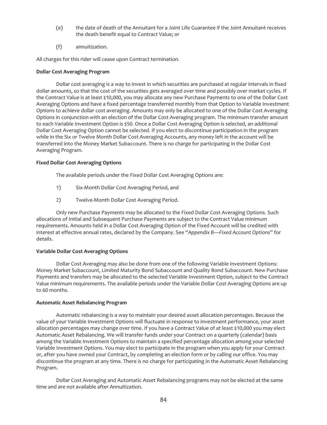- (e) the date of death of the Annuitant for a Joint Life Guarantee if the Joint Annuitant receives the death benefit equal to Contract Value; or
- (f) annuitization.

All charges for this rider will cease upon Contract termination.

#### **Dollar Cost Averaging Program**

Dollar cost averaging is a way to invest in which securities are purchased at regular intervals in fixed dollar amounts, so that the cost of the securities gets averaged over time and possibly over market cycles. If the Contract Value is at least \$10,000, you may allocate any new Purchase Payments to one of the Dollar Cost Averaging Options and have a fixed percentage transferred monthly from that Option to Variable Investment Options to achieve dollar cost averaging. Amounts may only be allocated to one of the Dollar Cost Averaging Options in conjunction with an election of the Dollar Cost Averaging program. The minimum transfer amount to each Variable Investment Option is \$50. Once a Dollar Cost Averaging Option is selected, an additional Dollar Cost Averaging Option cannot be selected. If you elect to discontinue participation in the program while in the Six or Twelve Month Dollar Cost Averaging Accounts, any money left in the account will be transferred into the Money Market Subaccount. There is no charge for participating in the Dollar Cost Averaging Program.

#### **Fixed Dollar Cost Averaging Options**

The available periods under the Fixed Dollar Cost Averaging Options are:

- 1) Six-Month Dollar Cost Averaging Period, and
- 2) Twelve-Month Dollar Cost Averaging Period.

Only new Purchase Payments may be allocated to the Fixed Dollar Cost Averaging Options. Such allocations of Initial and Subsequent Purchase Payments are subject to the Contract Value minimum requirements. Amounts held in a Dollar Cost Averaging Option of the Fixed Account will be credited with interest at effective annual rates, declared by the Company. See "*Appendix B—Fixed Account Options*" for details.

#### **Variable Dollar Cost Averaging Options**

Dollar Cost Averaging may also be done from one of the following Variable Investment Options: Money Market Subaccount, Limited Maturity Bond Subaccount and Quality Bond Subaccount. New Purchase Payments and transfers may be allocated to the selected Variable Investment Option, subject to the Contract Value minimum requirements. The available periods under the Variable Dollar Cost Averaging Options are up to 60 months.

#### **Automatic Asset Rebalancing Program**

Automatic rebalancing is a way to maintain your desired asset allocation percentages. Because the value of your Variable Investment Options will fluctuate in response to investment performance, your asset allocation percentages may change over time. If you have a Contract Value of at least \$10,000 you may elect Automatic Asset Rebalancing. We will transfer funds under your Contract on a quarterly (calendar) basis among the Variable Investment Options to maintain a specified percentage allocation among your selected Variable Investment Options. You may elect to participate in the program when you apply for your Contract or, after you have owned your Contract, by completing an election form or by calling our office. You may discontinue the program at any time. There is no charge for participating in the Automatic Asset Rebalancing Program.

Dollar Cost Averaging and Automatic Asset Rebalancing programs may not be elected at the same time and are not available after Annuitization.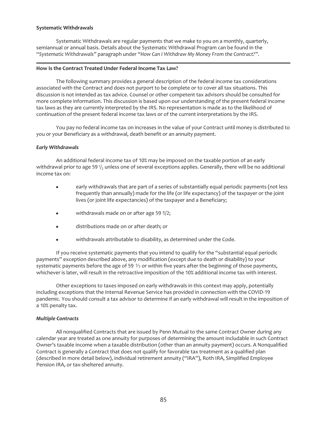#### **Systematic Withdrawals**

Systematic Withdrawals are regular payments that we make to you on a monthly, quarterly, semiannual or annual basis. Details about the Systematic Withdrawal Program can be found in the *"Systematic Withdrawals"* paragraph under *"How Can I Withdraw My Money From the Contract?".*

#### **How Is the Contract Treated Under Federal Income Tax Law?**

The following summary provides a general description of the federal income tax considerations associated with the Contract and does not purport to be complete or to cover all tax situations. This discussion is not intended as tax advice. Counsel or other competent tax advisors should be consulted for more complete information. This discussion is based upon our understanding of the present federal income tax laws as they are currently interpreted by the IRS. No representation is made as to the likelihood of continuation of the present federal income tax laws or of the current interpretations by the IRS.

You pay no federal income tax on increases in the value of your Contract until money is distributed to you or your Beneficiary as a withdrawal, death benefit or an annuity payment.

#### *Early Withdrawals*

An additional federal income tax of 10% may be imposed on the taxable portion of an early withdrawal prior to age 59 $\frac{1}{2}$  unless one of several exceptions applies. Generally, there will be no additional income tax on:

- early withdrawals that are part of a series of substantially equal periodic payments (not less frequently than annually) made for the life (or life expectancy) of the taxpayer or the joint lives (or joint life expectancies) of the taxpayer and a Beneficiary;
- $\bullet$  withdrawals made on or after age 59 1/2;
- distributions made on or after death; or
- withdrawals attributable to disability, as determined under the Code.

If you receive systematic payments that you intend to qualify for the "substantial equal periodic payments" exception described above, any modification (except due to death or disability) to your systematic payments before the age of 59  $\frac{1}{2}$  or within five years after the beginning of those payments, whichever is later, will result in the retroactive imposition of the 10% additional income tax with interest.

Other exceptions to taxes imposed on early withdrawals in this context may apply, potentially including exceptions that the Internal Revenue Service has provided in connection with the COVID-19 pandemic. You should consult a tax advisor to determine if an early withdrawal will result in the imposition of a 10% penalty tax.

#### *Multiple Contracts*

All nonqualified Contracts that are issued by Penn Mutual to the same Contract Owner during any calendar year are treated as one annuity for purposes of determining the amount includable in such Contract Owner's taxable income when a taxable distribution (other than an annuity payment) occurs. A Nonqualified Contract is generally a Contract that does not qualify for favorable tax treatment as a qualified plan (described in more detail below), individual retirement annuity ("IRA"), Roth IRA, Simplified Employee Pension IRA, or tax-sheltered annuity.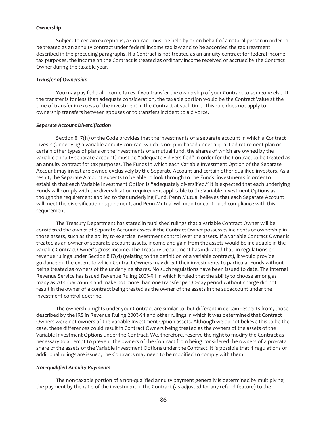#### *Ownership*

Subject to certain exceptions, a Contract must be held by or on behalf of a natural person in order to be treated as an annuity contract under federal income tax law and to be accorded the tax treatment described in the preceding paragraphs. If a Contract is not treated as an annuity contract for federal income tax purposes, the income on the Contract is treated as ordinary income received or accrued by the Contract Owner during the taxable year.

#### *Transfer of Ownership*

You may pay federal income taxes if you transfer the ownership of your Contract to someone else. If the transfer is for less than adequate consideration, the taxable portion would be the Contract Value at the time of transfer in excess of the investment in the Contract at such time. This rule does not apply to ownership transfers between spouses or to transfers incident to a divorce.

#### *Separate Account Diversification*

Section 817(h) of the Code provides that the investments of a separate account in which a Contract invests (underlying a variable annuity contract which is not purchased under a qualified retirement plan or certain other types of plans or the investments of a mutual fund, the shares of which are owned by the variable annuity separate account) must be "adequately diversified" in order for the Contract to be treated as an annuity contract for tax purposes. The Funds in which each Variable Investment Option of the Separate Account may invest are owned exclusively by the Separate Account and certain other qualified investors. As a result, the Separate Account expects to be able to look through to the Funds' investments in order to establish that each Variable Investment Option is "adequately diversified." It is expected that each underlying Funds will comply with the diversification requirement applicable to the Variable Investment Options as though the requirement applied to that underlying Fund. Penn Mutual believes that each Separate Account will meet the diversification requirement, and Penn Mutual will monitor continued compliance with this requirement.

The Treasury Department has stated in published rulings that a variable Contract Owner will be considered the owner of Separate Account assets if the Contract Owner possesses incidents of ownership in those assets, such as the ability to exercise investment control over the assets. If a variable Contract Owner is treated as an owner of separate account assets, income and gain from the assets would be includable in the variable Contract Owner's gross income. The Treasury Department has indicated that, in regulations or revenue rulings under Section 817(d) (relating to the definition of a variable contract), it would provide guidance on the extent to which Contract Owners may direct their investments to particular Funds without being treated as owners of the underlying shares. No such regulations have been issued to date. The Internal Revenue Service has issued Revenue Ruling 2003-91 in which it ruled that the ability to choose among as many as 20 subaccounts and make not more than one transfer per 30-day period without charge did not result in the owner of a contract being treated as the owner of the assets in the subaccount under the investment control doctrine.

The ownership rights under your Contract are similar to, but different in certain respects from, those described by the IRS in Revenue Ruling 2003-91 and other rulings in which it was determined that Contract Owners were not owners of the Variable Investment Option assets. Although we do not believe this to be the case, these differences could result in Contract Owners being treated as the owners of the assets of the Variable Investment Options under the Contract. We, therefore, reserve the right to modify the Contract as necessary to attempt to prevent the owners of the Contract from being considered the owners of a pro-rata share of the assets of the Variable Investment Options under the Contract. It is possible that if regulations or additional rulings are issued, the Contracts may need to be modified to comply with them.

#### *Non-qualified Annuity Payments*

The non-taxable portion of a non-qualified annuity payment generally is determined by multiplying the payment by the ratio of the investment in the Contract (as adjusted for any refund feature) to the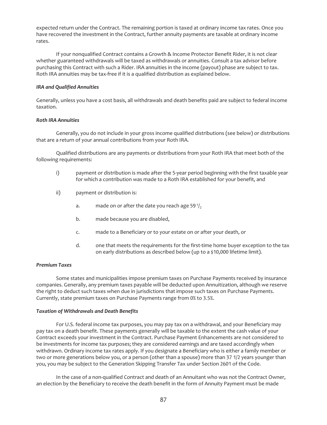expected return under the Contract. The remaining portion is taxed at ordinary income tax rates. Once you have recovered the investment in the Contract, further annuity payments are taxable at ordinary income rates.

If your nonqualified Contract contains a Growth & Income Protector Benefit Rider, it is not clear whether guaranteed withdrawals will be taxed as withdrawals or annuities. Consult a tax advisor before purchasing this Contract with such a Rider. IRA annuities in the income (payout) phase are subject to tax. Roth IRA annuities may be tax-free if it is a qualified distribution as explained below.

#### *IRA and Qualified Annuities*

Generally, unless you have a cost basis, all withdrawals and death benefits paid are subject to federal income taxation.

#### *Roth IRA Annuities*

Generally, you do not include in your gross income qualified distributions (see below) or distributions that are a return of your annual contributions from your Roth IRA.

Qualified distributions are any payments or distributions from your Roth IRA that meet both of the following requirements:

- i) payment or distribution is made after the 5-year period beginning with the first taxable year for which a contribution was made to a Roth IRA established for your benefit, and
- ii) payment or distribution is:
	- a. made on or after the date you reach age 59 $\frac{1}{2}$
	- b. made because you are disabled,
	- c. made to a Beneficiary or to your estate on or after your death, or
	- d. one that meets the requirements for the first-time home buyer exception to the tax on early distributions as described below (up to a \$10,000 lifetime limit).

#### *Premium Taxes*

Some states and municipalities impose premium taxes on Purchase Payments received by insurance companies. Generally, any premium taxes payable will be deducted upon Annuitization, although we reserve the right to deduct such taxes when due in jurisdictions that impose such taxes on Purchase Payments. Currently, state premium taxes on Purchase Payments range from 0% to 3.5%.

#### *Taxation of Withdrawals and Death Benefits*

For U.S. federal income tax purposes, you may pay tax on a withdrawal, and your Beneficiary may pay tax on a death benefit. These payments generally will be taxable to the extent the cash value of your Contract exceeds your investment in the Contract. Purchase Payment Enhancements are not considered to be investments for income tax purposes; they are considered earnings and are taxed accordingly when withdrawn. Ordinary income tax rates apply. If you designate a Beneficiary who is either a family member or two or more generations below you, or a person (other than a spouse) more than 37 1/2 years younger than you, you may be subject to the Generation Skipping Transfer Tax under Section 2601 of the Code.

In the case of a non-qualified Contract and death of an Annuitant who was not the Contract Owner, an election by the Beneficiary to receive the death benefit in the form of Annuity Payment must be made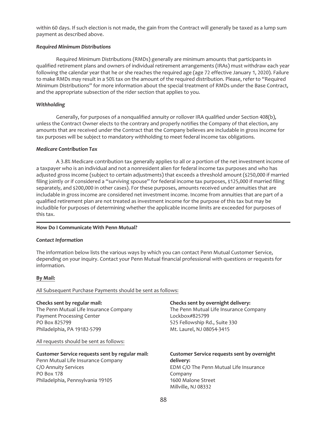within 60 days. If such election is not made, the gain from the Contract will generally be taxed as a lump sum payment as described above.

#### *Required Minimum Distributions*

Required Minimum Distributions (RMDs) generally are minimum amounts that participants in qualified retirement plans and owners of individual retirement arrangements (IRAs) must withdraw each year following the calendar year that he or she reaches the required age (age 72 effective January 1, 2020). Failure to make RMDs may result in a 50% tax on the amount of the required distribution. Please, refer to "Required Minimum Distributions" for more information about the special treatment of RMDs under the Base Contract, and the appropriate subsection of the rider section that applies to you.

#### *Withholding*

Generally, for purposes of a nonqualified annuity or rollover IRA qualified under Section 408(b), unless the Contract Owner elects to the contrary and properly notifies the Company of that election, any amounts that are received under the Contract that the Company believes are includable in gross income for tax purposes will be subject to mandatory withholding to meet federal income tax obligations.

#### *Medicare Contribution Tax*

A 3.8% Medicare contribution tax generally applies to all or a portion of the net investment income of a taxpayer who is an individual and not a nonresident alien for federal income tax purposes and who has adjusted gross income (subject to certain adjustments) that exceeds a threshold amount (\$250,000 if married filing jointly or if considered a "surviving spouse" for federal income tax purposes, \$125,000 if married filing separately, and \$200,000 in other cases). For these purposes, amounts received under annuities that are includable in gross income are considered net investment income. Income from annuities that are part of a qualified retirement plan are not treated as investment income for the purpose of this tax but may be includible for purposes of determining whether the applicable income limits are exceeded for purposes of this tax.

#### **How Do I Communicate With Penn Mutual?**

#### *Contact Information*

The information below lists the various ways by which you can contact Penn Mutual Customer Service, depending on your inquiry. Contact your Penn Mutual financial professional with questions or requests for information.

#### **By Mail:**

#### All Subsequent Purchase Payments should be sent as follows:

#### **Checks sent by regular mail:**

The Penn Mutual Life Insurance Company Payment Processing Center PO Box 825799 Philadelphia, PA 19182-5799

All requests should be sent as follows:

## **Customer Service requests sent by regular mail:**

Penn Mutual Life Insurance Company C/O Annuity Services PO Box 178 Philadelphia, Pennsylvania 19105

#### **Checks sent by overnight delivery:**

The Penn Mutual Life Insurance Company Lockbox#825799 525 Fellowship Rd., Suite 330 Mt. Laurel, NJ 08054-3415

#### **Customer Service requests sent by overnight delivery:** EDM C/O The Penn Mutual Life Insurance Company 1600 Malone Street Millville, NJ 08332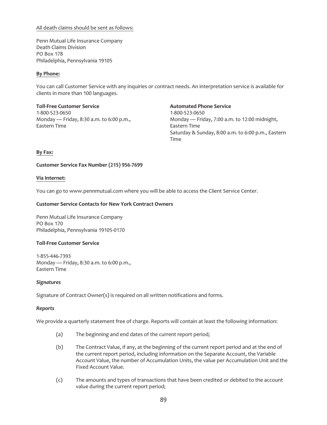#### All death claims should be sent as follows:

Penn Mutual Life Insurance Company Death Claims Division PO Box 178 Philadelphia, Pennsylvania 19105

#### **By Phone:**

You can call Customer Service with any inquiries or contract needs. An interpretation service is available for clients in more than 100 languages.

**Toll-Free Customer Service** 1-800-523-0650 Monday — Friday, 8:30 a.m. to 6:00 p.m., Eastern Time

**Automated Phone Service** 1-800-523-0650 Monday — Friday, 7:00 a.m. to 12:00 midnight, Eastern Time Saturday & Sunday, 8:00 a.m. to 6:00 p.m., Eastern Time

#### **By Fax:**

#### **Customer Service Fax Number (215) 956-7699**

#### **Via Internet:**

You can go to www.pennmutual.com where you will be able to access the Client Service Center.

#### **Customer Service Contacts for New York Contract Owners**

Penn Mutual Life Insurance Company PO Box 170 Philadelphia, Pennsylvania 19105-0170

#### **Toll-Free Customer Service**

1-855-446-7393 Monday — Friday, 8:30 a.m. to 6:00 p.m., Eastern Time

#### *Signatures*

Signature of Contract Owner(s) is required on all written notifications and forms.

#### *Reports*

We provide a quarterly statement free of charge. Reports will contain at least the following information:

- (a) The beginning and end dates of the current report period;
- (b) The Contract Value, if any, at the beginning of the current report period and at the end of the current report period, including information on the Separate Account, the Variable Account Value, the number of Accumulation Units, the value per Accumulation Unit and the Fixed Account Value.
- (c) The amounts and types of transactions that have been credited or debited to the account value during the current report period;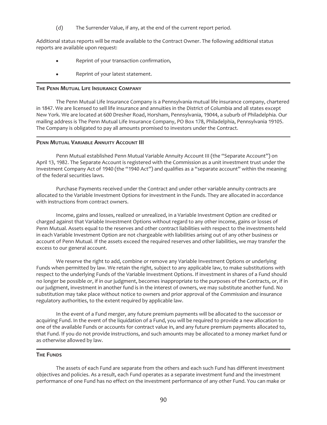(d) The Surrender Value, if any, at the end of the current report period.

Additional status reports will be made available to the Contract Owner. The following additional status reports are available upon request:

- Reprint of your transaction confirmation,
- Reprint of your latest statement.

#### **THE PENN MUTUAL LIFE INSURANCE COMPANY**

The Penn Mutual Life Insurance Company is a Pennsylvania mutual life insurance company, chartered in 1847. We are licensed to sell life insurance and annuities in the District of Columbia and all states except New York. We are located at 600 Dresher Road, Horsham, Pennsylvania, 19044, a suburb of Philadelphia. Our mailing address is The Penn Mutual Life Insurance Company, PO Box 178, Philadelphia, Pennsylvania 19105. The Company is obligated to pay all amounts promised to investors under the Contract.

#### **PENN MUTUAL VARIABLE ANNUITY ACCOUNT III**

Penn Mutual established Penn Mutual Variable Annuity Account III (the "Separate Account") on April 13, 1982. The Separate Account is registered with the Commission as a unit investment trust under the Investment Company Act of 1940 (the "1940 Act") and qualifies as a "separate account" within the meaning of the federal securities laws.

Purchase Payments received under the Contract and under other variable annuity contracts are allocated to the Variable Investment Options for investment in the Funds. They are allocated in accordance with instructions from contract owners.

Income, gains and losses, realized or unrealized, in a Variable Investment Option are credited or charged against that Variable Investment Options without regard to any other income, gains or losses of Penn Mutual. Assets equal to the reserves and other contract liabilities with respect to the investments held in each Variable Investment Option are not chargeable with liabilities arising out of any other business or account of Penn Mutual. If the assets exceed the required reserves and other liabilities, we may transfer the excess to our general account.

We reserve the right to add, combine or remove any Variable Investment Options or underlying Funds when permitted by law. We retain the right, subject to any applicable law, to make substitutions with respect to the underlying Funds of the Variable Investment Options. If investment in shares of a Fund should no longer be possible or, if in our judgment, becomes inappropriate to the purposes of the Contracts, or, if in our judgment, investment in another fund is in the interest of owners, we may substitute another fund. No substitution may take place without notice to owners and prior approval of the Commission and insurance regulatory authorities, to the extent required by applicable law.

In the event of a Fund merger, any future premium payments will be allocated to the successor or acquiring Fund. In the event of the liquidation of a Fund, you will be required to provide a new allocation to one of the available Funds or accounts for contract value in, and any future premium payments allocated to, that Fund. If you do not provide instructions, and such amounts may be allocated to a money market fund or as otherwise allowed by law.

## **THE FUNDS**

The assets of each Fund are separate from the others and each such Fund has different investment objectives and policies. As a result, each Fund operates as a separate investment fund and the investment performance of one Fund has no effect on the investment performance of any other Fund. You can make or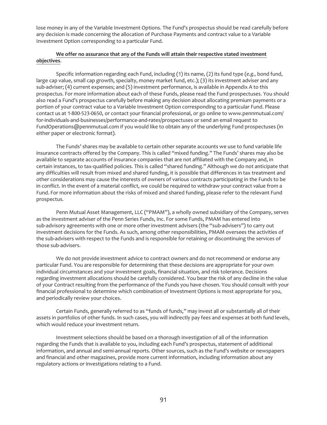lose money in any of the Variable Investment Options. The Fund's prospectus should be read carefully before any decision is made concerning the allocation of Purchase Payments and contract value to a Variable Investment Option corresponding to a particular Fund.

## **We offer no assurance that any of the Funds will attain their respective stated** i**nvestment objectives**.

Specific information regarding each Fund, including (1) its name, (2) its fund type (*e.g.,* bond fund, large cap value, small cap growth, specialty, money market fund, etc.); (3) its investment adviser and any sub-adviser; (4) current expenses; and (5) investment performance, is available in Appendix A to this prospectus. For more information about each of these Funds, please read the Fund prospectuses. You should also read a Fund's prospectus carefully before making any decision about allocating premium payments or a portion of your contract value to a Variable Investment Option corresponding to a particular Fund. Please contact us at 1-800-523-0650, or contact your financial professional, or go online to www.pennmutual.com/ for-individuals-and-businesses/performance-and-rates/prospectuses or send an email request to FundOperations@pennmutual.com if you would like to obtain any of the underlying Fund prospectuses (in either paper or electronic format).

The Funds' shares may be available to certain other separate accounts we use to fund variable life insurance contracts offered by the Company. This is called "mixed funding." The Funds' shares may also be available to separate accounts of insurance companies that are not affiliated with the Company and, in certain instances, to tax-qualified policies. This is called "shared funding." Although we do not anticipate that any difficulties will result from mixed and shared funding, it is possible that differences in tax treatment and other considerations may cause the interests of owners of various contracts participating in the Funds to be in conflict. In the event of a material conflict, we could be required to withdraw your contract value from a Fund. For more information about the risks of mixed and shared funding, please refer to the relevant Fund prospectus.

Penn Mutual Asset Management, LLC ("PMAM"), a wholly owned subsidiary of the Company, serves as the investment adviser of the Penn Series Funds, Inc. For some Funds, PMAM has entered into sub-advisory agreements with one or more other investment advisers (the "sub-advisers") to carry out investment decisions for the Funds. As such, among other responsibilities, PMAM oversees the activities of the sub-advisers with respect to the Funds and is responsible for retaining or discontinuing the services of those sub-advisers.

We do not provide investment advice to contract owners and do not recommend or endorse any particular Fund. You are responsible for determining that these decisions are appropriate for your own individual circumstances and your investment goals, financial situation, and risk tolerance. Decisions regarding investment allocations should be carefully considered. You bear the risk of any decline in the value of your Contract resulting from the performance of the Funds you have chosen. You should consult with your financial professional to determine which combination of Investment Options is most appropriate for you, and periodically review your choices.

Certain Funds, generally referred to as "funds of funds," may invest all or substantially all of their assets in portfolios of other funds. In such cases, you will indirectly pay fees and expenses at both fund levels, which would reduce your investment return.

Investment selections should be based on a thorough investigation of all of the information regarding the Funds that is available to you, including each Fund's prospectus, statement of additional information, and annual and semi-annual reports. Other sources, such as the Fund's website or newspapers and financial and other magazines, provide more current information, including information about any regulatory actions or investigations relating to a Fund.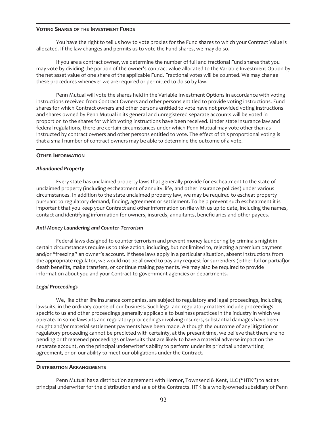#### **VOTING SHARES OF THE INVESTMENT FUNDS**

You have the right to tell us how to vote proxies for the Fund shares to which your Contract Value is allocated. If the law changes and permits us to vote the Fund shares, we may do so.

If you are a contract owner, we determine the number of full and fractional Fund shares that you may vote by dividing the portion of the owner's contract value allocated to the Variable Investment Option by the net asset value of one share of the applicable Fund. Fractional votes will be counted. We may change these procedures whenever we are required or permitted to do so by law.

Penn Mutual will vote the shares held in the Variable Investment Options in accordance with voting instructions received from Contract Owners and other persons entitled to provide voting instructions. Fund shares for which Contract owners and other persons entitled to vote have not provided voting instructions and shares owned by Penn Mutual in its general and unregistered separate accounts will be voted in proportion to the shares for which voting instructions have been received. Under state insurance law and federal regulations, there are certain circumstances under which Penn Mutual may vote other than as instructed by contract owners and other persons entitled to vote. The effect of this proportional voting is that a small number of contract owners may be able to determine the outcome of a vote.

#### **OTHER INFORMATION**

#### *Abandoned Property*

Every state has unclaimed property laws that generally provide for escheatment to the state of unclaimed property (including escheatment of annuity, life, and other insurance policies) under various circumstances. In addition to the state unclaimed property law, we may be required to escheat property pursuant to regulatory demand, finding, agreement or settlement. To help prevent such escheatment it is important that you keep your Contract and other information on file with us up to date, including the names, contact and identifying information for owners, insureds, annuitants, beneficiaries and other payees.

#### *Anti-Money Laundering and Counter-Terrorism*

Federal laws designed to counter terrorism and prevent money laundering by criminals might in certain circumstances require us to take action, including, but not limited to, rejecting a premium payment and/or "freezing" an owner's account. If these laws apply in a particular situation, absent instructions from the appropriate regulator, we would not be allowed to pay any request for surrenders (either full or partial)or death benefits, make transfers, or continue making payments. We may also be required to provide information about you and your Contract to government agencies or departments.

#### *Legal Proceedings*

We, like other life insurance companies, are subject to regulatory and legal proceedings, including lawsuits, in the ordinary course of our business. Such legal and regulatory matters include proceedings specific to us and other proceedings generally applicable to business practices in the industry in which we operate. In some lawsuits and regulatory proceedings involving insurers, substantial damages have been sought and/or material settlement payments have been made. Although the outcome of any litigation or regulatory proceeding cannot be predicted with certainty, at the present time, we believe that there are no pending or threatened proceedings or lawsuits that are likely to have a material adverse impact on the separate account, on the principal underwriter's ability to perform under its principal underwriting agreement, or on our ability to meet our obligations under the Contract.

#### **DISTRIBUTION ARRANGEMENTS**

Penn Mutual has a distribution agreement with Hornor, Townsend & Kent, LLC ("HTK") to act as principal underwriter for the distribution and sale of the Contracts. HTK is a wholly-owned subsidiary of Penn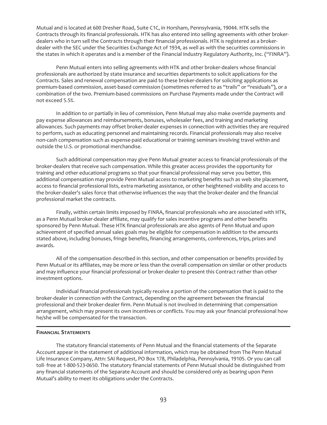Mutual and is located at 600 Dresher Road, Suite C1C, in Horsham, Pennsylvania, 19044. HTK sells the Contracts through its financial professionals. HTK has also entered into selling agreements with other brokerdealers who in turn sell the Contracts through their financial professionals. HTK is registered as a brokerdealer with the SEC under the Securities Exchange Act of 1934, as well as with the securities commissions in the states in which it operates and is a member of the Financial Industry Regulatory Authority, Inc. ("FINRA").

Penn Mutual enters into selling agreements with HTK and other broker-dealers whose financial professionals are authorized by state insurance and securities departments to solicit applications for the Contracts. Sales and renewal compensation are paid to these broker-dealers for soliciting applications as premium-based commission, asset-based commission (sometimes referred to as "trails" or "residuals"), or a combination of the two. Premium-based commissions on Purchase Payments made under the Contract will not exceed 5.5%.

In addition to or partially in lieu of commission, Penn Mutual may also make override payments and pay expense allowances and reimbursements, bonuses, wholesaler fees, and training and marketing allowances. Such payments may offset broker-dealer expenses in connection with activities they are required to perform, such as educating personnel and maintaining records. Financial professionals may also receive non-cash compensation such as expense-paid educational or training seminars involving travel within and outside the U.S. or promotional merchandise.

Such additional compensation may give Penn Mutual greater access to financial professionals of the broker-dealers that receive such compensation. While this greater access provides the opportunity for training and other educational programs so that your financial professional may serve you better, this additional compensation may provide Penn Mutual access to marketing benefits such as web site placement, access to financial professional lists, extra marketing assistance, or other heightened visibility and access to the broker-dealer's sales force that otherwise influences the way that the broker-dealer and the financial professional market the contracts.

Finally, within certain limits imposed by FINRA, financial professionals who are associated with HTK, as a Penn Mutual broker-dealer affiliate, may qualify for sales incentive programs and other benefits sponsored by Penn Mutual. These HTK financial professionals are also agents of Penn Mutual and upon achievement of specified annual sales goals may be eligible for compensation in addition to the amounts stated above, including bonuses, fringe benefits, financing arrangements, conferences, trips, prizes and awards.

All of the compensation described in this section, and other compensation or benefits provided by Penn Mutual or its affiliates, may be more or less than the overall compensation on similar or other products and may influence your financial professional or broker-dealer to present this Contract rather than other investment options.

Individual financial professionals typically receive a portion of the compensation that is paid to the broker-dealer in connection with the Contract, depending on the agreement between the financial professional and their broker-dealer firm. Penn Mutual is not involved in determining that compensation arrangement, which may present its own incentives or conflicts. You may ask your financial professional how he/she will be compensated for the transaction.

#### **FINANCIAL STATEMENTS**

The statutory financial statements of Penn Mutual and the financial statements of the Separate Account appear in the statement of additional information, which may be obtained from The Penn Mutual Life Insurance Company, Attn: SAI Request, PO Box 178, Philadelphia, Pennsylvania, 19105. Or you can call toll- free at 1-800-523-0650. The statutory financial statements of Penn Mutual should be distinguished from any financial statements of the Separate Account and should be considered only as bearing upon Penn Mutual's ability to meet its obligations under the Contracts.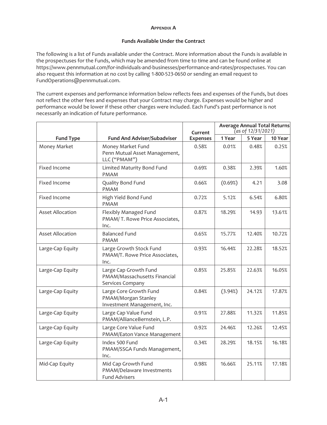#### **APPENDIX A**

#### **Funds Available Under the Contract**

The following is a list of Funds available under the Contract. More information about the Funds is available in the prospectuses for the Funds, which may be amended from time to time and can be found online at https://www.pennmutual.com/for-individuals-and-businesses/performance-and-rates/prospectuses. You can also request this information at no cost by calling 1-800-523-0650 or sending an email request to FundOperations@pennmutual.com.

The current expenses and performance information below reflects fees and expenses of the Funds, but does not reflect the other fees and expenses that your Contract may charge. Expenses would be higher and performance would be lower if these other charges were included. Each Fund's past performance is not necessarily an indication of future performance.

|                         |                                                                              | Current         | <b>Average Annual Total Returns</b><br>(as of 12/31/2021) |        |         |
|-------------------------|------------------------------------------------------------------------------|-----------------|-----------------------------------------------------------|--------|---------|
| <b>Fund Type</b>        | <b>Fund And Adviser/Subadviser</b>                                           | <b>Expenses</b> | 1 Year                                                    | 5 Year | 10 Year |
| Money Market            | Money Market Fund<br>Penn Mutual Asset Management,<br>LLC ("PMAM")           | 0.58%           | 0.01%                                                     | 0.48%  | 0.25%   |
| Fixed Income            | Limited Maturity Bond Fund<br><b>PMAM</b>                                    | 0.69%           | 0.38%                                                     | 2.39%  | 1.60%   |
| Fixed Income            | Quality Bond Fund<br><b>PMAM</b>                                             | 0.66%           | (0.69%)                                                   | 4.21   | 3.08    |
| Fixed Income            | High Yield Bond Fund<br><b>PMAM</b>                                          | 0.72%           | 5.12%                                                     | 6.54%  | 6.80%   |
| <b>Asset Allocation</b> | Flexibly Managed Fund<br>PMAM/T. Rowe Price Associates,<br>Inc.              | 0.87%           | 18.29%                                                    | 14.93  | 13.61%  |
| <b>Asset Allocation</b> | <b>Balanced Fund</b><br><b>PMAM</b>                                          | 0.65%           | 15.77%                                                    | 12.40% | 10.72%  |
| Large-Cap Equity        | Large Growth Stock Fund<br>PMAM/T. Rowe Price Associates,<br>Inc.            | 0.93%           | 16.44%                                                    | 22.28% | 18.52%  |
| Large-Cap Equity        | Large Cap Growth Fund<br>PMAM/Massachusetts Financial<br>Services Company    | 0.85%           | 25.85%                                                    | 22.63% | 16.05%  |
| Large-Cap Equity        | Large Core Growth Fund<br>PMAM/Morgan Stanley<br>Investment Management, Inc. | 0.84%           | (3.94%)                                                   | 24.12% | 17.87%  |
| Large-Cap Equity        | Large Cap Value Fund<br>PMAM/AllianceBernstein, L.P.                         | 0.91%           | 27.88%                                                    | 11.32% | 11.85%  |
| Large-Cap Equity        | Large Core Value Fund<br>PMAM/Eaton Vance Management                         | 0.92%           | 24.46%                                                    | 12.26% | 12.45%  |
| Large-Cap Equity        | Index 500 Fund<br>PMAM/SSGA Funds Management,<br>Inc.                        | 0.34%           | 28.29%                                                    | 18.15% | 16.18%  |
| Mid-Cap Equity          | Mid Cap Growth Fund<br>PMAM/Delaware Investments<br><b>Fund Advisers</b>     | 0.98%           | 16.66%                                                    | 25.11% | 17.18%  |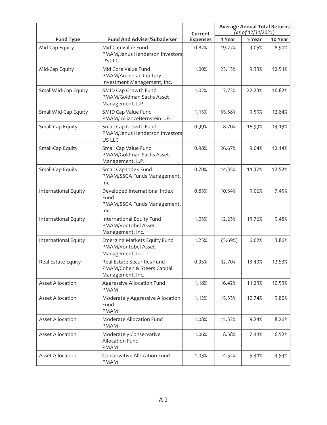|                         |                                                                                | Current         | <b>Average Annual Total Returns</b><br>(as of 12/31/2021) |        |         |
|-------------------------|--------------------------------------------------------------------------------|-----------------|-----------------------------------------------------------|--------|---------|
| <b>Fund Type</b>        | <b>Fund And Adviser/Subadviser</b>                                             | <b>Expenses</b> | 1 Year                                                    | 5 Year | 10 Year |
| Mid-Cap Equity          | Mid Cap Value Fund<br>PMAM/Janus Henderson Investors<br>US LLC                 | 0.82%           | 19.27%                                                    | 4.05%  | 8.90%   |
| Mid-Cap Equity          | Mid Core Value Fund<br>PMAM/American Century<br>Investment Management, Inc.    | 1.00%           | 23.13%                                                    | 9.33%  | 12.51%  |
| Small/Mid-Cap Equity    | SMID Cap Growth Fund<br>PMAM/Goldman Sachs Asset<br>Management, L.P.           | 1.02%           | 7.73%                                                     | 22.23% | 16.82%  |
| Small/Mid-Cap Equity    | SMID Cap Value Fund<br>PMAM/ AllianceBernstein L.P.                            | 1.15%           | 35.58%                                                    | 9.59%  | 12.84%  |
| Small-Cap Equity        | Small Cap Growth Fund<br>PMAM/Janus Henderson Investors<br>US LLC              | 0.99%           | 8.70%                                                     | 16.99% | 14.13%  |
| Small-Cap Equity        | Small Cap Value Fund<br>PMAM/Goldman Sachs Asset<br>Management, L.P.           | 0.98%           | 26.67%                                                    | 9.04%  | 12.14%  |
| Small-Cap Equity        | Small Cap Index Fund<br>PMAM/SSGA Funds Management,<br>Inc.                    | 0.70%           | 14.35%                                                    | 11.37% | 12.52%  |
| International Equity    | Developed International Index<br>Fund<br>PMAM/SSGA Funds Management,<br>Inc.   | 0.85%           | 10.54%                                                    | 9.06%  | 7.45%   |
| International Equity    | International Equity Fund<br>PMAM/Vontobel Asset<br>Management, Inc.           | 1.03%           | 12.23%                                                    | 13.76% | 9.48%   |
| International Equity    | Emerging Markets Equity Fund<br>PMAM/Vontobel Asset<br>Management, Inc.        | 1.25%           | (5.69%)                                                   | 6.62%  | 3.86%   |
| Real Estate Equity      | Real Estate Securities Fund<br>PMAM/Cohen & Steers Capital<br>Management, Inc. | 0.95%           | 42.70%                                                    | 13.49% | 12.53%  |
| <b>Asset Allocation</b> | Aggressive Allocation Fund<br><b>PMAM</b>                                      | 1.18%           | 16.42%                                                    | 11.23% | 10.53%  |
| <b>Asset Allocation</b> | Moderately Aggressive Allocation<br>Fund<br><b>PMAM</b>                        | 1.12%           | 15.33%                                                    | 10.74% | 9.80%   |
| <b>Asset Allocation</b> | Moderate Allocation Fund<br><b>PMAM</b>                                        | 1.08%           | 11.32%                                                    | 9.24%  | 8.26%   |
| <b>Asset Allocation</b> | Moderately Conservative<br>Allocation Fund<br>PMAM                             | 1.06%           | 8.58%                                                     | 7.41%  | 6.52%   |
| <b>Asset Allocation</b> | Conservative Allocation Fund<br><b>PMAM</b>                                    | 1.03%           | 4.52%                                                     | 5.41%  | 4.54%   |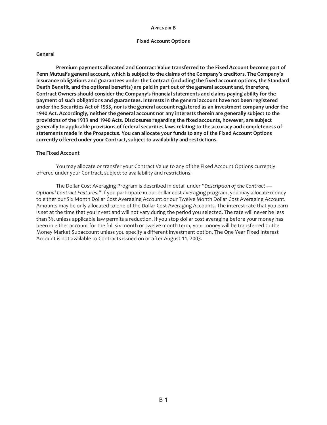#### **APPENDIX B**

#### **Fixed Account Options**

#### **General**

**Premium payments allocated and Contract Value transferred to the Fixed Account become part of Penn Mutual's general account, which is subject to the claims of the Company's creditors. The Company's insurance obligations and guarantees under the Contract (including the fixed account options, the Standard Death Benefit, and the optional benefits) are paid in part out of the general account and, therefore, Contract Owners should consider the Company's financial statements and claims paying ability for the payment of such obligations and guarantees. Interests in the general account have not been registered under the Securities Act of 1933, nor is the general account registered as an investment company under the 1940 Act. Accordingly, neither the general account nor any interests therein are generally subject to the provisions of the 1933 and 1940 Acts. Disclosures regarding the fixed accounts, however, are subject generally to applicable provisions of federal securities laws relating to the accuracy and completeness of statements made in the Prospectus. You can allocate your funds to any of the Fixed Account Options currently offered under your Contract, subject to availability and restrictions.**

#### **The Fixed Account**

You may allocate or transfer your Contract Value to any of the Fixed Account Options currently offered under your Contract, subject to availability and restrictions.

The Dollar Cost Averaging Program is described in detail under *"Description of the Contract — Optional Contract Features."* If you participate in our dollar cost averaging program, you may allocate money to either our Six Month Dollar Cost Averaging Account or our Twelve Month Dollar Cost Averaging Account. Amounts may be only allocated to one of the Dollar Cost Averaging Accounts. The interest rate that you earn is set at the time that you invest and will not vary during the period you selected. The rate will never be less than 3%, unless applicable law permits a reduction. If you stop dollar cost averaging before your money has been in either account for the full six month or twelve month term, your money will be transferred to the Money Market Subaccount unless you specify a different investment option. The One Year Fixed Interest Account is not available to Contracts issued on or after August 11, 2003.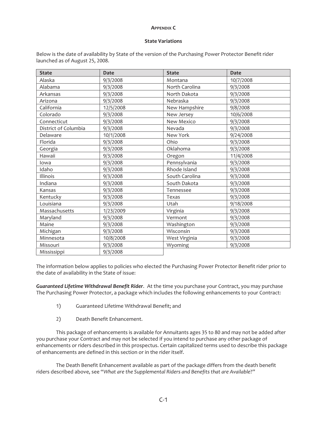#### **APPENDIX C**

#### **State Variations**

Below is the date of availability by State of the version of the Purchasing Power Protector Benefit rider launched as of August 25, 2008.

| <b>State</b>         | <b>Date</b> | <b>State</b>   | <b>Date</b> |
|----------------------|-------------|----------------|-------------|
| Alaska               | 9/3/2008    | Montana        | 10/7/2008   |
| Alabama              | 9/3/2008    | North Carolina | 9/3/2008    |
| Arkansas             | 9/3/2008    | North Dakota   | 9/3/2008    |
| Arizona              | 9/3/2008    | Nebraska       | 9/3/2008    |
| California           | 12/5/2008   | New Hampshire  | 9/8/2008    |
| Colorado             | 9/3/2008    | New Jersey     | 10/6/2008   |
| Connecticut          | 9/3/2008    | New Mexico     | 9/3/2008    |
| District of Columbia | 9/3/2008    | Nevada         | 9/3/2008    |
| Delaware             | 10/1/2008   | New York       | 9/24/2008   |
| Florida              | 9/3/2008    | Ohio           | 9/3/2008    |
| Georgia              | 9/3/2008    | Oklahoma       | 9/3/2008    |
| Hawaii               | 9/3/2008    | Oregon         | 11/4/2008   |
| lowa                 | 9/3/2008    | Pennsylvania   | 9/3/2008    |
| Idaho                | 9/3/2008    | Rhode Island   | 9/3/2008    |
| Illinois             | 9/3/2008    | South Carolina | 9/3/2008    |
| Indiana              | 9/3/2008    | South Dakota   | 9/3/2008    |
| Kansas               | 9/3/2008    | Tennessee      | 9/3/2008    |
| Kentucky             | 9/3/2008    | Texas          | 9/3/2008    |
| Louisiana            | 9/3/2008    | Utah           | 9/18/2008   |
| Massachusetts        | 1/23/2009   | Virginia       | 9/3/2008    |
| Maryland             | 9/3/2008    | Vermont        | 9/3/2008    |
| Maine                | 9/3/2008    | Washington     | 9/3/2008    |
| Michigan             | 9/3/2008    | Wisconsin      | 9/3/2008    |
| Minnesota            | 10/8/2008   | West Virginia  | 9/3/2008    |
| Missouri             | 9/3/2008    | Wyoming        | 9/3/2008    |
| Mississippi          | 9/3/2008    |                |             |

The information below applies to policies who elected the Purchasing Power Protector Benefit rider prior to the date of availability in the State of issue:

*Guaranteed Lifetime Withdrawal Benefit Rider*. At the time you purchase your Contract, you may purchase The Purchasing Power Protector, a package which includes the following enhancements to your Contract:

- 1) Guaranteed Lifetime Withdrawal Benefit; and
- 2) Death Benefit Enhancement.

This package of enhancements is available for Annuitants ages 35 to 80 and may not be added after you purchase your Contract and may not be selected if you intend to purchase any other package of enhancements or riders described in this prospectus. Certain capitalized terms used to describe this package of enhancements are defined in this section or in the rider itself.

The Death Benefit Enhancement available as part of the package differs from the death benefit riders described above, see "*What are the Supplemental Riders and Benefits that are Available*?"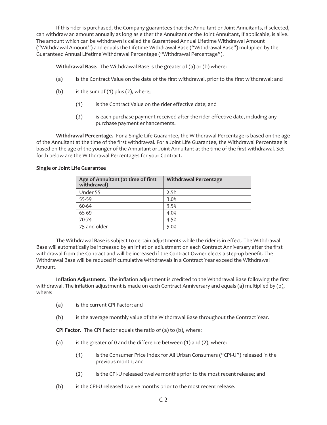If this rider is purchased, the Company guarantees that the Annuitant or Joint Annuitants, if selected, can withdraw an amount annually as long as either the Annuitant or the Joint Annuitant, if applicable, is alive. The amount which can be withdrawn is called the Guaranteed Annual Lifetime Withdrawal Amount ("Withdrawal Amount") and equals the Lifetime Withdrawal Base ("Withdrawal Base") multiplied by the Guaranteed Annual Lifetime Withdrawal Percentage ("Withdrawal Percentage").

**Withdrawal Base.** The Withdrawal Base is the greater of (a) or (b) where:

- (a) is the Contract Value on the date of the first withdrawal, prior to the first withdrawal; and
- (b) is the sum of  $(1)$  plus  $(2)$ , where;
	- (1) is the Contract Value on the rider effective date; and
	- (2) is each purchase payment received after the rider effective date, including any purchase payment enhancements.

**Withdrawal Percentage.** For a Single Life Guarantee, the Withdrawal Percentage is based on the age of the Annuitant at the time of the first withdrawal. For a Joint Life Guarantee, the Withdrawal Percentage is based on the age of the younger of the Annuitant or Joint Annuitant at the time of the first withdrawal. Set forth below are the Withdrawal Percentages for your Contract.

#### **Single or Joint Life Guarantee**

| Age of Annuitant (at time of first<br>withdrawal) | <b>Withdrawal Percentage</b> |
|---------------------------------------------------|------------------------------|
| Under 55                                          | 2.5%                         |
| 55-59                                             | 3.0%                         |
| 60-64                                             | 3.5%                         |
| 65-69                                             | 4.0%                         |
| 70-74                                             | 4.5%                         |
| 75 and older                                      | 5.0%                         |

The Withdrawal Base is subject to certain adjustments while the rider is in effect. The Withdrawal Base will automatically be increased by an inflation adjustment on each Contract Anniversary after the first withdrawal from the Contract and will be increased if the Contract Owner elects a step-up benefit. The Withdrawal Base will be reduced if cumulative withdrawals in a Contract Year exceed the Withdrawal Amount.

**Inflation Adjustment.** The inflation adjustment is credited to the Withdrawal Base following the first withdrawal. The inflation adjustment is made on each Contract Anniversary and equals (a) multiplied by (b), where:

- (a) is the current CPI Factor; and
- (b) is the average monthly value of the Withdrawal Base throughout the Contract Year.

**CPI Factor.** The CPI Factor equals the ratio of (a) to (b), where:

- (a) is the greater of 0 and the difference between (1) and (2), where:
	- (1) is the Consumer Price Index for All Urban Consumers ("CPI-U") released in the previous month; and
	- (2) is the CPI-U released twelve months prior to the most recent release; and
- (b) is the CPI-U released twelve months prior to the most recent release.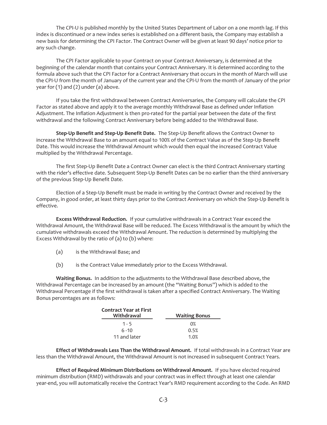The CPI-U is published monthly by the United States Department of Labor on a one month lag. If this index is discontinued or a new index series is established on a different basis, the Company may establish a new basis for determining the CPI Factor. The Contract Owner will be given at least 90 days' notice prior to any such change.

The CPI Factor applicable to your Contract on your Contract Anniversary, is determined at the beginning of the calendar month that contains your Contract Anniversary. It is determined according to the formula above such that the CPI Factor for a Contract Anniversary that occurs in the month of March will use the CPI-U from the month of January of the current year and the CPI-U from the month of January of the prior year for (1) and (2) under (a) above.

If you take the first withdrawal between Contract Anniversaries, the Company will calculate the CPI Factor as stated above and apply it to the average monthly Withdrawal Base as defined under Inflation Adjustment. The Inflation Adjustment is then pro-rated for the partial year between the date of the first withdrawal and the following Contract Anniversary before being added to the Withdrawal Base.

**Step-Up Benefit and Step-Up Benefit Date.** The Step-Up Benefit allows the Contract Owner to increase the Withdrawal Base to an amount equal to 100% of the Contract Value as of the Step-Up Benefit Date. This would increase the Withdrawal Amount which would then equal the increased Contract Value multiplied by the Withdrawal Percentage.

The first Step-Up Benefit Date a Contract Owner can elect is the third Contract Anniversary starting with the rider's effective date. Subsequent Step-Up Benefit Dates can be no earlier than the third anniversary of the previous Step-Up Benefit Date.

Election of a Step-Up Benefit must be made in writing by the Contract Owner and received by the Company, in good order, at least thirty days prior to the Contract Anniversary on which the Step-Up Benefit is effective.

**Excess Withdrawal Reduction.** If your cumulative withdrawals in a Contract Year exceed the Withdrawal Amount, the Withdrawal Base will be reduced. The Excess Withdrawal is the amount by which the cumulative withdrawals exceed the Withdrawal Amount. The reduction is determined by multiplying the Excess Withdrawal by the ratio of (a) to (b) where:

- (a) is the Withdrawal Base; and
- (b) is the Contract Value immediately prior to the Excess Withdrawal.

**Waiting Bonus.** In addition to the adjustments to the Withdrawal Base described above, the Withdrawal Percentage can be increased by an amount (the "Waiting Bonus") which is added to the Withdrawal Percentage if the first withdrawal is taken after a specified Contract Anniversary. The Waiting Bonus percentages are as follows:

| <b>Contract Year at First</b><br>Withdrawal | <b>Waiting Bonus</b> |
|---------------------------------------------|----------------------|
| $1 - 5$                                     | $0\%$                |
| $6 - 10$                                    | 0.5%                 |
| 11 and later                                | 1.0%                 |

**Effect of Withdrawals Less Than the Withdrawal Amount.** If total withdrawals in a Contract Year are less than the Withdrawal Amount, the Withdrawal Amount is not increased in subsequent Contract Years.

**Effect of Required Minimum Distributions on Withdrawal Amount.** If you have elected required minimum distribution (RMD) withdrawals and your contract was in effect through at least one calendar year-end, you will automatically receive the Contract Year's RMD requirement according to the Code. An RMD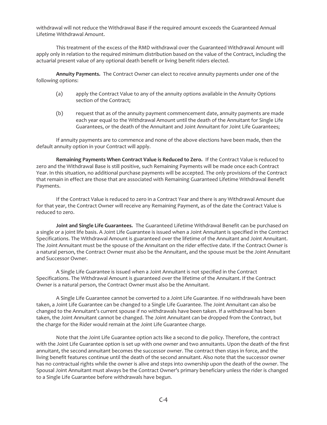withdrawal will not reduce the Withdrawal Base if the required amount exceeds the Guaranteed Annual Lifetime Withdrawal Amount.

This treatment of the excess of the RMD withdrawal over the Guaranteed Withdrawal Amount will apply only in relation to the required minimum distribution based on the value of the Contract, including the actuarial present value of any optional death benefit or living benefit riders elected.

**Annuity Payments.** The Contract Owner can elect to receive annuity payments under one of the following options:

- (a) apply the Contract Value to any of the annuity options available in the Annuity Options section of the Contract;
- (b) request that as of the annuity payment commencement date, annuity payments are made each year equal to the Withdrawal Amount until the death of the Annuitant for Single Life Guarantees, or the death of the Annuitant and Joint Annuitant for Joint Life Guarantees;

If annuity payments are to commence and none of the above elections have been made, then the default annuity option in your Contract will apply.

**Remaining Payments When Contract Value is Reduced to Zero.** If the Contract Value is reduced to zero and the Withdrawal Base is still positive, such Remaining Payments will be made once each Contract Year. In this situation, no additional purchase payments will be accepted. The only provisions of the Contract that remain in effect are those that are associated with Remaining Guaranteed Lifetime Withdrawal Benefit Payments.

If the Contract Value is reduced to zero in a Contract Year and there is any Withdrawal Amount due for that year, the Contract Owner will receive any Remaining Payment, as of the date the Contract Value is reduced to zero.

**Joint and Single Life Guarantees.** The Guaranteed Lifetime Withdrawal Benefit can be purchased on a single or a joint life basis. A Joint Life Guarantee is issued when a Joint Annuitant is specified in the Contract Specifications. The Withdrawal Amount is guaranteed over the lifetime of the Annuitant and Joint Annuitant. The Joint Annuitant must be the spouse of the Annuitant on the rider effective date. If the Contract Owner is a natural person, the Contract Owner must also be the Annuitant, and the spouse must be the Joint Annuitant and Successor Owner.

A Single Life Guarantee is issued when a Joint Annuitant is not specified in the Contract Specifications. The Withdrawal Amount is guaranteed over the lifetime of the Annuitant. If the Contract Owner is a natural person, the Contract Owner must also be the Annuitant.

A Single Life Guarantee cannot be converted to a Joint Life Guarantee. If no withdrawals have been taken, a Joint Life Guarantee can be changed to a Single Life Guarantee. The Joint Annuitant can also be changed to the Annuitant's current spouse if no withdrawals have been taken. If a withdrawal has been taken, the Joint Annuitant cannot be changed. The Joint Annuitant can be dropped from the Contract, but the charge for the Rider would remain at the Joint Life Guarantee charge.

Note that the Joint Life Guarantee option acts like a second to die policy. Therefore, the contract with the Joint Life Guarantee option is set up with one owner and two annuitants. Upon the death of the first annuitant, the second annuitant becomes the successor owner. The contract then stays in force, and the living benefit features continue until the death of the second annuitant. Also note that the successor owner has no contractual rights while the owner is alive and steps into ownership upon the death of the owner. The Spousal Joint Annuitant must always be the Contract Owner's primary beneficiary unless the rider is changed to a Single Life Guarantee before withdrawals have begun.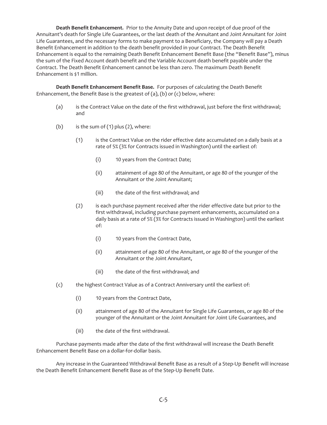**Death Benefit Enhancement.** Prior to the Annuity Date and upon receipt of due proof of the Annuitant's death for Single Life Guarantees, or the last death of the Annuitant and Joint Annuitant for Joint Life Guarantees, and the necessary forms to make payment to a Beneficiary, the Company will pay a Death Benefit Enhancement in addition to the death benefit provided in your Contract. The Death Benefit Enhancement is equal to the remaining Death Benefit Enhancement Benefit Base (the "Benefit Base"), minus the sum of the Fixed Account death benefit and the Variable Account death benefit payable under the Contract. The Death Benefit Enhancement cannot be less than zero. The maximum Death Benefit Enhancement is \$1 million.

**Death Benefit Enhancement Benefit Base.** For purposes of calculating the Death Benefit Enhancement, the Benefit Base is the greatest of (a), (b) or (c) below, where:

- (a) is the Contract Value on the date of the first withdrawal, just before the first withdrawal; and
- (b) is the sum of  $(1)$  plus  $(2)$ , where:
	- (1) is the Contract Value on the rider effective date accumulated on a daily basis at a rate of 5% (3% for Contracts issued in Washington) until the earliest of:
		- (i) 10 years from the Contract Date;
		- (ii) attainment of age 80 of the Annuitant, or age 80 of the younger of the Annuitant or the Joint Annuitant;
		- (iii) the date of the first withdrawal; and
	- (2) is each purchase payment received after the rider effective date but prior to the first withdrawal, including purchase payment enhancements, accumulated on a daily basis at a rate of 5% (3% for Contracts issued in Washington) until the earliest of:
		- (i) 10 years from the Contract Date,
		- (ii) attainment of age 80 of the Annuitant, or age 80 of the younger of the Annuitant or the Joint Annuitant,
		- (iii) the date of the first withdrawal; and
- (c) the highest Contract Value as of a Contract Anniversary until the earliest of:
	- (i) 10 years from the Contract Date,
	- (ii) attainment of age 80 of the Annuitant for Single Life Guarantees, or age 80 of the younger of the Annuitant or the Joint Annuitant for Joint Life Guarantees, and
	- (iii) the date of the first withdrawal.

Purchase payments made after the date of the first withdrawal will increase the Death Benefit Enhancement Benefit Base on a dollar-for-dollar basis.

Any increase in the Guaranteed Withdrawal Benefit Base as a result of a Step-Up Benefit will increase the Death Benefit Enhancement Benefit Base as of the Step-Up Benefit Date.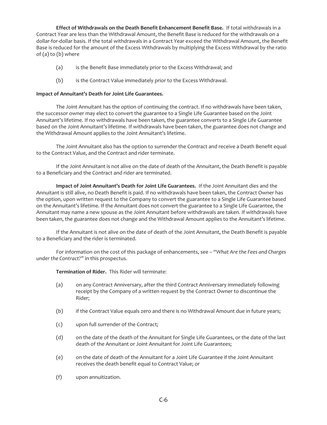**Effect of Withdrawals on the Death Benefit Enhancement Benefit Base.** If total withdrawals in a Contract Year are less than the Withdrawal Amount, the Benefit Base is reduced for the withdrawals on a dollar-for-dollar basis. If the total withdrawals in a Contract Year exceed the Withdrawal Amount, the Benefit Base is reduced for the amount of the Excess Withdrawals by multiplying the Excess Withdrawal by the ratio of (a) to (b) where

- (a) is the Benefit Base immediately prior to the Excess Withdrawal; and
- (b) is the Contract Value immediately prior to the Excess Withdrawal.

## **Impact of Annuitant's Death for Joint Life Guarantees.**

The Joint Annuitant has the option of continuing the contract. If no withdrawals have been taken, the successor owner may elect to convert the guarantee to a Single Life Guarantee based on the Joint Annuitant's lifetime. If no withdrawals have been taken, the guarantee converts to a Single Life Guarantee based on the Joint Annuitant's lifetime. If withdrawals have been taken, the guarantee does not change and the Withdrawal Amount applies to the Joint Annuitant's lifetime.

The Joint Annuitant also has the option to surrender the Contract and receive a Death Benefit equal to the Contract Value, and the Contract and rider terminate.

If the Joint Annuitant is not alive on the date of death of the Annuitant, the Death Benefit is payable to a Beneficiary and the Contract and rider are terminated.

**Impact of Joint Annuitant's Death for Joint Life Guarantees.** If the Joint Annuitant dies and the Annuitant is still alive, no Death Benefit is paid. If no withdrawals have been taken, the Contract Owner has the option, upon written request to the Company to convert the guarantee to a Single Life Guarantee based on the Annuitant's lifetime. If the Annuitant does not convert the guarantee to a Single Life Guarantee, the Annuitant may name a new spouse as the Joint Annuitant before withdrawals are taken. If withdrawals have been taken, the guarantee does not change and the Withdrawal Amount applies to the Annuitant's lifetime.

If the Annuitant is not alive on the date of death of the Joint Annuitant, the Death Benefit is payable to a Beneficiary and the rider is terminated.

For information on the cost of this package of enhancements, see – "*What Are the Fees and Charges under the Contract?"* in this prospectus.

## **Termination of Rider.** This Rider will terminate:

- (a) on any Contract Anniversary, after the third Contract Anniversary immediately following receipt by the Company of a written request by the Contract Owner to discontinue the Rider;
- (b) if the Contract Value equals zero and there is no Withdrawal Amount due in future years;
- (c) upon full surrender of the Contract;
- (d) on the date of the death of the Annuitant for Single Life Guarantees, or the date of the last death of the Annuitant or Joint Annuitant for Joint Life Guarantees;
- (e) on the date of death of the Annuitant for a Joint Life Guarantee if the Joint Annuitant receives the death benefit equal to Contract Value; or
- (f) upon annuitization.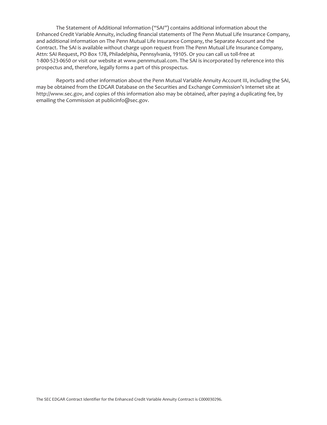The Statement of Additional Information ("SAI") contains additional information about the Enhanced Credit Variable Annuity, including financial statements of The Penn Mutual Life Insurance Company, and additional information on The Penn Mutual Life Insurance Company, the Separate Account and the Contract. The SAI is available without charge upon request from The Penn Mutual Life Insurance Company, Attn: SAI Request, PO Box 178, Philadelphia, Pennsylvania, 19105. Or you can call us toll-free at 1-800-523-0650 or visit our website at www.pennmutual.com. The SAI is incorporated by reference into this prospectus and, therefore, legally forms a part of this prospectus.

Reports and other information about the Penn Mutual Variable Annuity Account III, including the SAI, may be obtained from the EDGAR Database on the Securities and Exchange Commission's Internet site at http://www.sec.gov, and copies of this information also may be obtained, after paying a duplicating fee, by emailing the Commission at publicinfo@sec.gov.